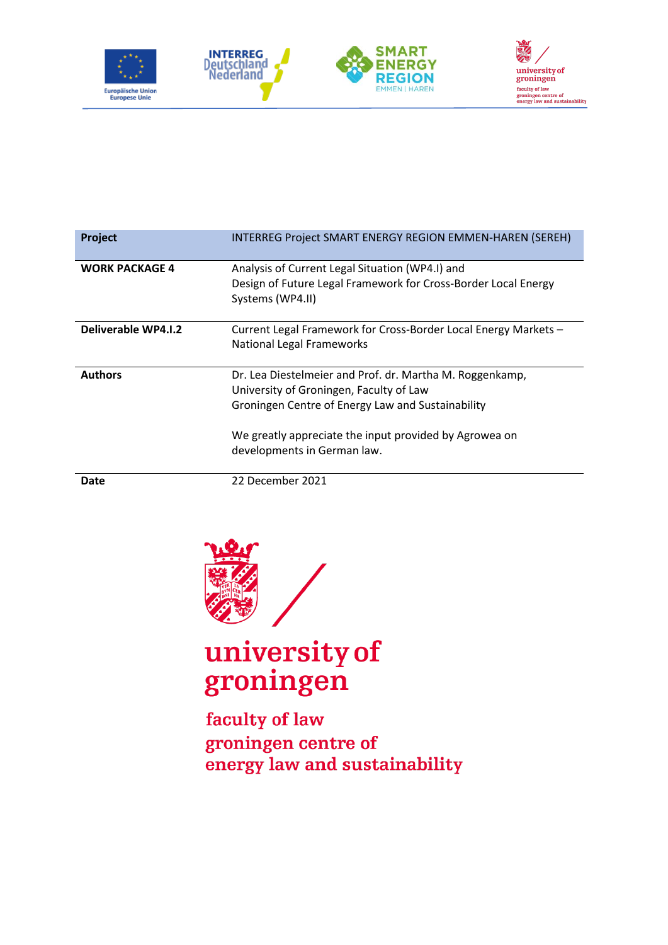

| Project               | INTERREG Project SMART ENERGY REGION EMMEN-HAREN (SEREH)                                                                                                                                                                                          |
|-----------------------|---------------------------------------------------------------------------------------------------------------------------------------------------------------------------------------------------------------------------------------------------|
| <b>WORK PACKAGE 4</b> | Analysis of Current Legal Situation (WP4.I) and<br>Design of Future Legal Framework for Cross-Border Local Energy<br>Systems (WP4.II)                                                                                                             |
| Deliverable WP4.I.2   | Current Legal Framework for Cross-Border Local Energy Markets -<br><b>National Legal Frameworks</b>                                                                                                                                               |
| <b>Authors</b>        | Dr. Lea Diestelmeier and Prof. dr. Martha M. Roggenkamp,<br>University of Groningen, Faculty of Law<br>Groningen Centre of Energy Law and Sustainability<br>We greatly appreciate the input provided by Agrowea on<br>developments in German law. |

**Date** 22 December 2021



# university of groningen

faculty of law groningen centre of energy law and sustainability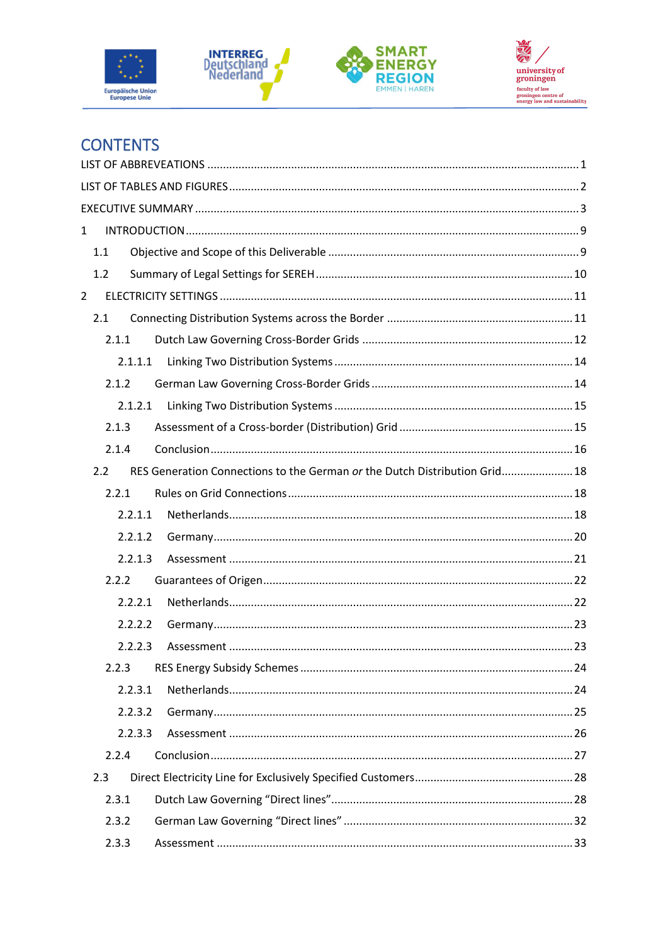







# **CONTENTS**

| $\mathbf{1}$                                                                      |  |
|-----------------------------------------------------------------------------------|--|
| 1.1                                                                               |  |
| 1.2                                                                               |  |
| $\overline{2}$                                                                    |  |
| 2.1                                                                               |  |
| 2.1.1                                                                             |  |
| 2.1.1.1                                                                           |  |
| 2.1.2                                                                             |  |
| 2.1.2.1                                                                           |  |
| 2.1.3                                                                             |  |
| 2.1.4                                                                             |  |
| RES Generation Connections to the German or the Dutch Distribution Grid 18<br>2.2 |  |
| 2.2.1                                                                             |  |
| 2.2.1.1                                                                           |  |
| 2.2.1.2                                                                           |  |
| 2.2.1.3                                                                           |  |
| 2.2.2                                                                             |  |
| 2.2.2.1                                                                           |  |
| 2.2.2.2                                                                           |  |
| 2.2.2.3                                                                           |  |
| 2.2.3                                                                             |  |
| 2.2.3.1                                                                           |  |
| 2.2.3.2                                                                           |  |
| 2.2.3.3                                                                           |  |
| 2.2.4                                                                             |  |
| 2.3                                                                               |  |
| 2.3.1                                                                             |  |
| 2.3.2                                                                             |  |
| 2.3.3                                                                             |  |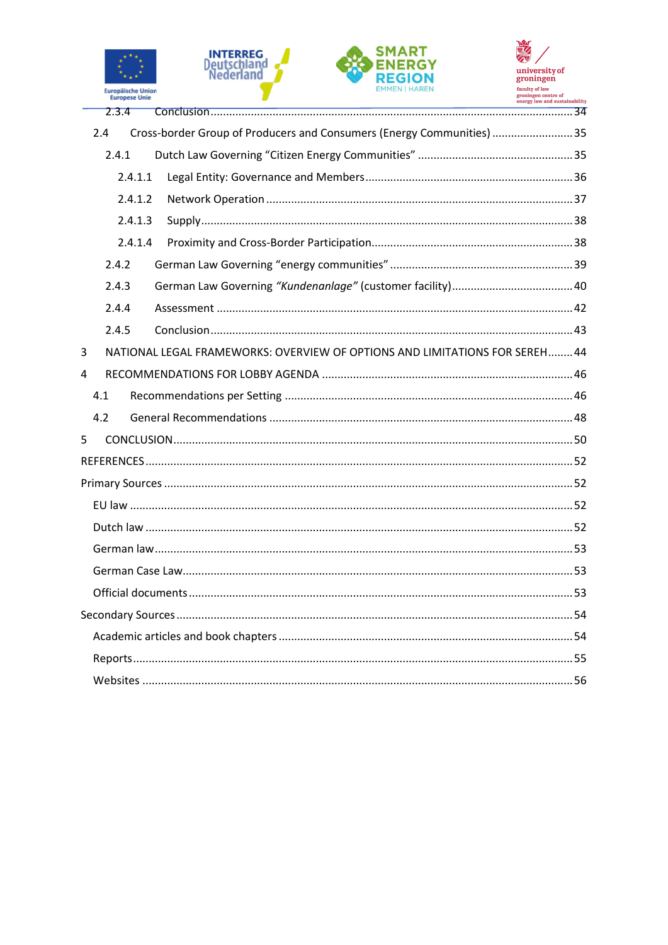







| Cross-border Group of Producers and Consumers (Energy Communities) 35<br>2.4     |  |
|----------------------------------------------------------------------------------|--|
| 2.4.1                                                                            |  |
| 2.4.1.1                                                                          |  |
| 2.4.1.2                                                                          |  |
| 2.4.1.3                                                                          |  |
| 2.4.1.4                                                                          |  |
| 2.4.2                                                                            |  |
| 2.4.3                                                                            |  |
| 2.4.4                                                                            |  |
| 2.4.5                                                                            |  |
| 3<br>NATIONAL LEGAL FRAMEWORKS: OVERVIEW OF OPTIONS AND LIMITATIONS FOR SEREH 44 |  |
| 4                                                                                |  |
| 4.1                                                                              |  |
| 4.2                                                                              |  |
| 5                                                                                |  |
|                                                                                  |  |
|                                                                                  |  |
|                                                                                  |  |
|                                                                                  |  |
|                                                                                  |  |
|                                                                                  |  |
|                                                                                  |  |
|                                                                                  |  |
|                                                                                  |  |
|                                                                                  |  |
|                                                                                  |  |
|                                                                                  |  |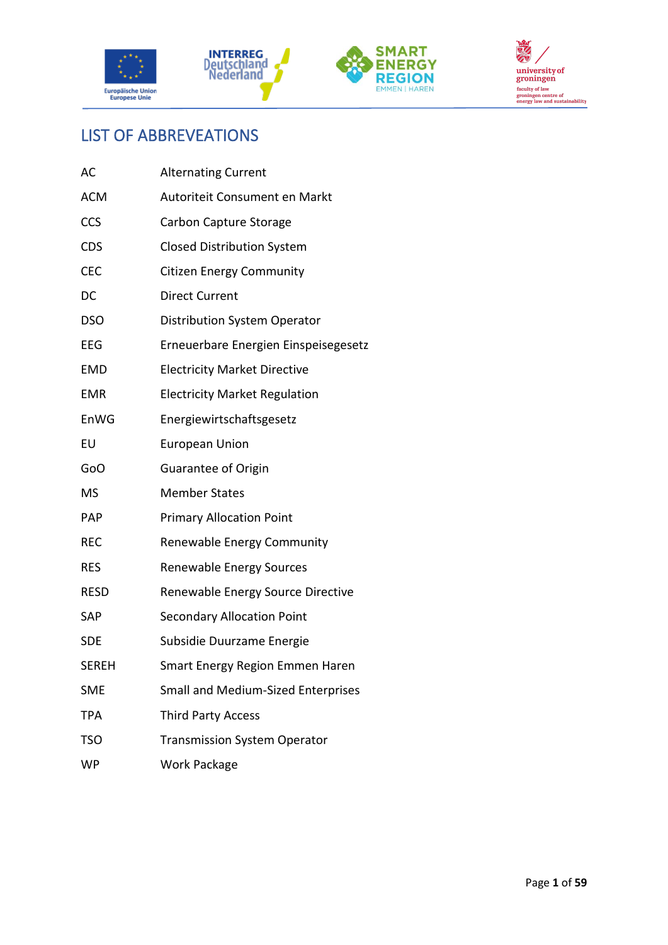







# <span id="page-3-0"></span>LIST OF ABBREVEATIONS

| AC         | <b>Alternating Current</b>           |
|------------|--------------------------------------|
| <b>ACM</b> | Autoriteit Consument en Markt        |
| CCS        | Carbon Capture Storage               |
| <b>CDS</b> | <b>Closed Distribution System</b>    |
| CEC        | <b>Citizen Energy Community</b>      |
| DC         | <b>Direct Current</b>                |
| DSO        | <b>Distribution System Operator</b>  |
| EEG        | Erneuerbare Energien Einspeisegesetz |
| <b>EMD</b> | <b>Electricity Market Directive</b>  |
| <b>EMR</b> | <b>Electricity Market Regulation</b> |
| EnWG       | Energiewirtschaftsgesetz             |
| EU         | <b>European Union</b>                |
| GoO        | Guarantee of Origin                  |
| MS         | <b>Member States</b>                 |
| PAP        | <b>Primary Allocation Point</b>      |
| REC        | Renewable Energy Community           |
| RES        | Renewable Energy Sources             |
| RESD       | Renewable Energy Source Directive    |
| SAP        | <b>Secondary Allocation Point</b>    |
| <b>SDE</b> | Subsidie Duurzame Energie            |
| SEREH      | Smart Energy Region Emmen Haren      |
| SME        | Small and Medium-Sized Enterprises   |
| TPA        | <b>Third Party Access</b>            |
| <b>TSO</b> | <b>Transmission System Operator</b>  |
| WP         | Work Package                         |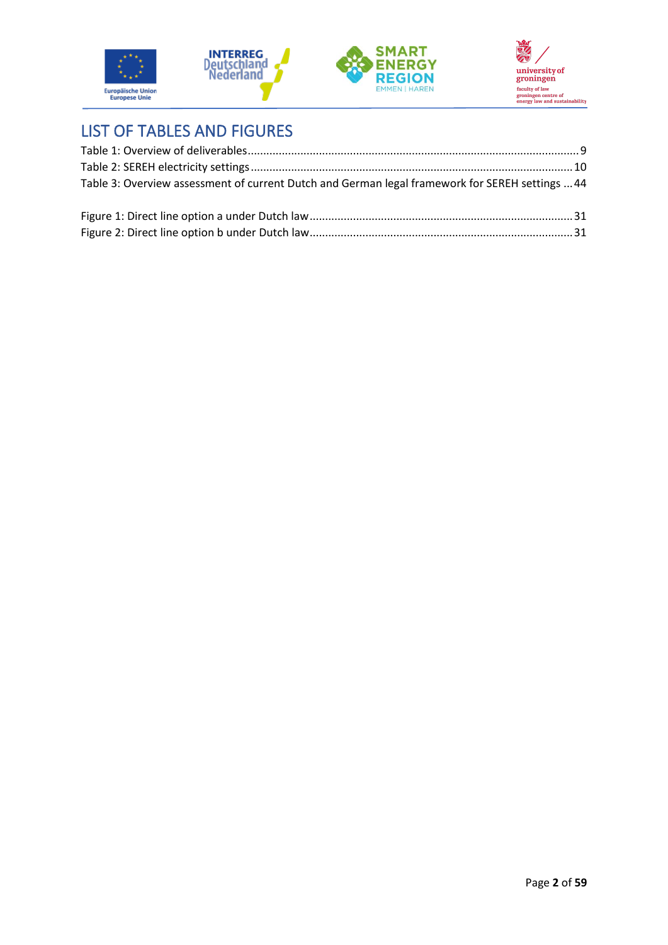





# <span id="page-4-0"></span>LIST OF TABLES AND FIGURES

| Table 3: Overview assessment of current Dutch and German legal framework for SEREH settings  44 |  |
|-------------------------------------------------------------------------------------------------|--|
|                                                                                                 |  |
|                                                                                                 |  |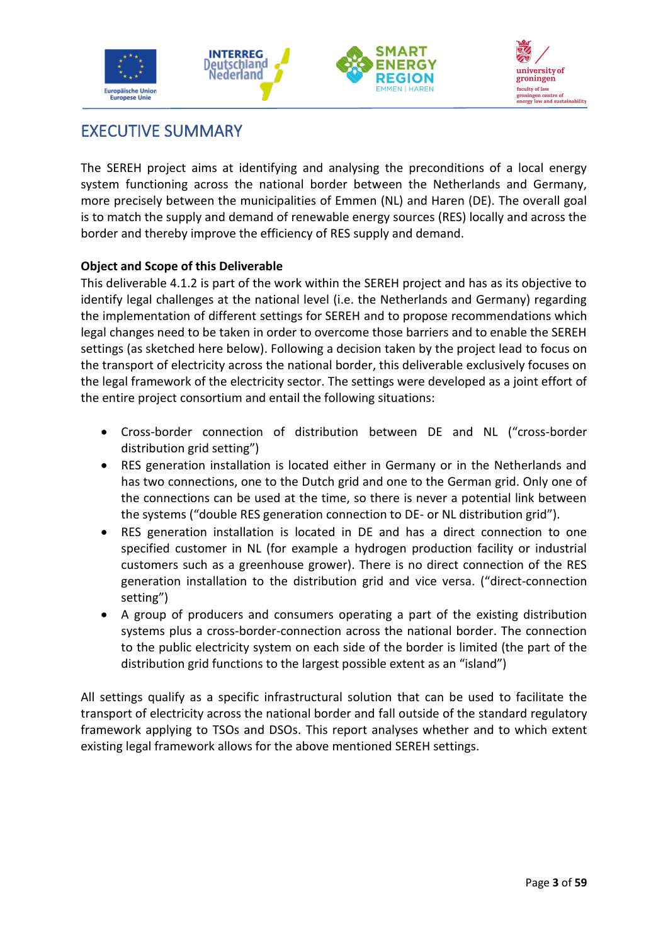



# <span id="page-5-0"></span>EXECUTIVE SUMMARY

The SEREH project aims at identifying and analysing the preconditions of a local energy system functioning across the national border between the Netherlands and Germany, more precisely between the municipalities of Emmen (NL) and Haren (DE). The overall goal is to match the supply and demand of renewable energy sources (RES) locally and across the border and thereby improve the efficiency of RES supply and demand.

### **Object and Scope of this Deliverable**

This deliverable 4.1.2 is part of the work within the SEREH project and has as its objective to identify legal challenges at the national level (i.e. the Netherlands and Germany) regarding the implementation of different settings for SEREH and to propose recommendations which legal changes need to be taken in order to overcome those barriers and to enable the SEREH settings (as sketched here below). Following a decision taken by the project lead to focus on the transport of electricity across the national border, this deliverable exclusively focuses on the legal framework of the electricity sector. The settings were developed as a joint effort of the entire project consortium and entail the following situations:

- Cross-border connection of distribution between DE and NL ("cross-border distribution grid setting")
- RES generation installation is located either in Germany or in the Netherlands and has two connections, one to the Dutch grid and one to the German grid. Only one of the connections can be used at the time, so there is never a potential link between the systems ("double RES generation connection to DE- or NL distribution grid").
- RES generation installation is located in DE and has a direct connection to one specified customer in NL (for example a hydrogen production facility or industrial customers such as a greenhouse grower). There is no direct connection of the RES generation installation to the distribution grid and vice versa. ("direct-connection setting")
- A group of producers and consumers operating a part of the existing distribution systems plus a cross-border-connection across the national border. The connection to the public electricity system on each side of the border is limited (the part of the distribution grid functions to the largest possible extent as an "island")

All settings qualify as a specific infrastructural solution that can be used to facilitate the transport of electricity across the national border and fall outside of the standard regulatory framework applying to TSOs and DSOs. This report analyses whether and to which extent existing legal framework allows for the above mentioned SEREH settings.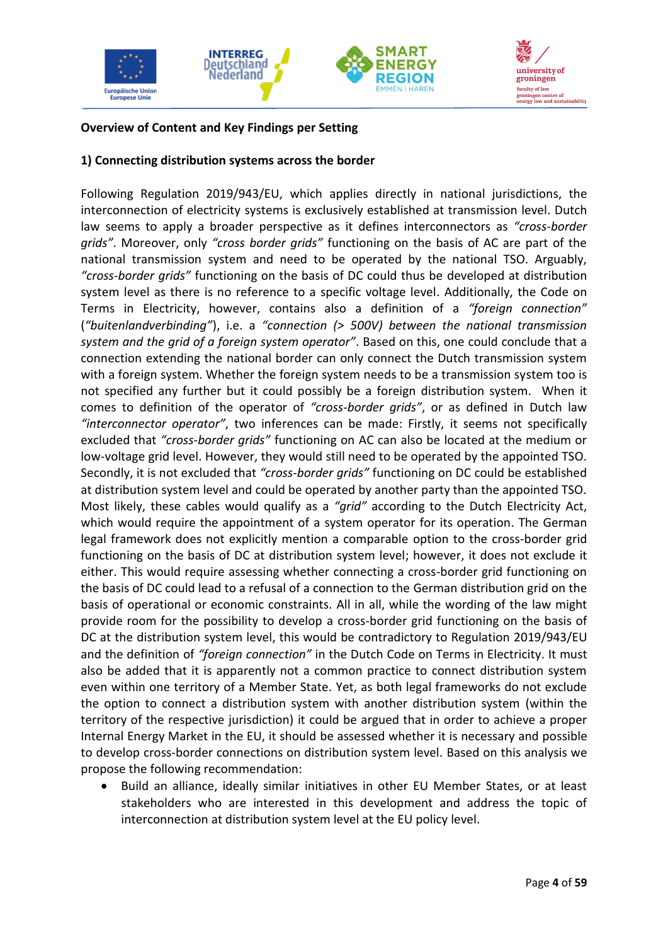



### **Overview of Content and Key Findings per Setting**

#### **1) Connecting distribution systems across the border**

Following Regulation 2019/943/EU, which applies directly in national jurisdictions, the interconnection of electricity systems is exclusively established at transmission level. Dutch law seems to apply a broader perspective as it defines interconnectors as *"cross-border grids"*. Moreover, only *"cross border grids"* functioning on the basis of AC are part of the national transmission system and need to be operated by the national TSO. Arguably, *"cross-border grids"* functioning on the basis of DC could thus be developed at distribution system level as there is no reference to a specific voltage level. Additionally, the Code on Terms in Electricity, however, contains also a definition of a *"foreign connection"* (*"buitenlandverbinding"*), i.e. a *"connection (> 500V) between the national transmission system and the grid of a foreign system operator"*. Based on this, one could conclude that a connection extending the national border can only connect the Dutch transmission system with a foreign system. Whether the foreign system needs to be a transmission system too is not specified any further but it could possibly be a foreign distribution system. When it comes to definition of the operator of *"cross-border grids"*, or as defined in Dutch law *"interconnector operator"*, two inferences can be made: Firstly, it seems not specifically excluded that *"cross-border grids"* functioning on AC can also be located at the medium or low-voltage grid level. However, they would still need to be operated by the appointed TSO. Secondly, it is not excluded that *"cross-border grids"* functioning on DC could be established at distribution system level and could be operated by another party than the appointed TSO. Most likely, these cables would qualify as a *"grid"* according to the Dutch Electricity Act, which would require the appointment of a system operator for its operation. The German legal framework does not explicitly mention a comparable option to the cross-border grid functioning on the basis of DC at distribution system level; however, it does not exclude it either. This would require assessing whether connecting a cross-border grid functioning on the basis of DC could lead to a refusal of a connection to the German distribution grid on the basis of operational or economic constraints. All in all, while the wording of the law might provide room for the possibility to develop a cross-border grid functioning on the basis of DC at the distribution system level, this would be contradictory to Regulation 2019/943/EU and the definition of *"foreign connection"* in the Dutch Code on Terms in Electricity. It must also be added that it is apparently not a common practice to connect distribution system even within one territory of a Member State. Yet, as both legal frameworks do not exclude the option to connect a distribution system with another distribution system (within the territory of the respective jurisdiction) it could be argued that in order to achieve a proper Internal Energy Market in the EU, it should be assessed whether it is necessary and possible to develop cross-border connections on distribution system level. Based on this analysis we propose the following recommendation:

• Build an alliance, ideally similar initiatives in other EU Member States, or at least stakeholders who are interested in this development and address the topic of interconnection at distribution system level at the EU policy level.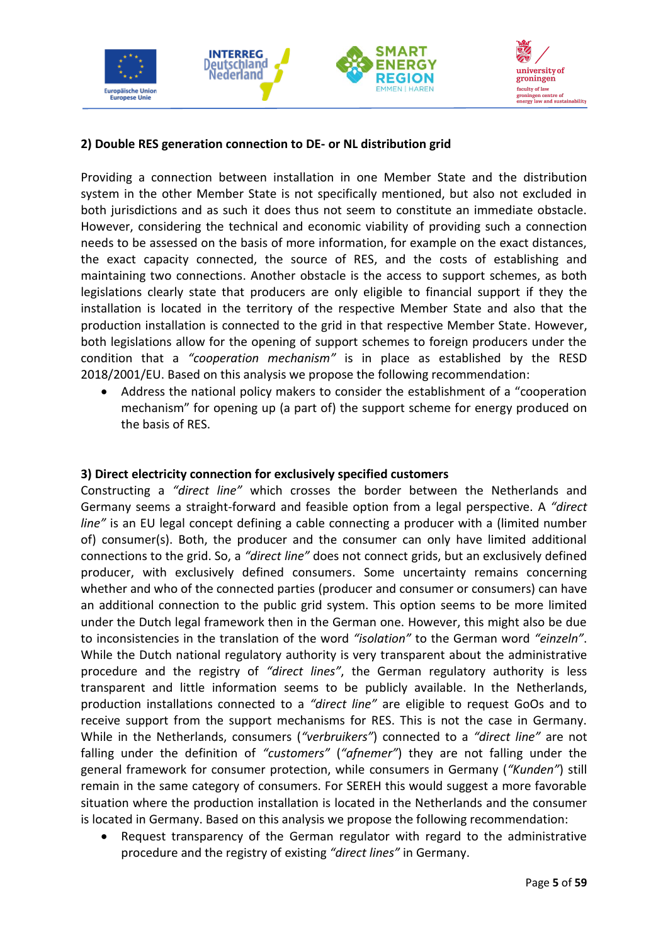

#### **2) Double RES generation connection to DE- or NL distribution grid**

Providing a connection between installation in one Member State and the distribution system in the other Member State is not specifically mentioned, but also not excluded in both jurisdictions and as such it does thus not seem to constitute an immediate obstacle. However, considering the technical and economic viability of providing such a connection needs to be assessed on the basis of more information, for example on the exact distances, the exact capacity connected, the source of RES, and the costs of establishing and maintaining two connections. Another obstacle is the access to support schemes, as both legislations clearly state that producers are only eligible to financial support if they the installation is located in the territory of the respective Member State and also that the production installation is connected to the grid in that respective Member State. However, both legislations allow for the opening of support schemes to foreign producers under the condition that a *"cooperation mechanism"* is in place as established by the RESD 2018/2001/EU. Based on this analysis we propose the following recommendation:

• Address the national policy makers to consider the establishment of a "cooperation mechanism" for opening up (a part of) the support scheme for energy produced on the basis of RES.

#### **3) Direct electricity connection for exclusively specified customers**

Constructing a *"direct line"* which crosses the border between the Netherlands and Germany seems a straight-forward and feasible option from a legal perspective. A *"direct line"* is an EU legal concept defining a cable connecting a producer with a (limited number of) consumer(s). Both, the producer and the consumer can only have limited additional connections to the grid. So, a *"direct line"* does not connect grids, but an exclusively defined producer, with exclusively defined consumers. Some uncertainty remains concerning whether and who of the connected parties (producer and consumer or consumers) can have an additional connection to the public grid system. This option seems to be more limited under the Dutch legal framework then in the German one. However, this might also be due to inconsistencies in the translation of the word *"isolation"* to the German word *"einzeln"*. While the Dutch national regulatory authority is very transparent about the administrative procedure and the registry of *"direct lines"*, the German regulatory authority is less transparent and little information seems to be publicly available. In the Netherlands, production installations connected to a *"direct line"* are eligible to request GoOs and to receive support from the support mechanisms for RES. This is not the case in Germany. While in the Netherlands, consumers (*"verbruikers"*) connected to a *"direct line"* are not falling under the definition of *"customers"* (*"afnemer"*) they are not falling under the general framework for consumer protection, while consumers in Germany (*"Kunden"*) still remain in the same category of consumers. For SEREH this would suggest a more favorable situation where the production installation is located in the Netherlands and the consumer is located in Germany. Based on this analysis we propose the following recommendation:

• Request transparency of the German regulator with regard to the administrative procedure and the registry of existing *"direct lines"* in Germany.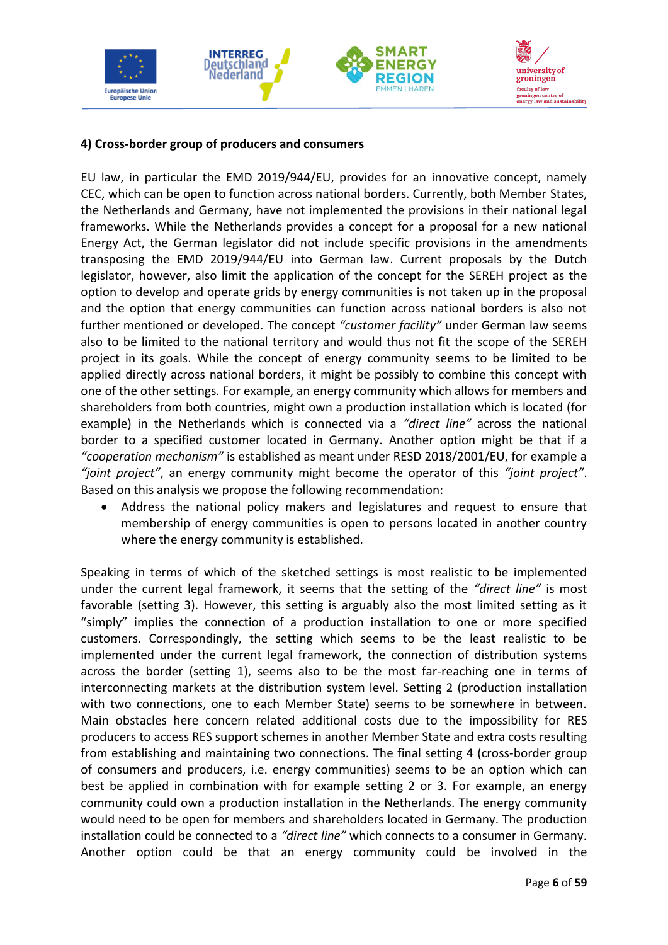

#### **4) Cross-border group of producers and consumers**

EU law, in particular the EMD 2019/944/EU, provides for an innovative concept, namely CEC, which can be open to function across national borders. Currently, both Member States, the Netherlands and Germany, have not implemented the provisions in their national legal frameworks. While the Netherlands provides a concept for a proposal for a new national Energy Act, the German legislator did not include specific provisions in the amendments transposing the EMD 2019/944/EU into German law. Current proposals by the Dutch legislator, however, also limit the application of the concept for the SEREH project as the option to develop and operate grids by energy communities is not taken up in the proposal and the option that energy communities can function across national borders is also not further mentioned or developed. The concept *"customer facility"* under German law seems also to be limited to the national territory and would thus not fit the scope of the SEREH project in its goals. While the concept of energy community seems to be limited to be applied directly across national borders, it might be possibly to combine this concept with one of the other settings. For example, an energy community which allows for members and shareholders from both countries, might own a production installation which is located (for example) in the Netherlands which is connected via a *"direct line"* across the national border to a specified customer located in Germany. Another option might be that if a *"cooperation mechanism"* is established as meant under RESD 2018/2001/EU, for example a *"joint project"*, an energy community might become the operator of this *"joint project"*. Based on this analysis we propose the following recommendation:

• Address the national policy makers and legislatures and request to ensure that membership of energy communities is open to persons located in another country where the energy community is established.

Speaking in terms of which of the sketched settings is most realistic to be implemented under the current legal framework, it seems that the setting of the *"direct line"* is most favorable (setting 3). However, this setting is arguably also the most limited setting as it "simply" implies the connection of a production installation to one or more specified customers. Correspondingly, the setting which seems to be the least realistic to be implemented under the current legal framework, the connection of distribution systems across the border (setting 1), seems also to be the most far-reaching one in terms of interconnecting markets at the distribution system level. Setting 2 (production installation with two connections, one to each Member State) seems to be somewhere in between. Main obstacles here concern related additional costs due to the impossibility for RES producers to access RES support schemes in another Member State and extra costs resulting from establishing and maintaining two connections. The final setting 4 (cross-border group of consumers and producers, i.e. energy communities) seems to be an option which can best be applied in combination with for example setting 2 or 3. For example, an energy community could own a production installation in the Netherlands. The energy community would need to be open for members and shareholders located in Germany. The production installation could be connected to a *"direct line"* which connects to a consumer in Germany. Another option could be that an energy community could be involved in the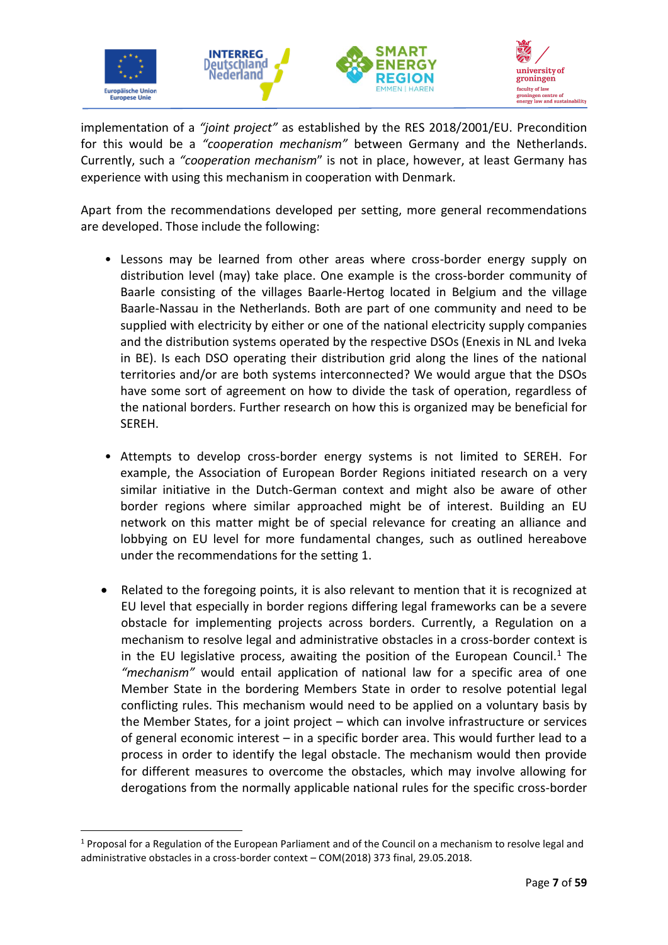

implementation of a *"joint project"* as established by the RES 2018/2001/EU. Precondition for this would be a *"cooperation mechanism"* between Germany and the Netherlands. Currently, such a *"cooperation mechanism*" is not in place, however, at least Germany has experience with using this mechanism in cooperation with Denmark.

Apart from the recommendations developed per setting, more general recommendations are developed. Those include the following:

- Lessons may be learned from other areas where cross-border energy supply on distribution level (may) take place. One example is the cross-border community of Baarle consisting of the villages Baarle-Hertog located in Belgium and the village Baarle-Nassau in the Netherlands. Both are part of one community and need to be supplied with electricity by either or one of the national electricity supply companies and the distribution systems operated by the respective DSOs (Enexis in NL and Iveka in BE). Is each DSO operating their distribution grid along the lines of the national territories and/or are both systems interconnected? We would argue that the DSOs have some sort of agreement on how to divide the task of operation, regardless of the national borders. Further research on how this is organized may be beneficial for SEREH.
- Attempts to develop cross-border energy systems is not limited to SEREH. For example, the Association of European Border Regions initiated research on a very similar initiative in the Dutch-German context and might also be aware of other border regions where similar approached might be of interest. Building an EU network on this matter might be of special relevance for creating an alliance and lobbying on EU level for more fundamental changes, such as outlined hereabove under the recommendations for the setting 1.
- Related to the foregoing points, it is also relevant to mention that it is recognized at EU level that especially in border regions differing legal frameworks can be a severe obstacle for implementing projects across borders. Currently, a Regulation on a mechanism to resolve legal and administrative obstacles in a cross-border context is in the EU legislative process, awaiting the position of the European Council.<sup>1</sup> The *"mechanism"* would entail application of national law for a specific area of one Member State in the bordering Members State in order to resolve potential legal conflicting rules. This mechanism would need to be applied on a voluntary basis by the Member States, for a joint project – which can involve infrastructure or services of general economic interest – in a specific border area. This would further lead to a process in order to identify the legal obstacle. The mechanism would then provide for different measures to overcome the obstacles, which may involve allowing for derogations from the normally applicable national rules for the specific cross-border

 $1$  Proposal for a Regulation of the European Parliament and of the Council on a mechanism to resolve legal and administrative obstacles in a cross-border context – COM(2018) 373 final, 29.05.2018.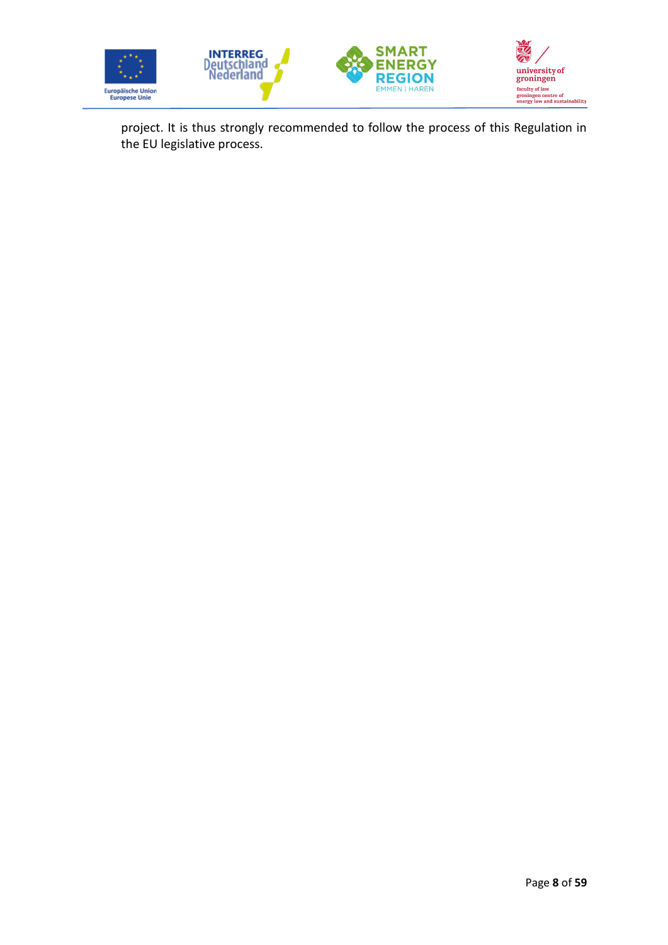

project. It is thus strongly recommended to follow the process of this Regulation in the EU legislative process.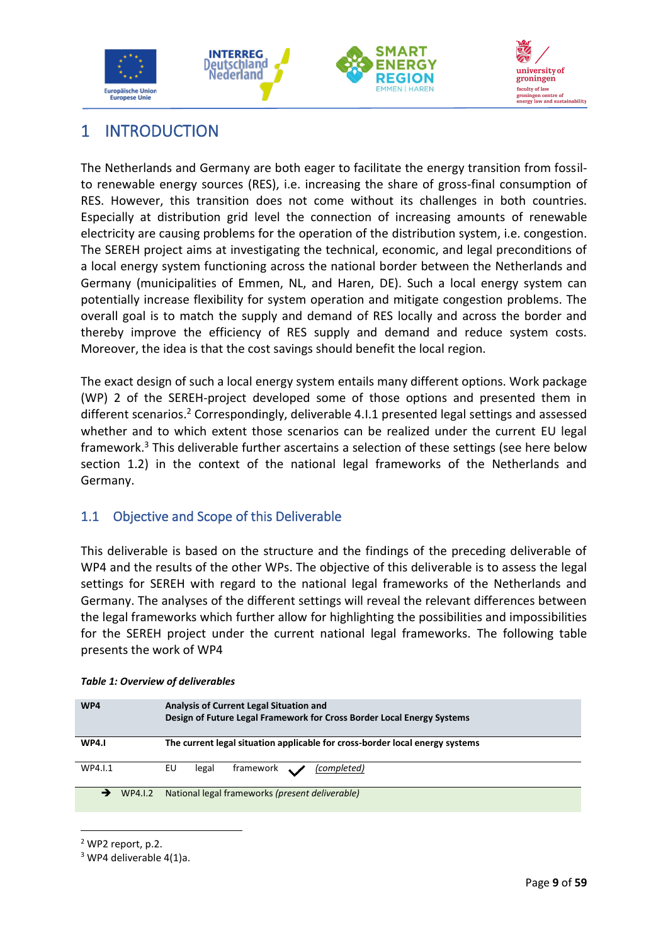





# <span id="page-11-0"></span>1 INTRODUCTION

The Netherlands and Germany are both eager to facilitate the energy transition from fossilto renewable energy sources (RES), i.e. increasing the share of gross-final consumption of RES. However, this transition does not come without its challenges in both countries. Especially at distribution grid level the connection of increasing amounts of renewable electricity are causing problems for the operation of the distribution system, i.e. congestion. The SEREH project aims at investigating the technical, economic, and legal preconditions of a local energy system functioning across the national border between the Netherlands and Germany (municipalities of Emmen, NL, and Haren, DE). Such a local energy system can potentially increase flexibility for system operation and mitigate congestion problems. The overall goal is to match the supply and demand of RES locally and across the border and thereby improve the efficiency of RES supply and demand and reduce system costs. Moreover, the idea is that the cost savings should benefit the local region.

The exact design of such a local energy system entails many different options. Work package (WP) 2 of the SEREH-project developed some of those options and presented them in different scenarios.<sup>2</sup> Correspondingly, deliverable 4.1.1 presented legal settings and assessed whether and to which extent those scenarios can be realized under the current EU legal framework.<sup>3</sup> This deliverable further ascertains a selection of these settings (see here below section 1.2) in the context of the national legal frameworks of the Netherlands and Germany.

# <span id="page-11-1"></span>1.1 Objective and Scope of this Deliverable

This deliverable is based on the structure and the findings of the preceding deliverable of WP4 and the results of the other WPs. The objective of this deliverable is to assess the legal settings for SEREH with regard to the national legal frameworks of the Netherlands and Germany. The analyses of the different settings will reveal the relevant differences between the legal frameworks which further allow for highlighting the possibilities and impossibilities for the SEREH project under the current national legal frameworks. The following table presents the work of WP4

| WP4          | <b>Analysis of Current Legal Situation and</b><br>Design of Future Legal Framework for Cross Border Local Energy Systems |  |  |
|--------------|--------------------------------------------------------------------------------------------------------------------------|--|--|
| <b>WP4.1</b> | The current legal situation applicable for cross-border local energy systems                                             |  |  |
| WP4.I.1      | framework \<br>EU<br>(completed)<br>legal                                                                                |  |  |
| WP4.I.2      | National legal frameworks (present deliverable)                                                                          |  |  |

#### <span id="page-11-2"></span>*Table 1: Overview of deliverables*

<sup>2</sup> WP2 report, p.2.

<sup>3</sup> WP4 deliverable 4(1)a.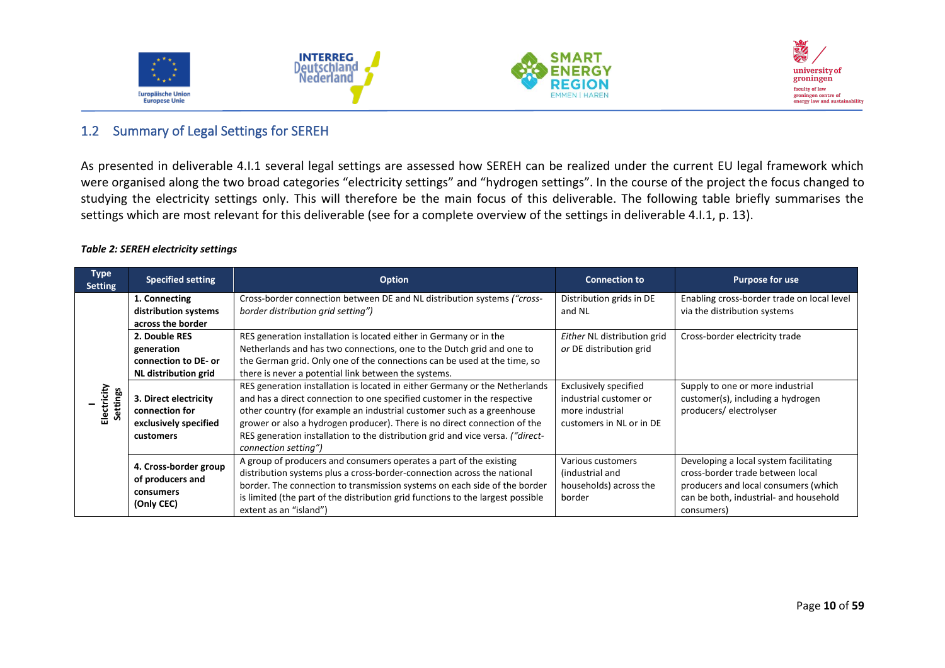





#### 1.2 Summary of Legal Settings for SEREH

As presented in deliverable 4.I.1 several legal settings are assessed how SEREH can be realized under the current EU legal framework which were organised along the two broad categories "electricity settings" and "hydrogen settings". In the course of the project the focus changed to studying the electricity settings only. This will therefore be the main focus of this deliverable. The following table briefly summarises the settings which are most relevant for this deliverable (see for a complete overview of the settings in deliverable 4.I.1, p. 13).

#### *Table 2: SEREH electricity settings*

<span id="page-12-1"></span><span id="page-12-0"></span>

| <b>Type</b><br><b>Setting</b> | <b>Specified setting</b>                                                                         | <b>Option</b>                                                                                                                                                                                                                                                                                                                                                                                                           | <b>Connection to</b>                                                                                  | <b>Purpose for use</b>                                                                                                                                                     |
|-------------------------------|--------------------------------------------------------------------------------------------------|-------------------------------------------------------------------------------------------------------------------------------------------------------------------------------------------------------------------------------------------------------------------------------------------------------------------------------------------------------------------------------------------------------------------------|-------------------------------------------------------------------------------------------------------|----------------------------------------------------------------------------------------------------------------------------------------------------------------------------|
| Electricity<br>ettings        | 1. Connecting<br>distribution systems                                                            | Cross-border connection between DE and NL distribution systems ("cross-<br>border distribution grid setting")                                                                                                                                                                                                                                                                                                           | Distribution grids in DE<br>and NL                                                                    | Enabling cross-border trade on local level<br>via the distribution systems                                                                                                 |
|                               | across the border<br>2. Double RES<br>generation<br>connection to DE- or<br>NL distribution grid | RES generation installation is located either in Germany or in the<br>Netherlands and has two connections, one to the Dutch grid and one to<br>the German grid. Only one of the connections can be used at the time, so<br>there is never a potential link between the systems.                                                                                                                                         | Either NL distribution grid<br>or DE distribution grid                                                | Cross-border electricity trade                                                                                                                                             |
|                               | 3. Direct electricity<br>connection for<br>exclusively specified<br>customers                    | RES generation installation is located in either Germany or the Netherlands<br>and has a direct connection to one specified customer in the respective<br>other country (for example an industrial customer such as a greenhouse<br>grower or also a hydrogen producer). There is no direct connection of the<br>RES generation installation to the distribution grid and vice versa. ("direct-<br>connection setting") | <b>Exclusively specified</b><br>industrial customer or<br>more industrial<br>customers in NL or in DE | Supply to one or more industrial<br>customer(s), including a hydrogen<br>producers/electrolyser                                                                            |
|                               | 4. Cross-border group<br>of producers and<br>consumers<br>(Only CEC)                             | A group of producers and consumers operates a part of the existing<br>distribution systems plus a cross-border-connection across the national<br>border. The connection to transmission systems on each side of the border<br>is limited (the part of the distribution grid functions to the largest possible<br>extent as an "island")                                                                                 | Various customers<br>(industrial and<br>households) across the<br>border                              | Developing a local system facilitating<br>cross-border trade between local<br>producers and local consumers (which<br>can be both, industrial- and household<br>consumers) |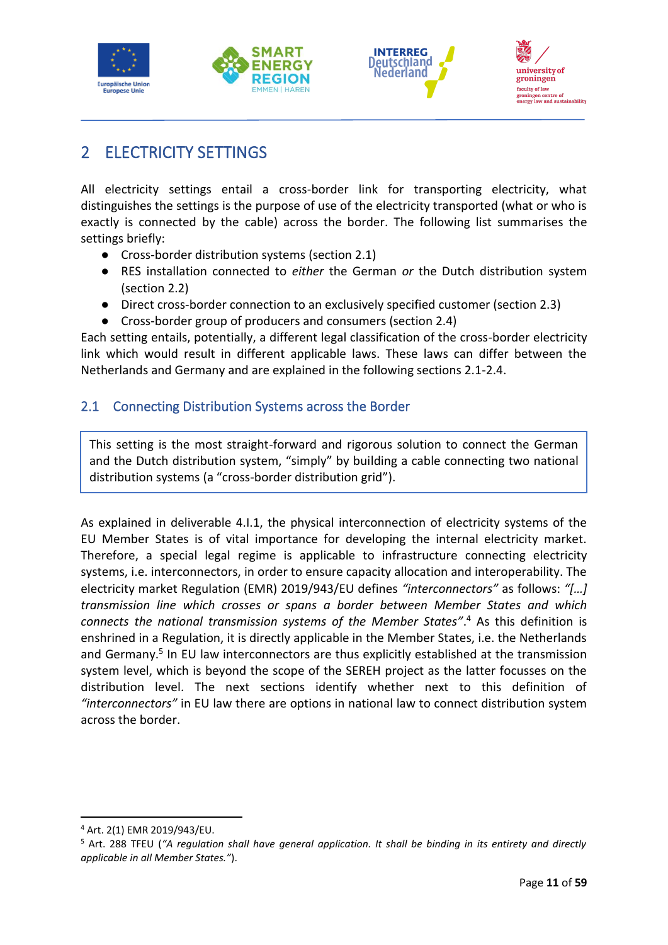



# <span id="page-13-0"></span>2 ELECTRICITY SETTINGS

All electricity settings entail a cross-border link for transporting electricity, what distinguishes the settings is the purpose of use of the electricity transported (what or who is exactly is connected by the cable) across the border. The following list summarises the settings briefly:

- Cross-border distribution systems (section 2.1)
- RES installation connected to *either* the German *or* the Dutch distribution system (section 2.2)
- Direct cross-border connection to an exclusively specified customer (section 2.3)
- Cross-border group of producers and consumers (section 2.4)

Each setting entails, potentially, a different legal classification of the cross-border electricity link which would result in different applicable laws. These laws can differ between the Netherlands and Germany and are explained in the following sections 2.1-2.4.

# <span id="page-13-1"></span>2.1 Connecting Distribution Systems across the Border

This setting is the most straight-forward and rigorous solution to connect the German and the Dutch distribution system, "simply" by building a cable connecting two national distribution systems (a "cross-border distribution grid").

As explained in deliverable 4.I.1, the physical interconnection of electricity systems of the EU Member States is of vital importance for developing the internal electricity market. Therefore, a special legal regime is applicable to infrastructure connecting electricity systems, i.e. interconnectors, in order to ensure capacity allocation and interoperability. The electricity market Regulation (EMR) 2019/943/EU defines *"interconnectors"* as follows: *"[…] transmission line which crosses or spans a border between Member States and which connects the national transmission systems of the Member States"*. <sup>4</sup> As this definition is enshrined in a Regulation, it is directly applicable in the Member States, i.e. the Netherlands and Germany.<sup>5</sup> In EU law interconnectors are thus explicitly established at the transmission system level, which is beyond the scope of the SEREH project as the latter focusses on the distribution level. The next sections identify whether next to this definition of *"interconnectors"* in EU law there are options in national law to connect distribution system across the border.

<sup>4</sup> Art. 2(1) EMR 2019/943/EU.

<sup>5</sup> Art. 288 TFEU (*"A regulation shall have general application. It shall be binding in its entirety and directly applicable in all Member States."*).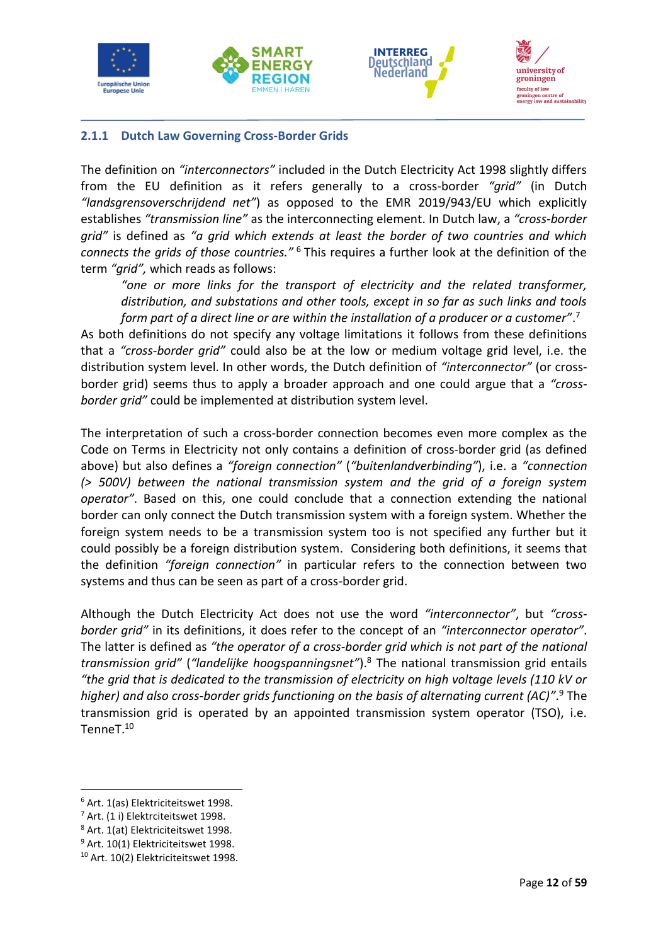







#### <span id="page-14-0"></span>**2.1.1 Dutch Law Governing Cross-Border Grids**

The definition on *"interconnectors"* included in the Dutch Electricity Act 1998 slightly differs from the EU definition as it refers generally to a cross-border *"grid"* (in Dutch *"landsgrensoverschrijdend net"*) as opposed to the EMR 2019/943/EU which explicitly establishes *"transmission line"* as the interconnecting element. In Dutch law, a *"cross-border grid"* is defined as *"a grid which extends at least the border of two countries and which connects the grids of those countries."* <sup>6</sup> This requires a further look at the definition of the term *"grid",* which reads as follows:

*"one or more links for the transport of electricity and the related transformer, distribution, and substations and other tools, except in so far as such links and tools form part of a direct line or are within the installation of a producer or a customer"*. 7

As both definitions do not specify any voltage limitations it follows from these definitions that a *"cross-border grid"* could also be at the low or medium voltage grid level, i.e. the distribution system level. In other words, the Dutch definition of *"interconnector"* (or crossborder grid) seems thus to apply a broader approach and one could argue that a *"crossborder grid"* could be implemented at distribution system level.

The interpretation of such a cross-border connection becomes even more complex as the Code on Terms in Electricity not only contains a definition of cross-border grid (as defined above) but also defines a *"foreign connection"* (*"buitenlandverbinding"*), i.e. a *"connection (> 500V) between the national transmission system and the grid of a foreign system operator"*. Based on this, one could conclude that a connection extending the national border can only connect the Dutch transmission system with a foreign system. Whether the foreign system needs to be a transmission system too is not specified any further but it could possibly be a foreign distribution system. Considering both definitions, it seems that the definition *"foreign connection"* in particular refers to the connection between two systems and thus can be seen as part of a cross-border grid.

Although the Dutch Electricity Act does not use the word *"interconnector"*, but *"crossborder grid"* in its definitions, it does refer to the concept of an *"interconnector operator"*. The latter is defined as *"the operator of a cross-border grid which is not part of the national transmission grid"* (*"landelijke hoogspanningsnet"*).<sup>8</sup> The national transmission grid entails *"the grid that is dedicated to the transmission of electricity on high voltage levels (110 kV or higher) and also cross-border grids functioning on the basis of alternating current (AC)"*. <sup>9</sup> The transmission grid is operated by an appointed transmission system operator (TSO), i.e. TenneT.<sup>10</sup>

<sup>6</sup> Art. 1(as) Elektriciteitswet 1998.

<sup>&</sup>lt;sup>7</sup> Art. (1 i) Elektrciteitswet 1998.

<sup>8</sup> Art. 1(at) Elektriciteitswet 1998.

<sup>&</sup>lt;sup>9</sup> Art. 10(1) Elektriciteitswet 1998.

<sup>10</sup> Art. 10(2) Elektriciteitswet 1998.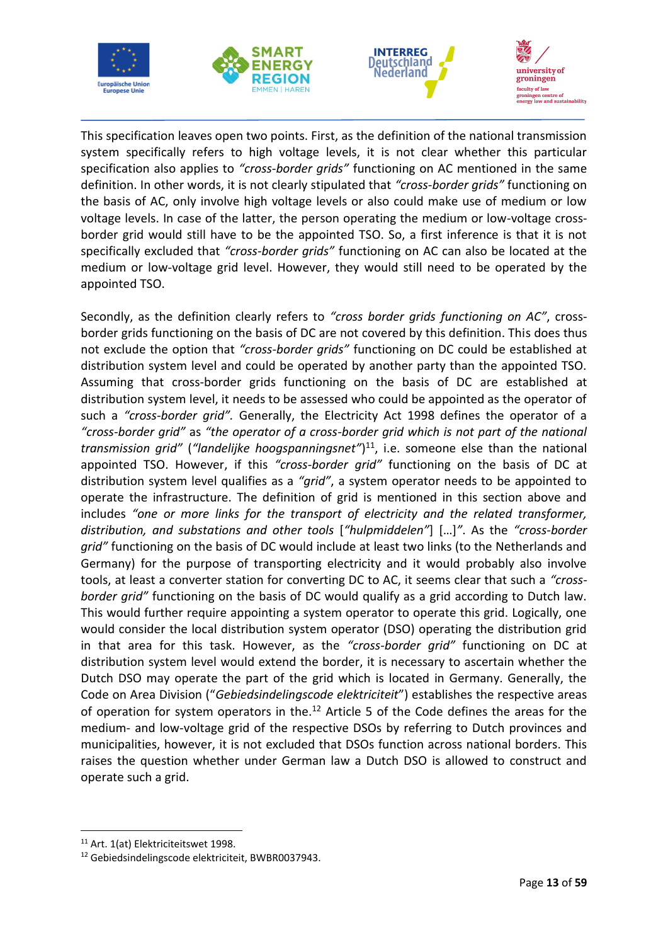







This specification leaves open two points. First, as the definition of the national transmission system specifically refers to high voltage levels, it is not clear whether this particular specification also applies to *"cross-border grids"* functioning on AC mentioned in the same definition. In other words, it is not clearly stipulated that *"cross-border grids"* functioning on the basis of AC, only involve high voltage levels or also could make use of medium or low voltage levels. In case of the latter, the person operating the medium or low-voltage crossborder grid would still have to be the appointed TSO. So, a first inference is that it is not specifically excluded that *"cross-border grids"* functioning on AC can also be located at the medium or low-voltage grid level. However, they would still need to be operated by the appointed TSO.

Secondly, as the definition clearly refers to *"cross border grids functioning on AC"*, crossborder grids functioning on the basis of DC are not covered by this definition. This does thus not exclude the option that *"cross-border grids"* functioning on DC could be established at distribution system level and could be operated by another party than the appointed TSO. Assuming that cross-border grids functioning on the basis of DC are established at distribution system level, it needs to be assessed who could be appointed as the operator of such a *"cross-border grid".* Generally, the Electricity Act 1998 defines the operator of a *"cross-border grid"* as *"the operator of a cross-border grid which is not part of the national transmission grid"* (*"landelijke hoogspanningsnet"*) <sup>11</sup>, i.e. someone else than the national appointed TSO. However, if this *"cross-border grid"* functioning on the basis of DC at distribution system level qualifies as a *"grid"*, a system operator needs to be appointed to operate the infrastructure. The definition of grid is mentioned in this section above and includes *"one or more links for the transport of electricity and the related transformer, distribution, and substations and other tools* [*"hulpmiddelen"*] […]*"*. As the *"cross-border grid"* functioning on the basis of DC would include at least two links (to the Netherlands and Germany) for the purpose of transporting electricity and it would probably also involve tools, at least a converter station for converting DC to AC, it seems clear that such a *"crossborder grid"* functioning on the basis of DC would qualify as a grid according to Dutch law. This would further require appointing a system operator to operate this grid. Logically, one would consider the local distribution system operator (DSO) operating the distribution grid in that area for this task. However, as the *"cross-border grid"* functioning on DC at distribution system level would extend the border, it is necessary to ascertain whether the Dutch DSO may operate the part of the grid which is located in Germany. Generally, the Code on Area Division ("*Gebiedsindelingscode elektriciteit*") establishes the respective areas of operation for system operators in the.<sup>12</sup> Article 5 of the Code defines the areas for the medium- and low-voltage grid of the respective DSOs by referring to Dutch provinces and municipalities, however, it is not excluded that DSOs function across national borders. This raises the question whether under German law a Dutch DSO is allowed to construct and operate such a grid.

<sup>&</sup>lt;sup>11</sup> Art. 1(at) Elektriciteitswet 1998.

<sup>12</sup> Gebiedsindelingscode elektriciteit, BWBR0037943.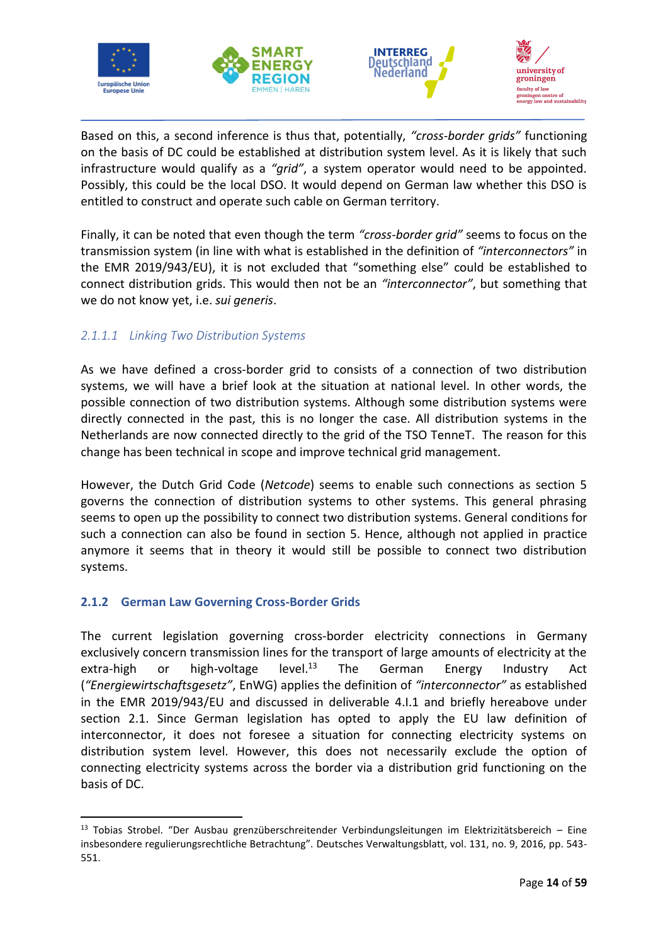







Based on this, a second inference is thus that, potentially, *"cross-border grids"* functioning on the basis of DC could be established at distribution system level. As it is likely that such infrastructure would qualify as a *"grid"*, a system operator would need to be appointed. Possibly, this could be the local DSO. It would depend on German law whether this DSO is entitled to construct and operate such cable on German territory.

Finally, it can be noted that even though the term *"cross-border grid"* seems to focus on the transmission system (in line with what is established in the definition of *"interconnectors"* in the EMR 2019/943/EU), it is not excluded that "something else" could be established to connect distribution grids. This would then not be an *"interconnector"*, but something that we do not know yet, i.e. *sui generis*.

# <span id="page-16-0"></span>*2.1.1.1 Linking Two Distribution Systems*

As we have defined a cross-border grid to consists of a connection of two distribution systems, we will have a brief look at the situation at national level. In other words, the possible connection of two distribution systems. Although some distribution systems were directly connected in the past, this is no longer the case. All distribution systems in the Netherlands are now connected directly to the grid of the TSO TenneT. The reason for this change has been technical in scope and improve technical grid management.

However, the Dutch Grid Code (*Netcode*) seems to enable such connections as section 5 governs the connection of distribution systems to other systems. This general phrasing seems to open up the possibility to connect two distribution systems. General conditions for such a connection can also be found in section 5. Hence, although not applied in practice anymore it seems that in theory it would still be possible to connect two distribution systems.

### <span id="page-16-1"></span>**2.1.2 German Law Governing Cross-Border Grids**

The current legislation governing cross-border electricity connections in Germany exclusively concern transmission lines for the transport of large amounts of electricity at the extra-high or high-voltage level.<sup>13</sup> The German Energy Industry Act (*"Energiewirtschaftsgesetz"*, EnWG) applies the definition of *"interconnector"* as established in the EMR 2019/943/EU and discussed in deliverable 4.I.1 and briefly hereabove under section 2.1. Since German legislation has opted to apply the EU law definition of interconnector, it does not foresee a situation for connecting electricity systems on distribution system level. However, this does not necessarily exclude the option of connecting electricity systems across the border via a distribution grid functioning on the basis of DC.

<sup>13</sup> Tobias Strobel. "Der Ausbau grenzüberschreitender Verbindungsleitungen im Elektrizitätsbereich – Eine insbesondere regulierungsrechtliche Betrachtung". Deutsches Verwaltungsblatt, vol. 131, no. 9, 2016, pp. 543- 551.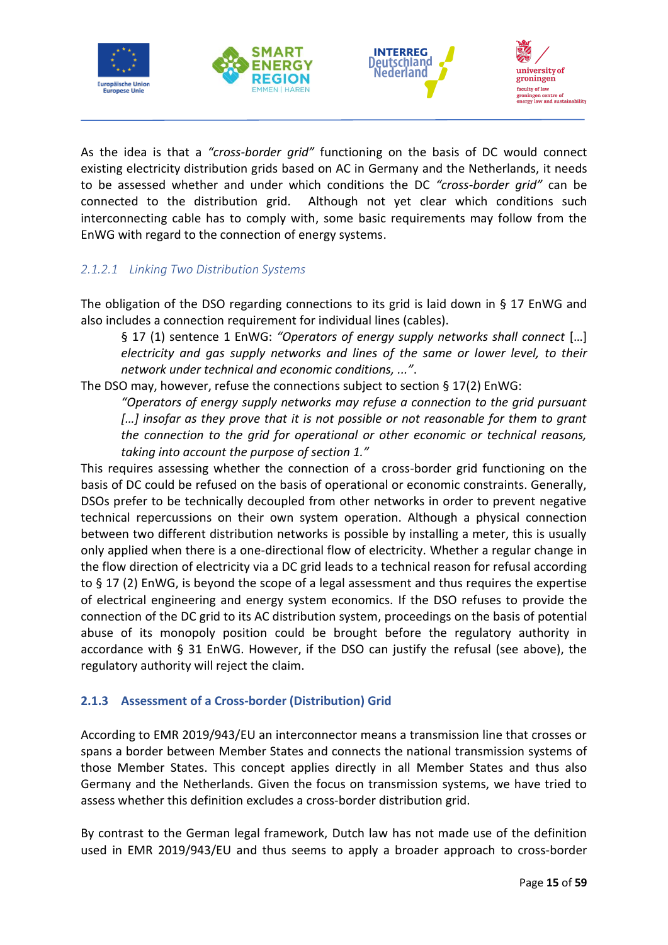



As the idea is that a *"cross-border grid"* functioning on the basis of DC would connect existing electricity distribution grids based on AC in Germany and the Netherlands, it needs to be assessed whether and under which conditions the DC *"cross-border grid"* can be connected to the distribution grid. Although not yet clear which conditions such interconnecting cable has to comply with, some basic requirements may follow from the EnWG with regard to the connection of energy systems.

# <span id="page-17-0"></span>*2.1.2.1 Linking Two Distribution Systems*

The obligation of the DSO regarding connections to its grid is laid down in  $\S$  17 EnWG and also includes a connection requirement for individual lines (cables).

§ 17 (1) sentence 1 EnWG: *"Operators of energy supply networks shall connect* […] *electricity and gas supply networks and lines of the same or lower level, to their network under technical and economic conditions, ..."*.

The DSO may, however, refuse the connections subject to section § 17(2) EnWG:

*"Operators of energy supply networks may refuse a connection to the grid pursuant […] insofar as they prove that it is not possible or not reasonable for them to grant the connection to the grid for operational or other economic or technical reasons, taking into account the purpose of section 1."*

This requires assessing whether the connection of a cross-border grid functioning on the basis of DC could be refused on the basis of operational or economic constraints. Generally, DSOs prefer to be technically decoupled from other networks in order to prevent negative technical repercussions on their own system operation. Although a physical connection between two different distribution networks is possible by installing a meter, this is usually only applied when there is a one-directional flow of electricity. Whether a regular change in the flow direction of electricity via a DC grid leads to a technical reason for refusal according to § 17 (2) EnWG, is beyond the scope of a legal assessment and thus requires the expertise of electrical engineering and energy system economics. If the DSO refuses to provide the connection of the DC grid to its AC distribution system, proceedings on the basis of potential abuse of its monopoly position could be brought before the regulatory authority in accordance with § 31 EnWG. However, if the DSO can justify the refusal (see above), the regulatory authority will reject the claim.

# <span id="page-17-1"></span>**2.1.3 Assessment of a Cross-border (Distribution) Grid**

According to EMR 2019/943/EU an interconnector means a transmission line that crosses or spans a border between Member States and connects the national transmission systems of those Member States. This concept applies directly in all Member States and thus also Germany and the Netherlands. Given the focus on transmission systems, we have tried to assess whether this definition excludes a cross-border distribution grid.

By contrast to the German legal framework, Dutch law has not made use of the definition used in EMR 2019/943/EU and thus seems to apply a broader approach to cross-border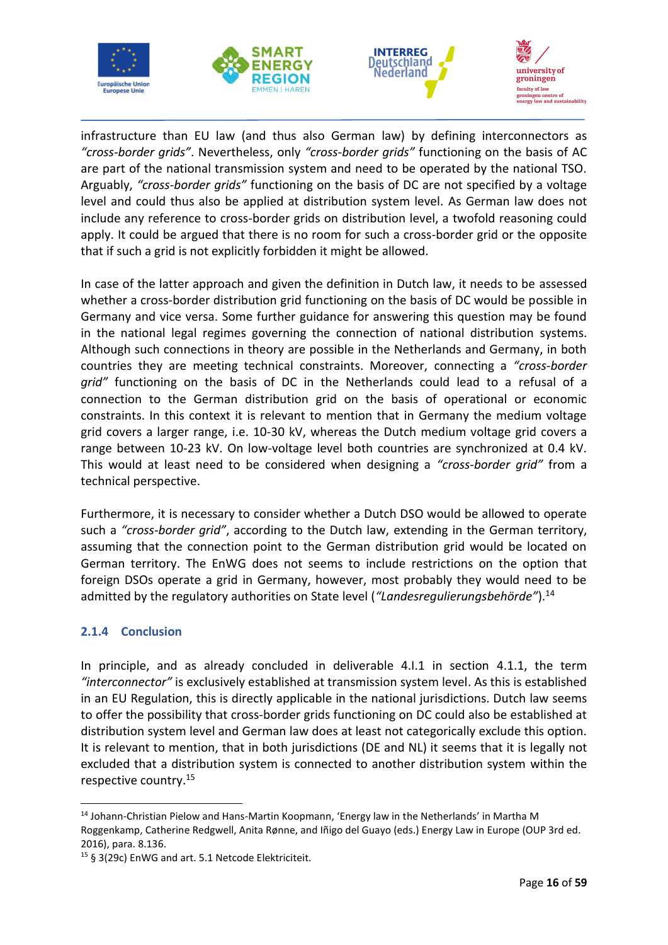







infrastructure than EU law (and thus also German law) by defining interconnectors as *"cross-border grids"*. Nevertheless, only *"cross-border grids"* functioning on the basis of AC are part of the national transmission system and need to be operated by the national TSO. Arguably, *"cross-border grids"* functioning on the basis of DC are not specified by a voltage level and could thus also be applied at distribution system level. As German law does not include any reference to cross-border grids on distribution level, a twofold reasoning could apply. It could be argued that there is no room for such a cross-border grid or the opposite that if such a grid is not explicitly forbidden it might be allowed.

In case of the latter approach and given the definition in Dutch law, it needs to be assessed whether a cross-border distribution grid functioning on the basis of DC would be possible in Germany and vice versa. Some further guidance for answering this question may be found in the national legal regimes governing the connection of national distribution systems. Although such connections in theory are possible in the Netherlands and Germany, in both countries they are meeting technical constraints. Moreover, connecting a *"cross-border grid"* functioning on the basis of DC in the Netherlands could lead to a refusal of a connection to the German distribution grid on the basis of operational or economic constraints. In this context it is relevant to mention that in Germany the medium voltage grid covers a larger range, i.e. 10-30 kV, whereas the Dutch medium voltage grid covers a range between 10-23 kV. On low-voltage level both countries are synchronized at 0.4 kV. This would at least need to be considered when designing a *"cross-border grid"* from a technical perspective.

Furthermore, it is necessary to consider whether a Dutch DSO would be allowed to operate such a *"cross-border grid"*, according to the Dutch law, extending in the German territory, assuming that the connection point to the German distribution grid would be located on German territory. The EnWG does not seems to include restrictions on the option that foreign DSOs operate a grid in Germany, however, most probably they would need to be admitted by the regulatory authorities on State level (*"Landesregulierungsbehörde"*).<sup>14</sup>

### <span id="page-18-0"></span>**2.1.4 Conclusion**

In principle, and as already concluded in deliverable 4.I.1 in section 4.1.1, the term *"interconnector"* is exclusively established at transmission system level. As this is established in an EU Regulation, this is directly applicable in the national jurisdictions. Dutch law seems to offer the possibility that cross-border grids functioning on DC could also be established at distribution system level and German law does at least not categorically exclude this option. It is relevant to mention, that in both jurisdictions (DE and NL) it seems that it is legally not excluded that a distribution system is connected to another distribution system within the respective country. 15

<sup>&</sup>lt;sup>14</sup> Johann-Christian Pielow and Hans-Martin Koopmann, 'Energy law in the Netherlands' in Martha M Roggenkamp, Catherine Redgwell, Anita Rønne, and Iñigo del Guayo (eds.) Energy Law in Europe (OUP 3rd ed. 2016), para. 8.136.

<sup>15</sup> § 3(29c) EnWG and art. 5.1 Netcode Elektriciteit.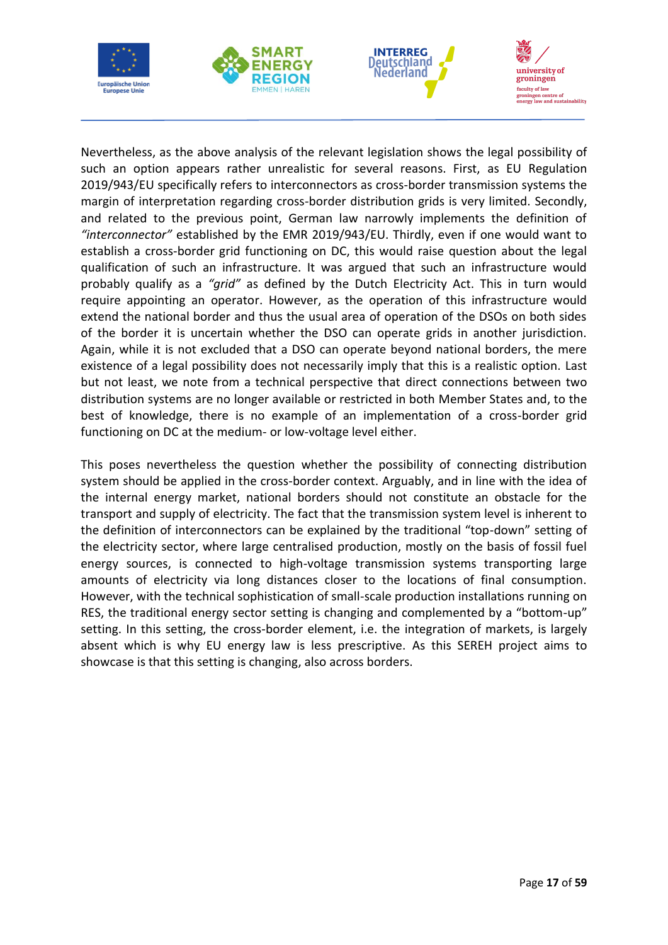







Nevertheless, as the above analysis of the relevant legislation shows the legal possibility of such an option appears rather unrealistic for several reasons. First, as EU Regulation 2019/943/EU specifically refers to interconnectors as cross-border transmission systems the margin of interpretation regarding cross-border distribution grids is very limited. Secondly, and related to the previous point, German law narrowly implements the definition of *"interconnector"* established by the EMR 2019/943/EU. Thirdly, even if one would want to establish a cross-border grid functioning on DC, this would raise question about the legal qualification of such an infrastructure. It was argued that such an infrastructure would probably qualify as a *"grid"* as defined by the Dutch Electricity Act. This in turn would require appointing an operator. However, as the operation of this infrastructure would extend the national border and thus the usual area of operation of the DSOs on both sides of the border it is uncertain whether the DSO can operate grids in another jurisdiction. Again, while it is not excluded that a DSO can operate beyond national borders, the mere existence of a legal possibility does not necessarily imply that this is a realistic option. Last but not least, we note from a technical perspective that direct connections between two distribution systems are no longer available or restricted in both Member States and, to the best of knowledge, there is no example of an implementation of a cross-border grid functioning on DC at the medium- or low-voltage level either.

This poses nevertheless the question whether the possibility of connecting distribution system should be applied in the cross-border context. Arguably, and in line with the idea of the internal energy market, national borders should not constitute an obstacle for the transport and supply of electricity. The fact that the transmission system level is inherent to the definition of interconnectors can be explained by the traditional "top-down" setting of the electricity sector, where large centralised production, mostly on the basis of fossil fuel energy sources, is connected to high-voltage transmission systems transporting large amounts of electricity via long distances closer to the locations of final consumption. However, with the technical sophistication of small-scale production installations running on RES, the traditional energy sector setting is changing and complemented by a "bottom-up" setting. In this setting, the cross-border element, i.e. the integration of markets, is largely absent which is why EU energy law is less prescriptive. As this SEREH project aims to showcase is that this setting is changing, also across borders.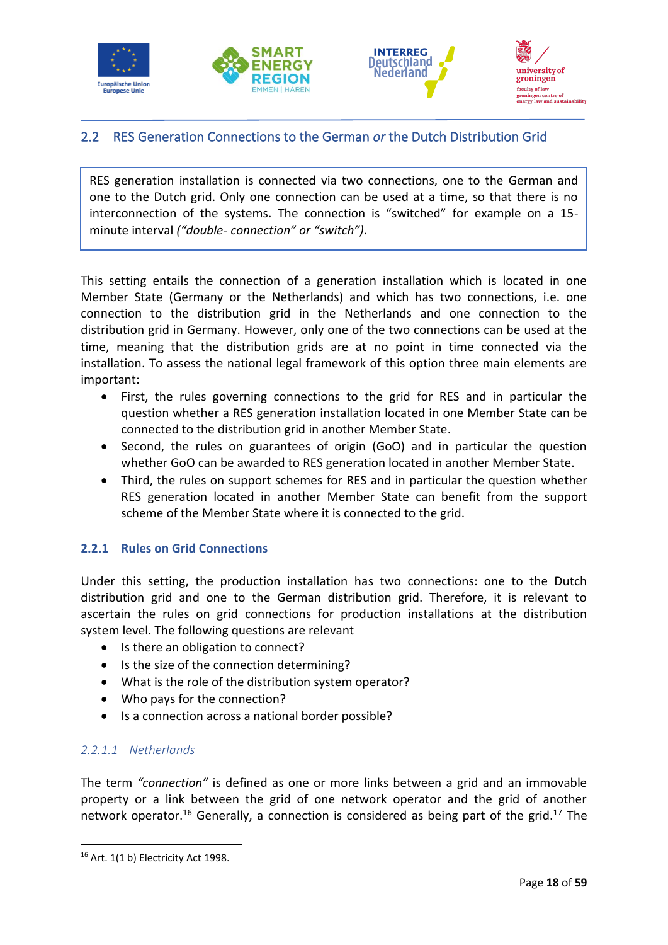







# <span id="page-20-0"></span>2.2 RES Generation Connections to the German *or* the Dutch Distribution Grid

RES generation installation is connected via two connections, one to the German and one to the Dutch grid. Only one connection can be used at a time, so that there is no interconnection of the systems. The connection is "switched" for example on a 15 minute interval *("double- connection" or "switch")*.

This setting entails the connection of a generation installation which is located in one Member State (Germany or the Netherlands) and which has two connections, i.e. one connection to the distribution grid in the Netherlands and one connection to the distribution grid in Germany. However, only one of the two connections can be used at the time, meaning that the distribution grids are at no point in time connected via the installation. To assess the national legal framework of this option three main elements are important:

- First, the rules governing connections to the grid for RES and in particular the question whether a RES generation installation located in one Member State can be connected to the distribution grid in another Member State.
- Second, the rules on guarantees of origin (GoO) and in particular the question whether GoO can be awarded to RES generation located in another Member State.
- Third, the rules on support schemes for RES and in particular the question whether RES generation located in another Member State can benefit from the support scheme of the Member State where it is connected to the grid.

### <span id="page-20-1"></span>**2.2.1 Rules on Grid Connections**

Under this setting, the production installation has two connections: one to the Dutch distribution grid and one to the German distribution grid. Therefore, it is relevant to ascertain the rules on grid connections for production installations at the distribution system level. The following questions are relevant

- Is there an obligation to connect?
- Is the size of the connection determining?
- What is the role of the distribution system operator?
- Who pays for the connection?
- Is a connection across a national border possible?

# <span id="page-20-2"></span>*2.2.1.1 Netherlands*

The term *"connection"* is defined as one or more links between a grid and an immovable property or a link between the grid of one network operator and the grid of another network operator.<sup>16</sup> Generally, a connection is considered as being part of the grid.<sup>17</sup> The

 $16$  Art. 1(1 b) Electricity Act 1998.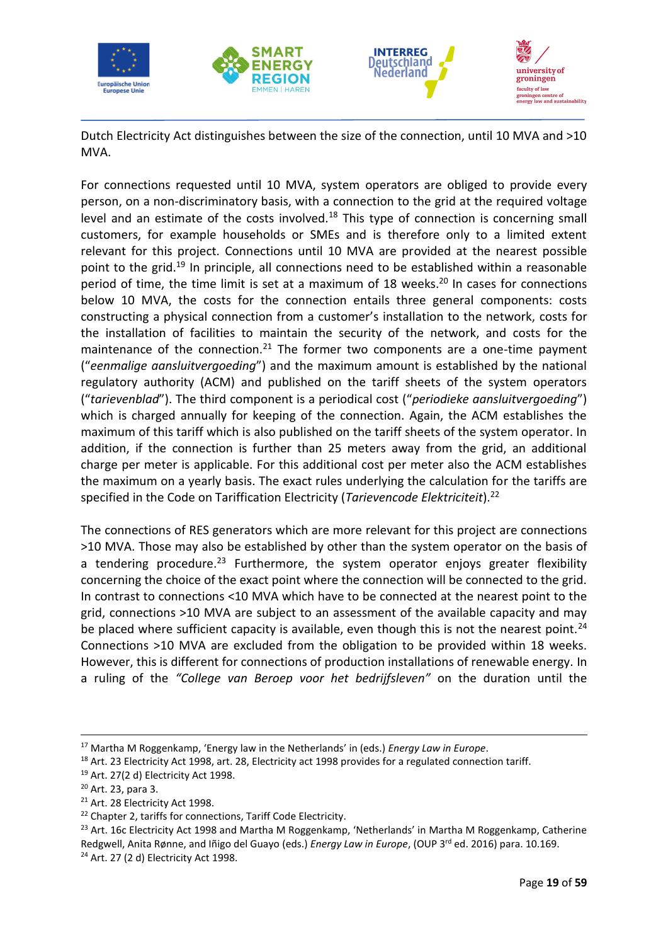

Dutch Electricity Act distinguishes between the size of the connection, until 10 MVA and >10 MVA.

For connections requested until 10 MVA, system operators are obliged to provide every person, on a non-discriminatory basis, with a connection to the grid at the required voltage level and an estimate of the costs involved. $18$  This type of connection is concerning small customers, for example households or SMEs and is therefore only to a limited extent relevant for this project. Connections until 10 MVA are provided at the nearest possible point to the grid.<sup>19</sup> In principle, all connections need to be established within a reasonable period of time, the time limit is set at a maximum of 18 weeks. <sup>20</sup> In cases for connections below 10 MVA, the costs for the connection entails three general components: costs constructing a physical connection from a customer's installation to the network, costs for the installation of facilities to maintain the security of the network, and costs for the maintenance of the connection.<sup>21</sup> The former two components are a one-time payment ("*eenmalige aansluitvergoeding*") and the maximum amount is established by the national regulatory authority (ACM) and published on the tariff sheets of the system operators ("*tarievenblad*"). The third component is a periodical cost ("*periodieke aansluitvergoeding*") which is charged annually for keeping of the connection. Again, the ACM establishes the maximum of this tariff which is also published on the tariff sheets of the system operator. In addition, if the connection is further than 25 meters away from the grid, an additional charge per meter is applicable. For this additional cost per meter also the ACM establishes the maximum on a yearly basis. The exact rules underlying the calculation for the tariffs are specified in the Code on Tariffication Electricity (*Tarievencode Elektriciteit*).<sup>22</sup>

The connections of RES generators which are more relevant for this project are connections >10 MVA. Those may also be established by other than the system operator on the basis of a tendering procedure.<sup>23</sup> Furthermore, the system operator enjoys greater flexibility concerning the choice of the exact point where the connection will be connected to the grid. In contrast to connections <10 MVA which have to be connected at the nearest point to the grid, connections >10 MVA are subject to an assessment of the available capacity and may be placed where sufficient capacity is available, even though this is not the nearest point.<sup>24</sup> Connections >10 MVA are excluded from the obligation to be provided within 18 weeks. However, this is different for connections of production installations of renewable energy. In a ruling of the *"College van Beroep voor het bedrijfsleven"* on the duration until the

<sup>21</sup> Art. 28 Electricity Act 1998.

<sup>17</sup> Martha M Roggenkamp, 'Energy law in the Netherlands' in (eds.) *Energy Law in Europe*.

<sup>&</sup>lt;sup>18</sup> Art. 23 Electricity Act 1998, art. 28, Electricity act 1998 provides for a regulated connection tariff.

<sup>19</sup> Art. 27(2 d) Electricity Act 1998.

<sup>20</sup> Art. 23, para 3.

<sup>&</sup>lt;sup>22</sup> Chapter 2, tariffs for connections, Tariff Code Electricity.

<sup>&</sup>lt;sup>23</sup> Art. 16c Electricity Act 1998 and Martha M Roggenkamp, 'Netherlands' in Martha M Roggenkamp, Catherine Redgwell, Anita Rønne, and Iñigo del Guayo (eds.) *Energy Law in Europe*, (OUP 3rd ed. 2016) para. 10.169. <sup>24</sup> Art. 27 (2 d) Electricity Act 1998.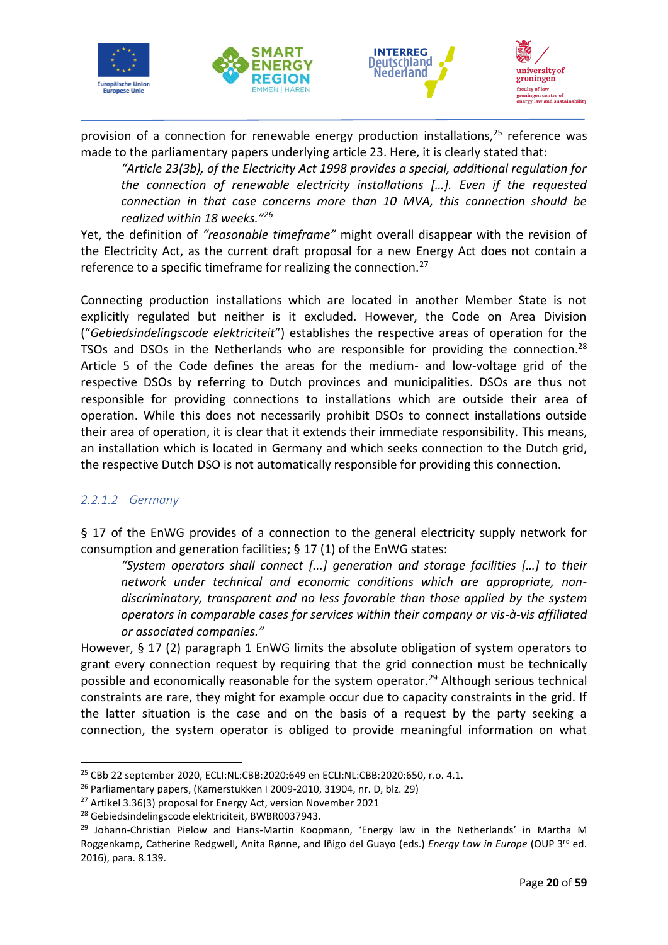







provision of a connection for renewable energy production installations, $25$  reference was made to the parliamentary papers underlying article 23. Here, it is clearly stated that:

*"Article 23(3b), of the Electricity Act 1998 provides a special, additional regulation for the connection of renewable electricity installations […]. Even if the requested connection in that case concerns more than 10 MVA, this connection should be realized within 18 weeks."<sup>26</sup>*

Yet, the definition of *"reasonable timeframe"* might overall disappear with the revision of the Electricity Act, as the current draft proposal for a new Energy Act does not contain a reference to a specific timeframe for realizing the connection.<sup>27</sup>

Connecting production installations which are located in another Member State is not explicitly regulated but neither is it excluded. However, the Code on Area Division ("*Gebiedsindelingscode elektriciteit*") establishes the respective areas of operation for the TSOs and DSOs in the Netherlands who are responsible for providing the connection.<sup>28</sup> Article 5 of the Code defines the areas for the medium- and low-voltage grid of the respective DSOs by referring to Dutch provinces and municipalities. DSOs are thus not responsible for providing connections to installations which are outside their area of operation. While this does not necessarily prohibit DSOs to connect installations outside their area of operation, it is clear that it extends their immediate responsibility. This means, an installation which is located in Germany and which seeks connection to the Dutch grid, the respective Dutch DSO is not automatically responsible for providing this connection.

#### <span id="page-22-0"></span>*2.2.1.2 Germany*

§ 17 of the EnWG provides of a connection to the general electricity supply network for consumption and generation facilities; § 17 (1) of the EnWG states:

*"System operators shall connect [...] generation and storage facilities […] to their network under technical and economic conditions which are appropriate, nondiscriminatory, transparent and no less favorable than those applied by the system operators in comparable cases for services within their company or vis-à-vis affiliated or associated companies."*

However, § 17 (2) paragraph 1 EnWG limits the absolute obligation of system operators to grant every connection request by requiring that the grid connection must be technically possible and economically reasonable for the system operator.<sup>29</sup> Although serious technical constraints are rare, they might for example occur due to capacity constraints in the grid. If the latter situation is the case and on the basis of a request by the party seeking a connection, the system operator is obliged to provide meaningful information on what

<sup>25</sup> CBb 22 september 2020, ECLI:NL:CBB:2020:649 en ECLI:NL:CBB:2020:650, r.o. 4.1.

<sup>26</sup> Parliamentary papers, (Kamerstukken I 2009-2010, 31904, nr. D, blz. 29)

<sup>27</sup> Artikel 3.36(3) proposal for Energy Act, version November 2021

<sup>&</sup>lt;sup>28</sup> Gebiedsindelingscode elektriciteit, BWBR0037943.

<sup>&</sup>lt;sup>29</sup> Johann-Christian Pielow and Hans-Martin Koopmann, 'Energy law in the Netherlands' in Martha M Roggenkamp, Catherine Redgwell, Anita Rønne, and Iñigo del Guayo (eds.) *Energy Law in Europe* (OUP 3rd ed. 2016), para. 8.139.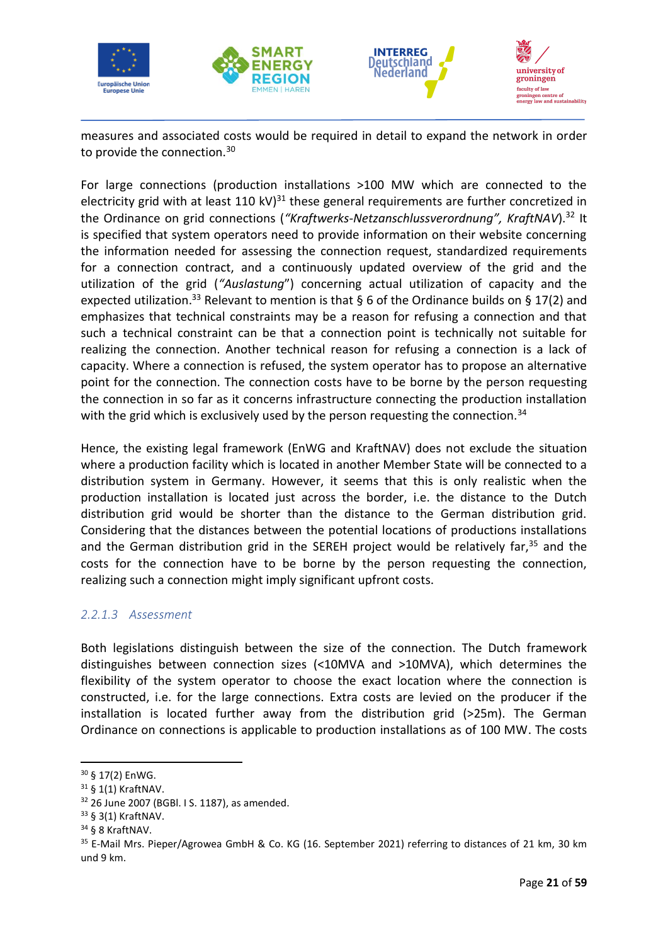







measures and associated costs would be required in detail to expand the network in order to provide the connection.<sup>30</sup>

For large connections (production installations >100 MW which are connected to the electricity grid with at least 110 kV) $^{31}$  these general requirements are further concretized in the Ordinance on grid connections (*"Kraftwerks-Netzanschlussverordnung", KraftNAV*).<sup>32</sup> It is specified that system operators need to provide information on their website concerning the information needed for assessing the connection request, standardized requirements for a connection contract, and a continuously updated overview of the grid and the utilization of the grid (*"Auslastung*") concerning actual utilization of capacity and the expected utilization.<sup>33</sup> Relevant to mention is that § 6 of the Ordinance builds on § 17(2) and emphasizes that technical constraints may be a reason for refusing a connection and that such a technical constraint can be that a connection point is technically not suitable for realizing the connection. Another technical reason for refusing a connection is a lack of capacity. Where a connection is refused, the system operator has to propose an alternative point for the connection. The connection costs have to be borne by the person requesting the connection in so far as it concerns infrastructure connecting the production installation with the grid which is exclusively used by the person requesting the connection.<sup>34</sup>

Hence, the existing legal framework (EnWG and KraftNAV) does not exclude the situation where a production facility which is located in another Member State will be connected to a distribution system in Germany. However, it seems that this is only realistic when the production installation is located just across the border, i.e. the distance to the Dutch distribution grid would be shorter than the distance to the German distribution grid. Considering that the distances between the potential locations of productions installations and the German distribution grid in the SEREH project would be relatively far,  $35$  and the costs for the connection have to be borne by the person requesting the connection, realizing such a connection might imply significant upfront costs.

### <span id="page-23-0"></span>*2.2.1.3 Assessment*

Both legislations distinguish between the size of the connection. The Dutch framework distinguishes between connection sizes (<10MVA and >10MVA), which determines the flexibility of the system operator to choose the exact location where the connection is constructed, i.e. for the large connections. Extra costs are levied on the producer if the installation is located further away from the distribution grid (>25m). The German Ordinance on connections is applicable to production installations as of 100 MW. The costs

<sup>30</sup> § 17(2) EnWG.

<sup>31</sup> § 1(1) KraftNAV.

<sup>32</sup> 26 June 2007 (BGBl. I S. 1187), as amended.

<sup>33</sup> § 3(1) KraftNAV.

<sup>34</sup> § 8 KraftNAV.

<sup>35</sup> E-Mail Mrs. Pieper/Agrowea GmbH & Co. KG (16. September 2021) referring to distances of 21 km, 30 km und 9 km.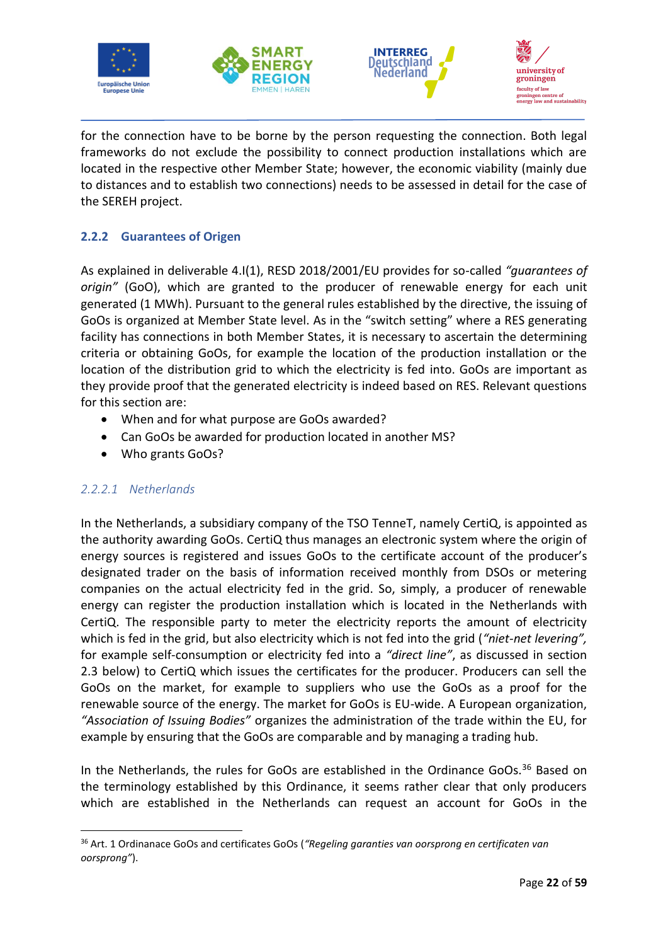







for the connection have to be borne by the person requesting the connection. Both legal frameworks do not exclude the possibility to connect production installations which are located in the respective other Member State; however, the economic viability (mainly due to distances and to establish two connections) needs to be assessed in detail for the case of the SEREH project.

# <span id="page-24-0"></span>**2.2.2 Guarantees of Origen**

As explained in deliverable 4.I(1), RESD 2018/2001/EU provides for so-called *"guarantees of origin"* (GoO), which are granted to the producer of renewable energy for each unit generated (1 MWh). Pursuant to the general rules established by the directive, the issuing of GoOs is organized at Member State level. As in the "switch setting" where a RES generating facility has connections in both Member States, it is necessary to ascertain the determining criteria or obtaining GoOs, for example the location of the production installation or the location of the distribution grid to which the electricity is fed into. GoOs are important as they provide proof that the generated electricity is indeed based on RES. Relevant questions for this section are:

- When and for what purpose are GoOs awarded?
- Can GoOs be awarded for production located in another MS?
- Who grants GoOs?

### <span id="page-24-1"></span>*2.2.2.1 Netherlands*

In the Netherlands, a subsidiary company of the TSO TenneT, namely CertiQ, is appointed as the authority awarding GoOs. CertiQ thus manages an electronic system where the origin of energy sources is registered and issues GoOs to the certificate account of the producer's designated trader on the basis of information received monthly from DSOs or metering companies on the actual electricity fed in the grid. So, simply, a producer of renewable energy can register the production installation which is located in the Netherlands with CertiQ. The responsible party to meter the electricity reports the amount of electricity which is fed in the grid, but also electricity which is not fed into the grid (*"niet-net levering",*  for example self-consumption or electricity fed into a *"direct line"*, as discussed in section 2.3 below) to CertiQ which issues the certificates for the producer. Producers can sell the GoOs on the market, for example to suppliers who use the GoOs as a proof for the renewable source of the energy. The market for GoOs is EU-wide. A European organization, *"Association of Issuing Bodies"* organizes the administration of the trade within the EU, for example by ensuring that the GoOs are comparable and by managing a trading hub.

In the Netherlands, the rules for GoOs are established in the Ordinance GoOs.<sup>36</sup> Based on the terminology established by this Ordinance, it seems rather clear that only producers which are established in the Netherlands can request an account for GoOs in the

<sup>36</sup> Art. 1 Ordinanace GoOs and certificates GoOs (*"Regeling garanties van oorsprong en certificaten van oorsprong"*).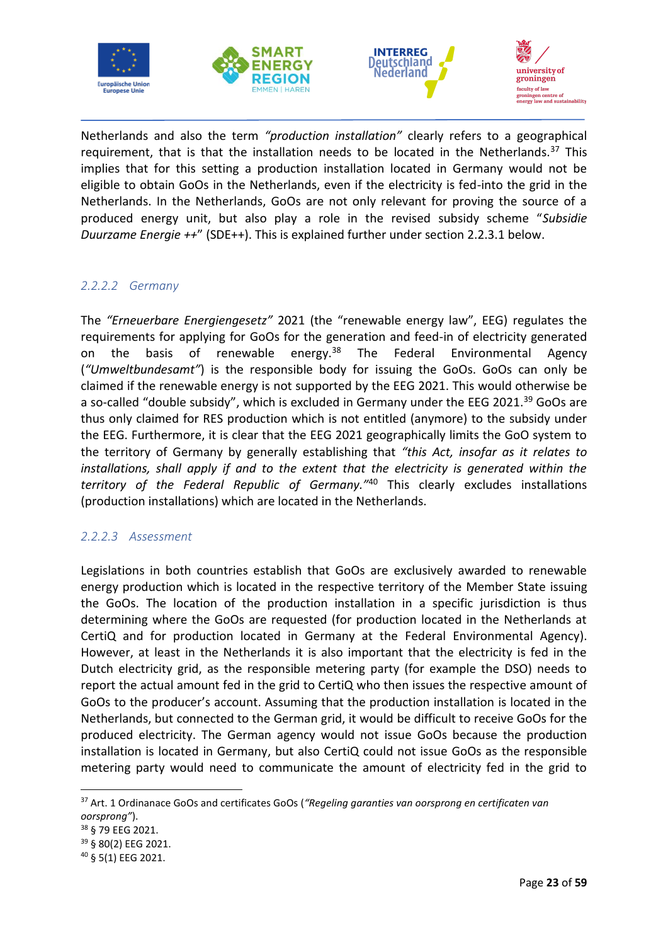







Netherlands and also the term *"production installation"* clearly refers to a geographical requirement, that is that the installation needs to be located in the Netherlands. $37$  This implies that for this setting a production installation located in Germany would not be eligible to obtain GoOs in the Netherlands, even if the electricity is fed-into the grid in the Netherlands. In the Netherlands, GoOs are not only relevant for proving the source of a produced energy unit, but also play a role in the revised subsidy scheme "*Subsidie Duurzame Energie ++*" (SDE++). This is explained further under section 2.2.3.1 below.

### <span id="page-25-0"></span>*2.2.2.2 Germany*

The *"Erneuerbare Energiengesetz"* 2021 (the "renewable energy law", EEG) regulates the requirements for applying for GoOs for the generation and feed-in of electricity generated on the basis of renewable energy.<sup>38</sup> The Federal Environmental Agency (*"Umweltbundesamt"*) is the responsible body for issuing the GoOs. GoOs can only be claimed if the renewable energy is not supported by the EEG 2021. This would otherwise be a so-called "double subsidy", which is excluded in Germany under the EEG 2021.<sup>39</sup> GoOs are thus only claimed for RES production which is not entitled (anymore) to the subsidy under the EEG. Furthermore, it is clear that the EEG 2021 geographically limits the GoO system to the territory of Germany by generally establishing that *"this Act, insofar as it relates to installations, shall apply if and to the extent that the electricity is generated within the territory of the Federal Republic of Germany."*<sup>40</sup> This clearly excludes installations (production installations) which are located in the Netherlands.

#### <span id="page-25-1"></span>*2.2.2.3 Assessment*

Legislations in both countries establish that GoOs are exclusively awarded to renewable energy production which is located in the respective territory of the Member State issuing the GoOs. The location of the production installation in a specific jurisdiction is thus determining where the GoOs are requested (for production located in the Netherlands at CertiQ and for production located in Germany at the Federal Environmental Agency). However, at least in the Netherlands it is also important that the electricity is fed in the Dutch electricity grid, as the responsible metering party (for example the DSO) needs to report the actual amount fed in the grid to CertiQ who then issues the respective amount of GoOs to the producer's account. Assuming that the production installation is located in the Netherlands, but connected to the German grid, it would be difficult to receive GoOs for the produced electricity. The German agency would not issue GoOs because the production installation is located in Germany, but also CertiQ could not issue GoOs as the responsible metering party would need to communicate the amount of electricity fed in the grid to

<sup>37</sup> Art. 1 Ordinanace GoOs and certificates GoOs (*"Regeling garanties van oorsprong en certificaten van oorsprong"*).

<sup>38</sup> § 79 EEG 2021.

<sup>39</sup> § 80(2) EEG 2021.

<sup>40</sup> § 5(1) EEG 2021.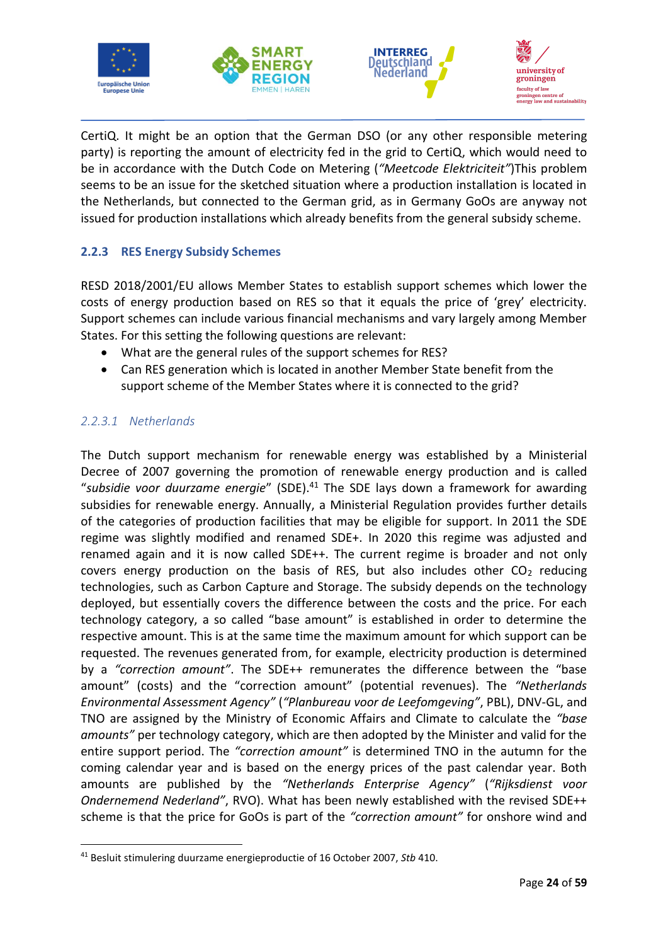







CertiQ. It might be an option that the German DSO (or any other responsible metering party) is reporting the amount of electricity fed in the grid to CertiQ, which would need to be in accordance with the Dutch Code on Metering (*"Meetcode Elektriciteit"*)This problem seems to be an issue for the sketched situation where a production installation is located in the Netherlands, but connected to the German grid, as in Germany GoOs are anyway not issued for production installations which already benefits from the general subsidy scheme.

# <span id="page-26-0"></span>**2.2.3 RES Energy Subsidy Schemes**

RESD 2018/2001/EU allows Member States to establish support schemes which lower the costs of energy production based on RES so that it equals the price of 'grey' electricity. Support schemes can include various financial mechanisms and vary largely among Member States. For this setting the following questions are relevant:

- What are the general rules of the support schemes for RES?
- Can RES generation which is located in another Member State benefit from the support scheme of the Member States where it is connected to the grid?

# <span id="page-26-1"></span>*2.2.3.1 Netherlands*

The Dutch support mechanism for renewable energy was established by a Ministerial Decree of 2007 governing the promotion of renewable energy production and is called "*subsidie voor duurzame energie*" (SDE).<sup>41</sup> The SDE lays down a framework for awarding subsidies for renewable energy. Annually, a Ministerial Regulation provides further details of the categories of production facilities that may be eligible for support. In 2011 the SDE regime was slightly modified and renamed SDE+. In 2020 this regime was adjusted and renamed again and it is now called SDE++. The current regime is broader and not only covers energy production on the basis of RES, but also includes other  $CO<sub>2</sub>$  reducing technologies, such as Carbon Capture and Storage. The subsidy depends on the technology deployed, but essentially covers the difference between the costs and the price. For each technology category, a so called "base amount" is established in order to determine the respective amount. This is at the same time the maximum amount for which support can be requested. The revenues generated from, for example, electricity production is determined by a *"correction amount"*. The SDE++ remunerates the difference between the "base amount" (costs) and the "correction amount" (potential revenues). The *"Netherlands Environmental Assessment Agency"* (*"Planbureau voor de Leefomgeving"*, PBL), DNV-GL, and TNO are assigned by the Ministry of Economic Affairs and Climate to calculate the *"base amounts"* per technology category, which are then adopted by the Minister and valid for the entire support period. The *"correction amount"* is determined TNO in the autumn for the coming calendar year and is based on the energy prices of the past calendar year. Both amounts are published by the *"Netherlands Enterprise Agency"* (*"Rijksdienst voor Ondernemend Nederland"*, RVO). What has been newly established with the revised SDE++ scheme is that the price for GoOs is part of the *"correction amount"* for onshore wind and

<sup>41</sup> Besluit stimulering duurzame energieproductie of 16 October 2007, *Stb* 410.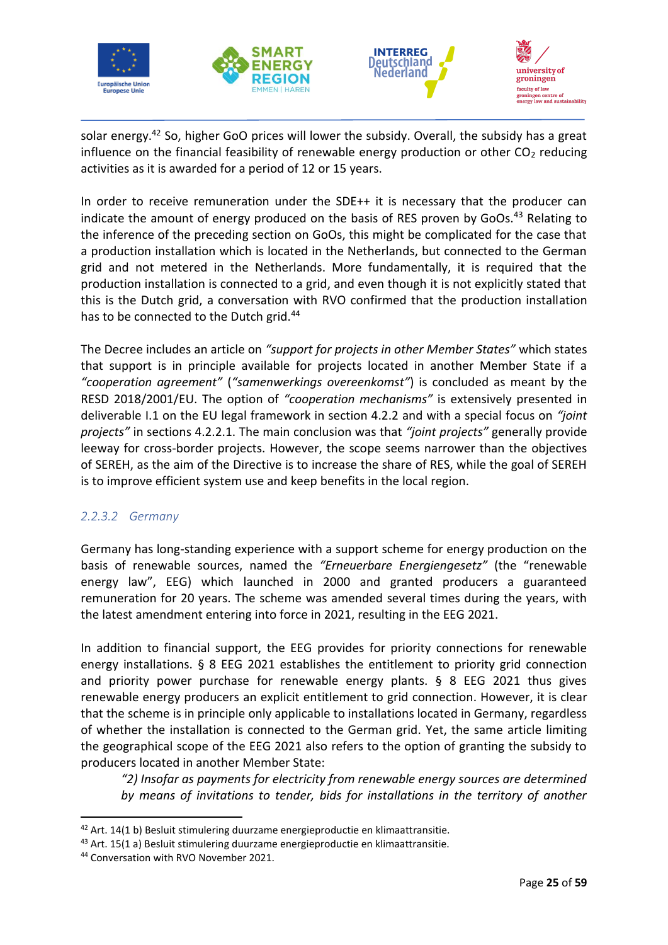







solar energy.<sup>42</sup> So, higher GoO prices will lower the subsidy. Overall, the subsidy has a great influence on the financial feasibility of renewable energy production or other  $CO<sub>2</sub>$  reducing activities as it is awarded for a period of 12 or 15 years.

In order to receive remuneration under the SDE++ it is necessary that the producer can indicate the amount of energy produced on the basis of RES proven by GoOs.<sup>43</sup> Relating to the inference of the preceding section on GoOs, this might be complicated for the case that a production installation which is located in the Netherlands, but connected to the German grid and not metered in the Netherlands. More fundamentally, it is required that the production installation is connected to a grid, and even though it is not explicitly stated that this is the Dutch grid, a conversation with RVO confirmed that the production installation has to be connected to the Dutch grid.<sup>44</sup>

The Decree includes an article on *"support for projects in other Member States"* which states that support is in principle available for projects located in another Member State if a *"cooperation agreement"* (*"samenwerkings overeenkomst"*) is concluded as meant by the RESD 2018/2001/EU. The option of *"cooperation mechanisms"* is extensively presented in deliverable I.1 on the EU legal framework in section 4.2.2 and with a special focus on *"joint projects"* in sections 4.2.2.1. The main conclusion was that *"joint projects"* generally provide leeway for cross-border projects. However, the scope seems narrower than the objectives of SEREH, as the aim of the Directive is to increase the share of RES, while the goal of SEREH is to improve efficient system use and keep benefits in the local region.

# <span id="page-27-0"></span>*2.2.3.2 Germany*

Germany has long-standing experience with a support scheme for energy production on the basis of renewable sources, named the *"Erneuerbare Energiengesetz"* (the "renewable energy law", EEG) which launched in 2000 and granted producers a guaranteed remuneration for 20 years. The scheme was amended several times during the years, with the latest amendment entering into force in 2021, resulting in the EEG 2021.

In addition to financial support, the EEG provides for priority connections for renewable energy installations. § 8 EEG 2021 establishes the entitlement to priority grid connection and priority power purchase for renewable energy plants. § 8 EEG 2021 thus gives renewable energy producers an explicit entitlement to grid connection. However, it is clear that the scheme is in principle only applicable to installations located in Germany, regardless of whether the installation is connected to the German grid. Yet, the same article limiting the geographical scope of the EEG 2021 also refers to the option of granting the subsidy to producers located in another Member State:

*"2) Insofar as payments for electricity from renewable energy sources are determined by means of invitations to tender, bids for installations in the territory of another* 

<sup>&</sup>lt;sup>42</sup> Art. 14(1 b) Besluit stimulering duurzame energieproductie en klimaattransitie.

<sup>&</sup>lt;sup>43</sup> Art. 15(1 a) Besluit stimulering duurzame energieproductie en klimaattransitie.

<sup>44</sup> Conversation with RVO November 2021.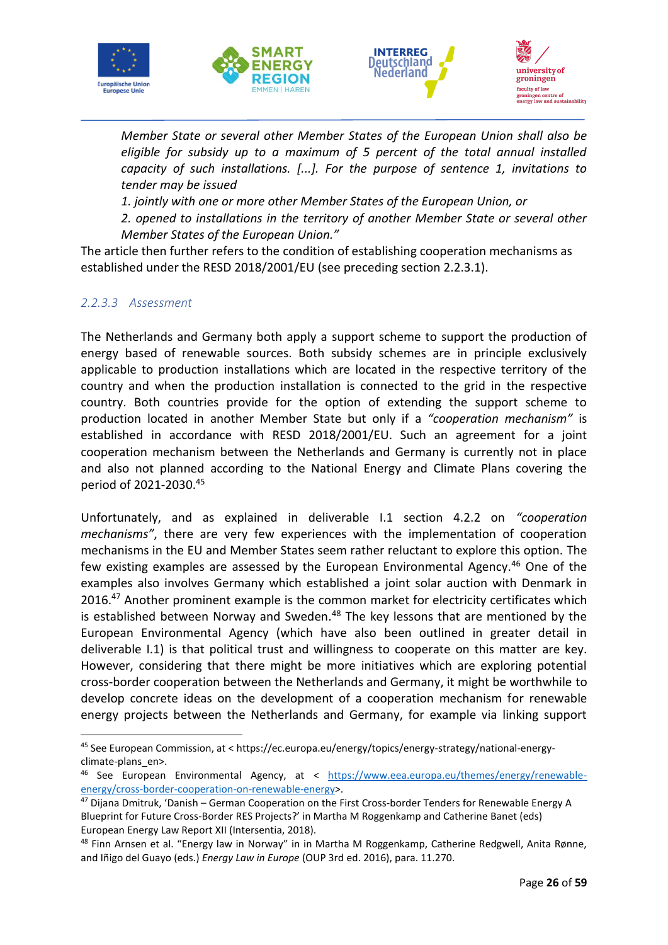







*Member State or several other Member States of the European Union shall also be eligible for subsidy up to a maximum of 5 percent of the total annual installed capacity of such installations. [...]. For the purpose of sentence 1, invitations to tender may be issued*

*1. jointly with one or more other Member States of the European Union, or*

*2. opened to installations in the territory of another Member State or several other Member States of the European Union."*

The article then further refers to the condition of establishing cooperation mechanisms as established under the RESD 2018/2001/EU (see preceding section 2.2.3.1).

### <span id="page-28-0"></span>*2.2.3.3 Assessment*

The Netherlands and Germany both apply a support scheme to support the production of energy based of renewable sources. Both subsidy schemes are in principle exclusively applicable to production installations which are located in the respective territory of the country and when the production installation is connected to the grid in the respective country. Both countries provide for the option of extending the support scheme to production located in another Member State but only if a *"cooperation mechanism"* is established in accordance with RESD 2018/2001/EU. Such an agreement for a joint cooperation mechanism between the Netherlands and Germany is currently not in place and also not planned according to the National Energy and Climate Plans covering the period of 2021-2030. 45

Unfortunately, and as explained in deliverable I.1 section 4.2.2 on *"cooperation mechanisms"*, there are very few experiences with the implementation of cooperation mechanisms in the EU and Member States seem rather reluctant to explore this option. The few existing examples are assessed by the European Environmental Agency.<sup>46</sup> One of the examples also involves Germany which established a joint solar auction with Denmark in 2016.<sup>47</sup> Another prominent example is the common market for electricity certificates which is established between Norway and Sweden. $48$  The key lessons that are mentioned by the European Environmental Agency (which have also been outlined in greater detail in deliverable I.1) is that political trust and willingness to cooperate on this matter are key. However, considering that there might be more initiatives which are exploring potential cross-border cooperation between the Netherlands and Germany, it might be worthwhile to develop concrete ideas on the development of a cooperation mechanism for renewable energy projects between the Netherlands and Germany, for example via linking support

<sup>45</sup> See European Commission, at < https://ec.europa.eu/energy/topics/energy-strategy/national-energyclimate-plans\_en>.

<sup>46</sup> See European Environmental Agency, at < [https://www.eea.europa.eu/themes/energy/renewable](https://www.eea.europa.eu/themes/energy/renewable-energy/cross-border-cooperation-on-renewable-energy)[energy/cross-border-cooperation-on-renewable-energy>](https://www.eea.europa.eu/themes/energy/renewable-energy/cross-border-cooperation-on-renewable-energy).

<sup>47</sup> Dijana Dmitruk, 'Danish – German Cooperation on the First Cross-border Tenders for Renewable Energy A Blueprint for Future Cross-Border RES Projects?' in Martha M Roggenkamp and Catherine Banet (eds) European Energy Law Report XII (Intersentia, 2018).

<sup>48</sup> Finn Arnsen et al. "Energy law in Norway" in in Martha M Roggenkamp, Catherine Redgwell, Anita Rønne, and Iñigo del Guayo (eds.) *Energy Law in Europe* (OUP 3rd ed. 2016), para. 11.270.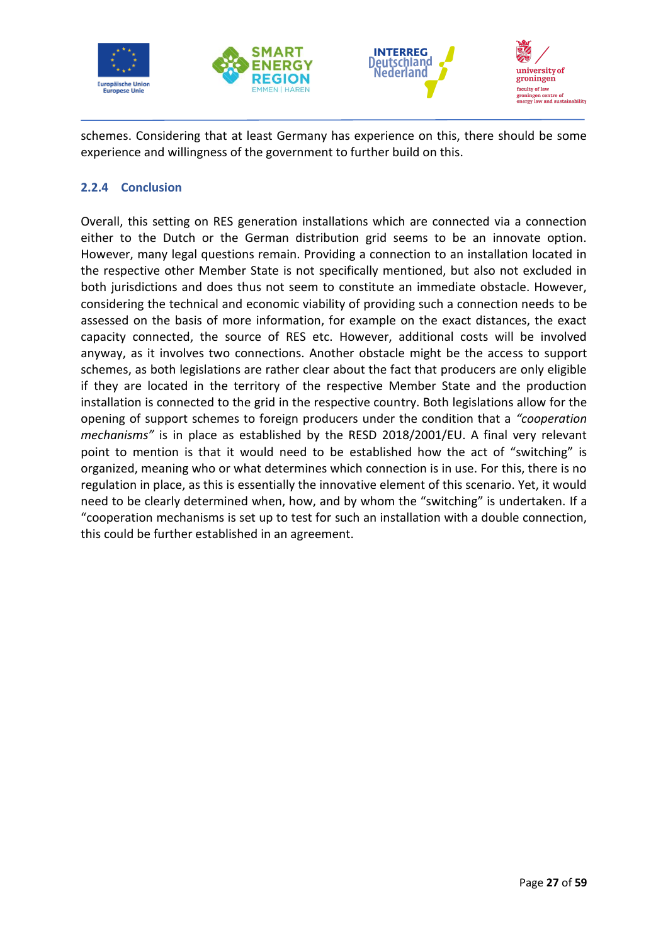







schemes. Considering that at least Germany has experience on this, there should be some experience and willingness of the government to further build on this.

### <span id="page-29-0"></span>**2.2.4 Conclusion**

Overall, this setting on RES generation installations which are connected via a connection either to the Dutch or the German distribution grid seems to be an innovate option. However, many legal questions remain. Providing a connection to an installation located in the respective other Member State is not specifically mentioned, but also not excluded in both jurisdictions and does thus not seem to constitute an immediate obstacle. However, considering the technical and economic viability of providing such a connection needs to be assessed on the basis of more information, for example on the exact distances, the exact capacity connected, the source of RES etc. However, additional costs will be involved anyway, as it involves two connections. Another obstacle might be the access to support schemes, as both legislations are rather clear about the fact that producers are only eligible if they are located in the territory of the respective Member State and the production installation is connected to the grid in the respective country. Both legislations allow for the opening of support schemes to foreign producers under the condition that a *"cooperation mechanisms"* is in place as established by the RESD 2018/2001/EU. A final very relevant point to mention is that it would need to be established how the act of "switching" is organized, meaning who or what determines which connection is in use. For this, there is no regulation in place, as this is essentially the innovative element of this scenario. Yet, it would need to be clearly determined when, how, and by whom the "switching" is undertaken. If a "cooperation mechanisms is set up to test for such an installation with a double connection, this could be further established in an agreement.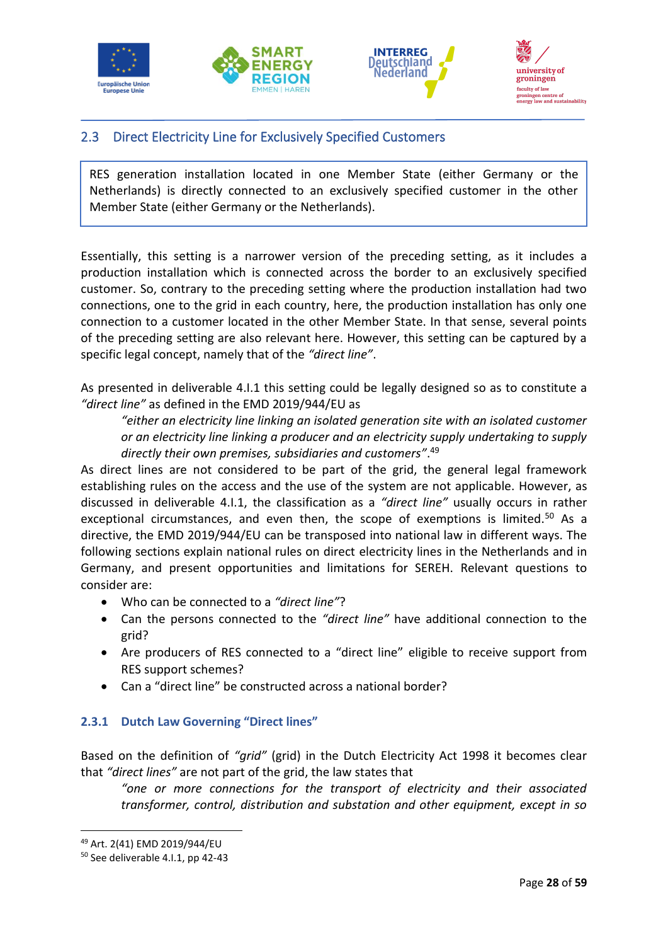







# <span id="page-30-0"></span>2.3 Direct Electricity Line for Exclusively Specified Customers

RES generation installation located in one Member State (either Germany or the Netherlands) is directly connected to an exclusively specified customer in the other Member State (either Germany or the Netherlands).

Essentially, this setting is a narrower version of the preceding setting, as it includes a production installation which is connected across the border to an exclusively specified customer. So, contrary to the preceding setting where the production installation had two connections, one to the grid in each country, here, the production installation has only one connection to a customer located in the other Member State. In that sense, several points of the preceding setting are also relevant here. However, this setting can be captured by a specific legal concept, namely that of the *"direct line"*.

As presented in deliverable 4.I.1 this setting could be legally designed so as to constitute a *"direct line"* as defined in the EMD 2019/944/EU as

*"either an electricity line linking an isolated generation site with an isolated customer or an electricity line linking a producer and an electricity supply undertaking to supply directly their own premises, subsidiaries and customers"*. 49

As direct lines are not considered to be part of the grid, the general legal framework establishing rules on the access and the use of the system are not applicable. However, as discussed in deliverable 4.I.1, the classification as a *"direct line"* usually occurs in rather exceptional circumstances, and even then, the scope of exemptions is limited.<sup>50</sup> As a directive, the EMD 2019/944/EU can be transposed into national law in different ways. The following sections explain national rules on direct electricity lines in the Netherlands and in Germany, and present opportunities and limitations for SEREH. Relevant questions to consider are:

- Who can be connected to a *"direct line"*?
- Can the persons connected to the *"direct line"* have additional connection to the grid?
- Are producers of RES connected to a "direct line" eligible to receive support from RES support schemes?
- Can a "direct line" be constructed across a national border?

### <span id="page-30-1"></span>**2.3.1 Dutch Law Governing "Direct lines"**

Based on the definition of *"grid"* (grid) in the Dutch Electricity Act 1998 it becomes clear that *"direct lines"* are not part of the grid, the law states that

*"one or more connections for the transport of electricity and their associated transformer, control, distribution and substation and other equipment, except in so* 

<sup>49</sup> Art. 2(41) EMD 2019/944/EU

<sup>50</sup> See deliverable 4.I.1, pp 42-43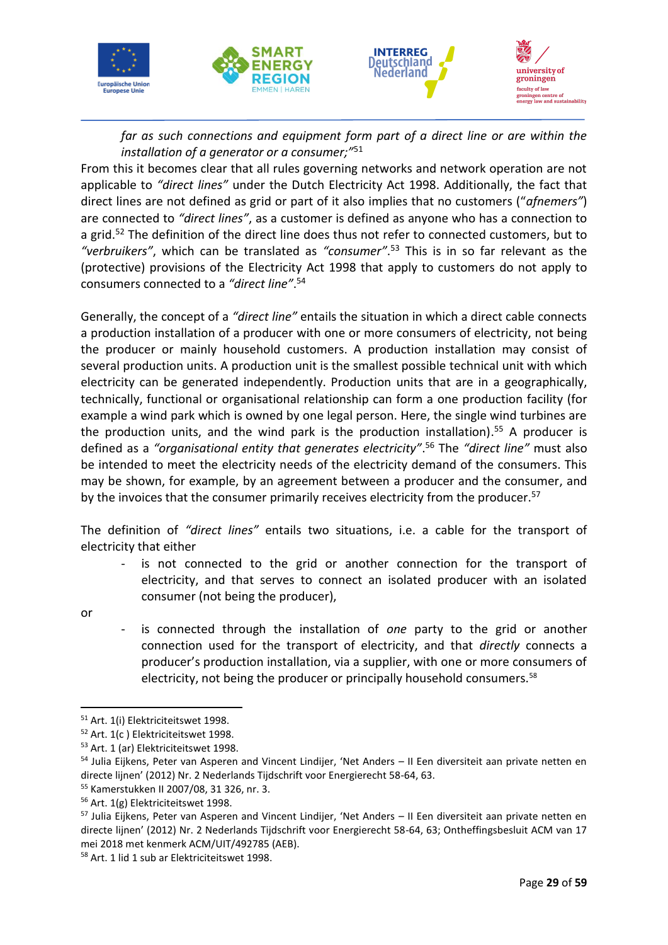

*far as such connections and equipment form part of a direct line or are within the installation of a generator or a consumer;"*<sup>51</sup>

From this it becomes clear that all rules governing networks and network operation are not applicable to *"direct lines"* under the Dutch Electricity Act 1998. Additionally, the fact that direct lines are not defined as grid or part of it also implies that no customers ("*afnemers"*) are connected to *"direct lines"*, as a customer is defined as anyone who has a connection to a grid.<sup>52</sup> The definition of the direct line does thus not refer to connected customers, but to *"verbruikers"*, which can be translated as *"consumer"*. <sup>53</sup> This is in so far relevant as the (protective) provisions of the Electricity Act 1998 that apply to customers do not apply to consumers connected to a *"direct line"*. 54

Generally, the concept of a *"direct line"* entails the situation in which a direct cable connects a production installation of a producer with one or more consumers of electricity, not being the producer or mainly household customers. A production installation may consist of several production units. A production unit is the smallest possible technical unit with which electricity can be generated independently. Production units that are in a geographically, technically, functional or organisational relationship can form a one production facility (for example a wind park which is owned by one legal person. Here, the single wind turbines are the production units, and the wind park is the production installation).<sup>55</sup> A producer is defined as a *"organisational entity that generates electricity"*. <sup>56</sup> The *"direct line"* must also be intended to meet the electricity needs of the electricity demand of the consumers. This may be shown, for example, by an agreement between a producer and the consumer, and by the invoices that the consumer primarily receives electricity from the producer.<sup>57</sup>

The definition of *"direct lines"* entails two situations, i.e. a cable for the transport of electricity that either

- is not connected to the grid or another connection for the transport of electricity, and that serves to connect an isolated producer with an isolated consumer (not being the producer),
- or
- is connected through the installation of *one* party to the grid or another connection used for the transport of electricity, and that *directly* connects a producer's production installation, via a supplier, with one or more consumers of electricity, not being the producer or principally household consumers.<sup>58</sup>

<sup>&</sup>lt;sup>51</sup> Art. 1(i) Elektriciteitswet 1998.

<sup>52</sup> Art. 1(c ) Elektriciteitswet 1998.

<sup>53</sup> Art. 1 (ar) Elektriciteitswet 1998.

<sup>54</sup> Julia Eijkens, Peter van Asperen and Vincent Lindijer, 'Net Anders – II Een diversiteit aan private netten en directe lijnen' (2012) Nr. 2 Nederlands Tijdschrift voor Energierecht 58-64, 63.

<sup>55</sup> Kamerstukken II 2007/08, 31 326, nr. 3.

<sup>56</sup> Art. 1(g) Elektriciteitswet 1998.

<sup>&</sup>lt;sup>57</sup> Julia Eijkens, Peter van Asperen and Vincent Lindijer, 'Net Anders – II Een diversiteit aan private netten en directe lijnen' (2012) Nr. 2 Nederlands Tijdschrift voor Energierecht 58-64, 63; Ontheffingsbesluit ACM van 17 mei 2018 met kenmerk ACM/UIT/492785 (AEB).

<sup>58</sup> Art. 1 lid 1 sub ar Elektriciteitswet 1998.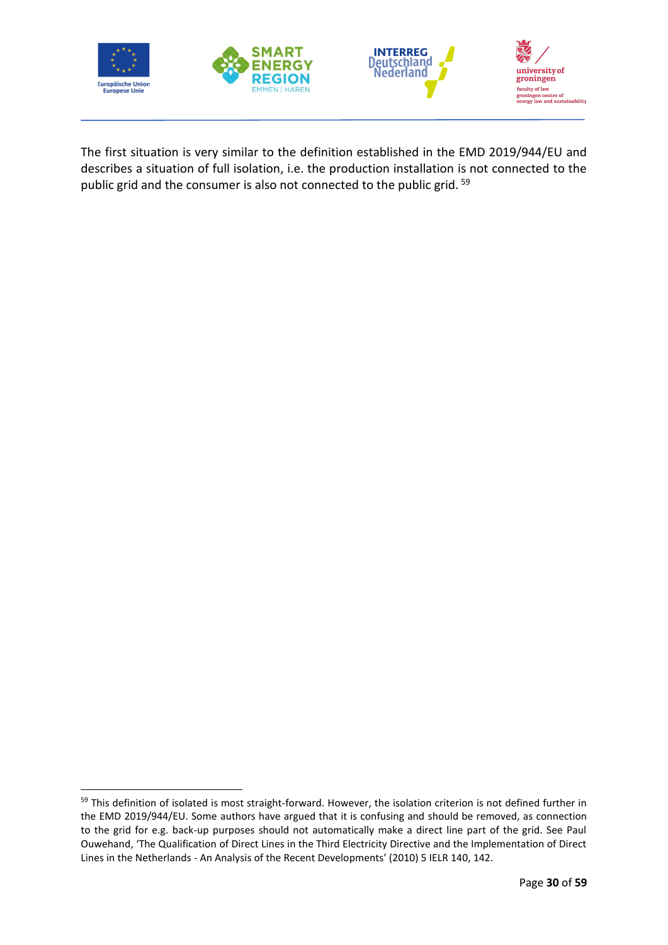

The first situation is very similar to the definition established in the EMD 2019/944/EU and describes a situation of full isolation, i.e. the production installation is not connected to the public grid and the consumer is also not connected to the public grid. <sup>59</sup>

<sup>59</sup> This definition of isolated is most straight-forward. However, the isolation criterion is not defined further in the EMD 2019/944/EU. Some authors have argued that it is confusing and should be removed, as connection to the grid for e.g. back-up purposes should not automatically make a direct line part of the grid. See Paul Ouwehand, 'The Qualification of Direct Lines in the Third Electricity Directive and the Implementation of Direct Lines in the Netherlands - An Analysis of the Recent Developments' (2010) 5 IELR 140, 142.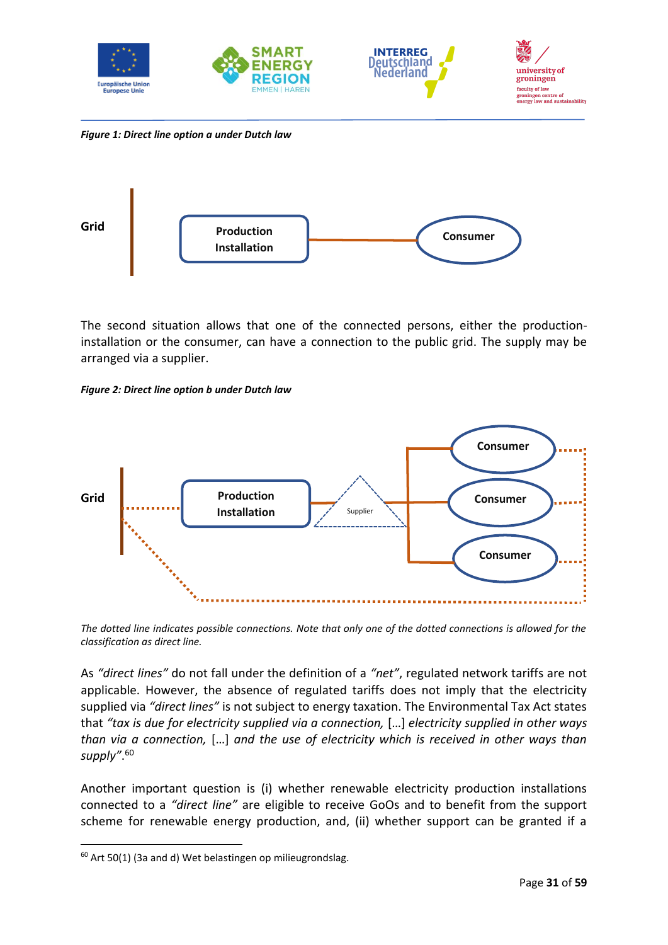

*Figure 1: Direct line option a under Dutch law*

<span id="page-33-0"></span>

The second situation allows that one of the connected persons, either the productioninstallation or the consumer, can have a connection to the public grid. The supply may be arranged via a supplier.

<span id="page-33-1"></span>*Figure 2: Direct line option b under Dutch law*



*The dotted line indicates possible connections. Note that only one of the dotted connections is allowed for the classification as direct line.*

As *"direct lines"* do not fall under the definition of a *"net"*, regulated network tariffs are not applicable. However, the absence of regulated tariffs does not imply that the electricity supplied via *"direct lines"* is not subject to energy taxation. The Environmental Tax Act states that *"tax is due for electricity supplied via a connection,* […] *electricity supplied in other ways than via a connection,* […] *and the use of electricity which is received in other ways than supply"*. 60

Another important question is (i) whether renewable electricity production installations connected to a *"direct line"* are eligible to receive GoOs and to benefit from the support scheme for renewable energy production, and, (ii) whether support can be granted if a

<sup>60</sup> Art 50(1) (3a and d) Wet belastingen op milieugrondslag.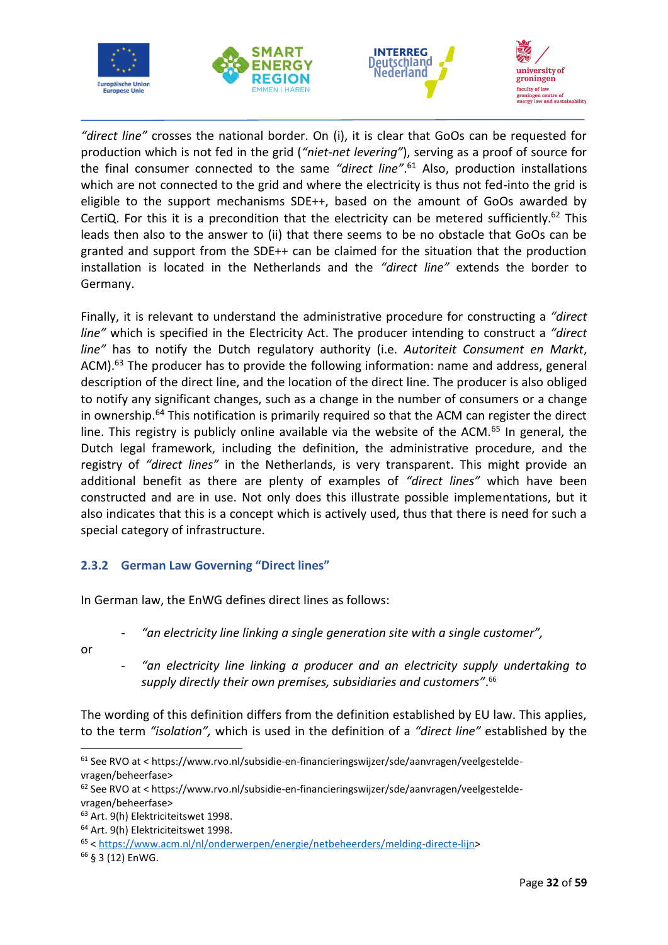







*"direct line"* crosses the national border. On (i), it is clear that GoOs can be requested for production which is not fed in the grid (*"niet-net levering"*), serving as a proof of source for the final consumer connected to the same *"direct line"*. <sup>61</sup> Also, production installations which are not connected to the grid and where the electricity is thus not fed-into the grid is eligible to the support mechanisms SDE++, based on the amount of GoOs awarded by CertiQ. For this it is a precondition that the electricity can be metered sufficiently.<sup>62</sup> This leads then also to the answer to (ii) that there seems to be no obstacle that GoOs can be granted and support from the SDE++ can be claimed for the situation that the production installation is located in the Netherlands and the *"direct line"* extends the border to Germany.

Finally, it is relevant to understand the administrative procedure for constructing a *"direct line"* which is specified in the Electricity Act. The producer intending to construct a *"direct line"* has to notify the Dutch regulatory authority (i.e. *Autoriteit Consument en Markt*, ACM).<sup>63</sup> The producer has to provide the following information: name and address, general description of the direct line, and the location of the direct line. The producer is also obliged to notify any significant changes, such as a change in the number of consumers or a change in ownership.<sup>64</sup> This notification is primarily required so that the ACM can register the direct line. This registry is publicly online available via the website of the ACM. $^{65}$  In general, the Dutch legal framework, including the definition, the administrative procedure, and the registry of *"direct lines"* in the Netherlands, is very transparent. This might provide an additional benefit as there are plenty of examples of *"direct lines"* which have been constructed and are in use. Not only does this illustrate possible implementations, but it also indicates that this is a concept which is actively used, thus that there is need for such a special category of infrastructure.

# <span id="page-34-0"></span>**2.3.2 German Law Governing "Direct lines"**

In German law, the EnWG defines direct lines as follows:

- *"an electricity line linking a single generation site with a single customer",*
- or
- *"an electricity line linking a producer and an electricity supply undertaking to supply directly their own premises, subsidiaries and customers"*. 66

The wording of this definition differs from the definition established by EU law. This applies, to the term *"isolation",* which is used in the definition of a *"direct line"* established by the

<sup>61</sup> See RVO at < https://www.rvo.nl/subsidie-en-financieringswijzer/sde/aanvragen/veelgesteldevragen/beheerfase>

<sup>62</sup> See RVO at < https://www.rvo.nl/subsidie-en-financieringswijzer/sde/aanvragen/veelgesteldevragen/beheerfase>

<sup>&</sup>lt;sup>63</sup> Art. 9(h) Elektriciteitswet 1998.

<sup>64</sup> Art. 9(h) Elektriciteitswet 1998.

<sup>65</sup> < [https://www.acm.nl/nl/onderwerpen/energie/netbeheerders/melding-directe-lijn>](https://www.acm.nl/nl/onderwerpen/energie/netbeheerders/melding-directe-lijn)

<sup>66</sup> § 3 (12) EnWG.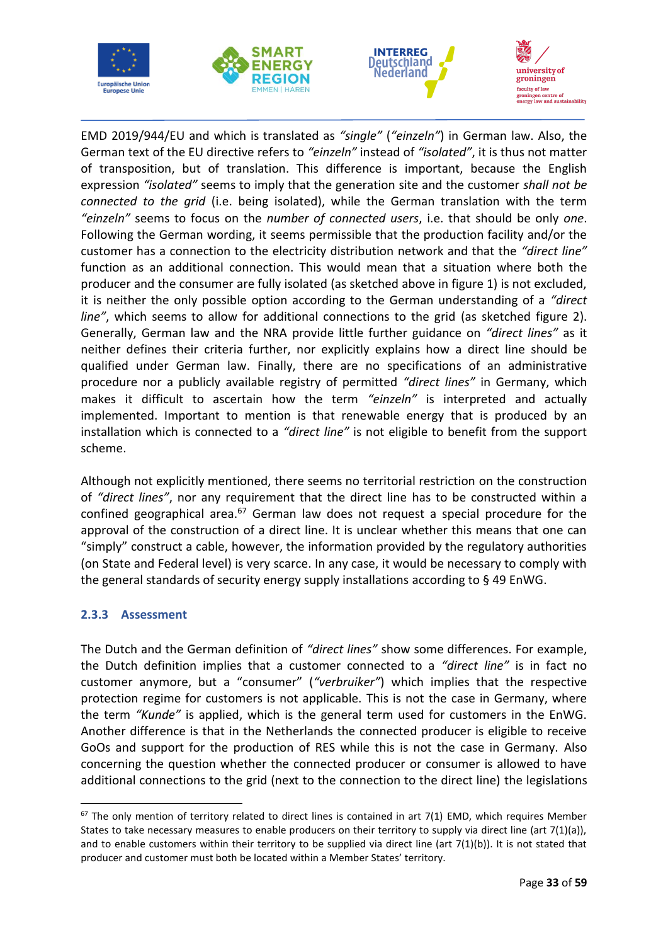







EMD 2019/944/EU and which is translated as *"single"* (*"einzeln"*) in German law. Also, the German text of the EU directive refers to *"einzeln"* instead of *"isolated"*, it is thus not matter of transposition, but of translation. This difference is important, because the English expression *"isolated"* seems to imply that the generation site and the customer *shall not be connected to the grid* (i.e. being isolated), while the German translation with the term *"einzeln"* seems to focus on the *number of connected users*, i.e. that should be only *one*. Following the German wording, it seems permissible that the production facility and/or the customer has a connection to the electricity distribution network and that the *"direct line"* function as an additional connection. This would mean that a situation where both the producer and the consumer are fully isolated (as sketched above in figure 1) is not excluded, it is neither the only possible option according to the German understanding of a *"direct line"*, which seems to allow for additional connections to the grid (as sketched figure 2). Generally, German law and the NRA provide little further guidance on *"direct lines"* as it neither defines their criteria further, nor explicitly explains how a direct line should be qualified under German law. Finally, there are no specifications of an administrative procedure nor a publicly available registry of permitted *"direct lines"* in Germany, which makes it difficult to ascertain how the term *"einzeln"* is interpreted and actually implemented. Important to mention is that renewable energy that is produced by an installation which is connected to a *"direct line"* is not eligible to benefit from the support scheme.

Although not explicitly mentioned, there seems no territorial restriction on the construction of *"direct lines"*, nor any requirement that the direct line has to be constructed within a confined geographical area. $67$  German law does not request a special procedure for the approval of the construction of a direct line. It is unclear whether this means that one can "simply" construct a cable, however, the information provided by the regulatory authorities (on State and Federal level) is very scarce. In any case, it would be necessary to comply with the general standards of security energy supply installations according to § 49 EnWG.

### <span id="page-35-0"></span>**2.3.3 Assessment**

The Dutch and the German definition of *"direct lines"* show some differences. For example, the Dutch definition implies that a customer connected to a *"direct line"* is in fact no customer anymore, but a "consumer" (*"verbruiker"*) which implies that the respective protection regime for customers is not applicable. This is not the case in Germany, where the term *"Kunde"* is applied, which is the general term used for customers in the EnWG. Another difference is that in the Netherlands the connected producer is eligible to receive GoOs and support for the production of RES while this is not the case in Germany. Also concerning the question whether the connected producer or consumer is allowed to have additional connections to the grid (next to the connection to the direct line) the legislations

 $67$  The only mention of territory related to direct lines is contained in art 7(1) EMD, which requires Member States to take necessary measures to enable producers on their territory to supply via direct line (art 7(1)(a)), and to enable customers within their territory to be supplied via direct line (art  $7(1)(b)$ ). It is not stated that producer and customer must both be located within a Member States' territory.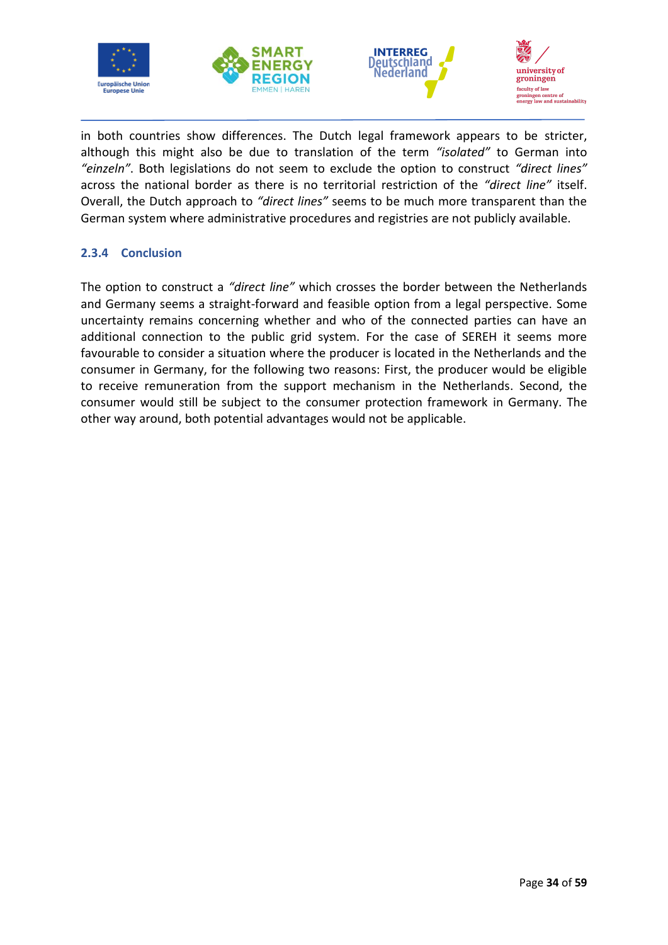







in both countries show differences. The Dutch legal framework appears to be stricter, although this might also be due to translation of the term *"isolated"* to German into *"einzeln"*. Both legislations do not seem to exclude the option to construct *"direct lines"* across the national border as there is no territorial restriction of the *"direct line"* itself. Overall, the Dutch approach to *"direct lines"* seems to be much more transparent than the German system where administrative procedures and registries are not publicly available.

### <span id="page-36-0"></span>**2.3.4 Conclusion**

The option to construct a *"direct line"* which crosses the border between the Netherlands and Germany seems a straight-forward and feasible option from a legal perspective. Some uncertainty remains concerning whether and who of the connected parties can have an additional connection to the public grid system. For the case of SEREH it seems more favourable to consider a situation where the producer is located in the Netherlands and the consumer in Germany, for the following two reasons: First, the producer would be eligible to receive remuneration from the support mechanism in the Netherlands. Second, the consumer would still be subject to the consumer protection framework in Germany. The other way around, both potential advantages would not be applicable.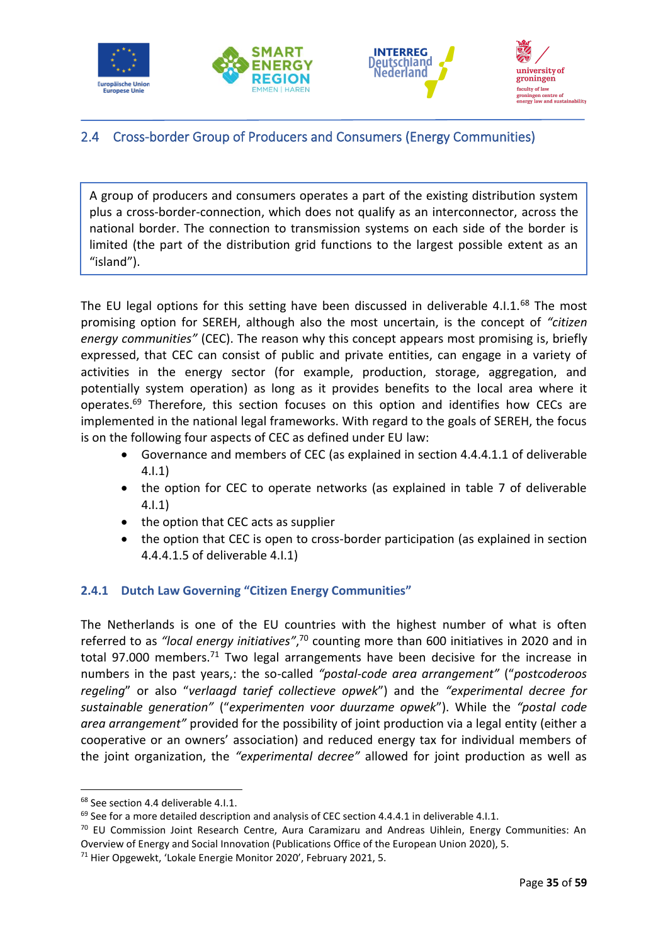







# <span id="page-37-0"></span>2.4 Cross-border Group of Producers and Consumers (Energy Communities)

A group of producers and consumers operates a part of the existing distribution system plus a cross-border-connection, which does not qualify as an interconnector, across the national border. The connection to transmission systems on each side of the border is limited (the part of the distribution grid functions to the largest possible extent as an "island").

The EU legal options for this setting have been discussed in deliverable 4.1.1.<sup>68</sup> The most promising option for SEREH, although also the most uncertain, is the concept of *"citizen energy communities"* (CEC). The reason why this concept appears most promising is, briefly expressed, that CEC can consist of public and private entities, can engage in a variety of activities in the energy sector (for example, production, storage, aggregation, and potentially system operation) as long as it provides benefits to the local area where it operates.<sup>69</sup> Therefore, this section focuses on this option and identifies how CECs are implemented in the national legal frameworks. With regard to the goals of SEREH, the focus is on the following four aspects of CEC as defined under EU law:

- Governance and members of CEC (as explained in section 4.4.4.1.1 of deliverable 4.I.1)
- the option for CEC to operate networks (as explained in table 7 of deliverable 4.I.1)
- the option that CEC acts as supplier
- the option that CEC is open to cross-border participation (as explained in section 4.4.4.1.5 of deliverable 4.I.1)

# <span id="page-37-1"></span>**2.4.1 Dutch Law Governing "Citizen Energy Communities"**

The Netherlands is one of the EU countries with the highest number of what is often referred to as *"local energy initiatives"*, <sup>70</sup> counting more than 600 initiatives in 2020 and in total 97.000 members.<sup>71</sup> Two legal arrangements have been decisive for the increase in numbers in the past years,: the so-called *"postal-code area arrangement"* ("*postcoderoos regeling*" or also "*verlaagd tarief collectieve opwek*") and the *"experimental decree for sustainable generation"* ("*experimenten voor duurzame opwek*"). While the *"postal code area arrangement"* provided for the possibility of joint production via a legal entity (either a cooperative or an owners' association) and reduced energy tax for individual members of the joint organization, the *"experimental decree"* allowed for joint production as well as

<sup>68</sup> See section 4.4 deliverable 4.I.1.

 $69$  See for a more detailed description and analysis of CEC section 4.4.4.1 in deliverable 4.1.1.

 $70$  EU Commission Joint Research Centre, Aura Caramizaru and Andreas Uihlein, Energy Communities: An Overview of Energy and Social Innovation (Publications Office of the European Union 2020), 5.

<sup>71</sup> Hier Opgewekt, 'Lokale Energie Monitor 2020', February 2021, 5.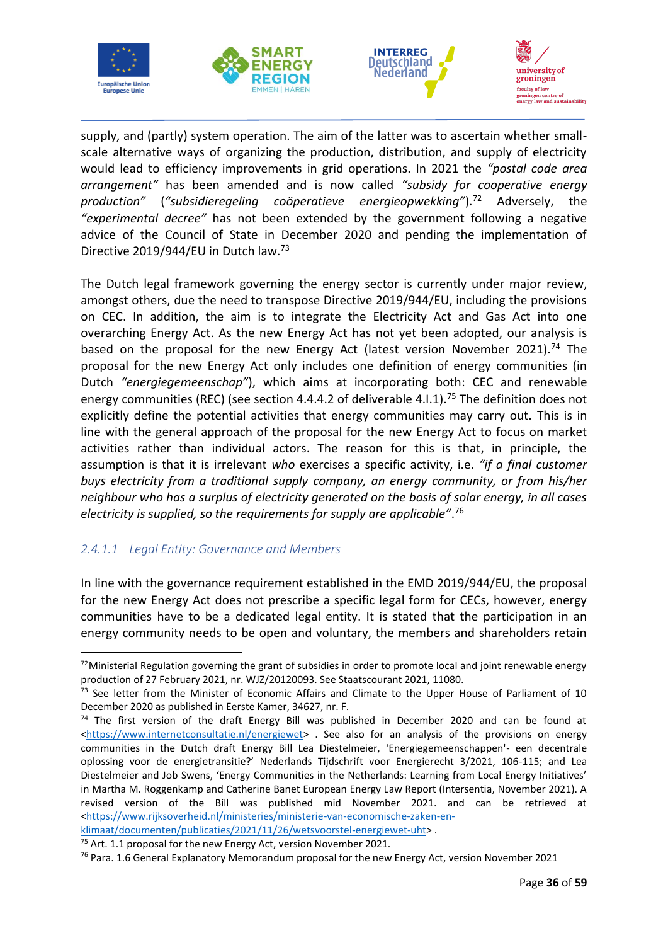







supply, and (partly) system operation. The aim of the latter was to ascertain whether smallscale alternative ways of organizing the production, distribution, and supply of electricity would lead to efficiency improvements in grid operations. In 2021 the *"postal code area arrangement"* has been amended and is now called *"subsidy for cooperative energy production"* (*"subsidieregeling coöperatieve energieopwekking"*).<sup>72</sup> Adversely, the *"experimental decree"* has not been extended by the government following a negative advice of the Council of State in December 2020 and pending the implementation of Directive 2019/944/EU in Dutch law.<sup>73</sup>

The Dutch legal framework governing the energy sector is currently under major review, amongst others, due the need to transpose Directive 2019/944/EU, including the provisions on CEC. In addition, the aim is to integrate the Electricity Act and Gas Act into one overarching Energy Act. As the new Energy Act has not yet been adopted, our analysis is based on the proposal for the new Energy Act (latest version November 2021).<sup>74</sup> The proposal for the new Energy Act only includes one definition of energy communities (in Dutch *"energiegemeenschap"*), which aims at incorporating both: CEC and renewable energy communities (REC) (see section 4.4.4.2 of deliverable 4.1.1).<sup>75</sup> The definition does not explicitly define the potential activities that energy communities may carry out. This is in line with the general approach of the proposal for the new Energy Act to focus on market activities rather than individual actors. The reason for this is that, in principle, the assumption is that it is irrelevant *who* exercises a specific activity, i.e. *"if a final customer buys electricity from a traditional supply company, an energy community, or from his/her neighbour who has a surplus of electricity generated on the basis of solar energy, in all cases electricity is supplied, so the requirements for supply are applicable"*. 76

### <span id="page-38-0"></span>*2.4.1.1 Legal Entity: Governance and Members*

In line with the governance requirement established in the EMD 2019/944/EU, the proposal for the new Energy Act does not prescribe a specific legal form for CECs, however, energy communities have to be a dedicated legal entity. It is stated that the participation in an energy community needs to be open and voluntary, the members and shareholders retain

 $72$ Ministerial Regulation governing the grant of subsidies in order to promote local and joint renewable energy production of 27 February 2021, nr. WJZ/20120093. See Staatscourant 2021, 11080.

<sup>&</sup>lt;sup>73</sup> See letter from the Minister of Economic Affairs and Climate to the Upper House of Parliament of 10 December 2020 as published in Eerste Kamer, 34627, nr. F.

 $74$  The first version of the draft Energy Bill was published in December 2020 and can be found at [<https://www.internetconsultatie.nl/energiewet>](https://www.internetconsultatie.nl/energiewet) . See also for an analysis of the provisions on energy communities in the Dutch draft Energy Bill Lea Diestelmeier, 'Energiegemeenschappen'- een decentrale oplossing voor de energietransitie?' Nederlands Tijdschrift voor Energierecht 3/2021, 106-115; and Lea Diestelmeier and Job Swens, 'Energy Communities in the Netherlands: Learning from Local Energy Initiatives' in Martha M. Roggenkamp and Catherine Banet European Energy Law Report (Intersentia, November 2021). A revised version of the Bill was published mid November 2021. and can be retrieved at [<https://www.rijksoverheid.nl/ministeries/ministerie-van-economische-zaken-en-](https://www.rijksoverheid.nl/ministeries/ministerie-van-economische-zaken-en-klimaat/documenten/publicaties/2021/11/26/wetsvoorstel-energiewet-uht)

[klimaat/documenten/publicaties/2021/11/26/wetsvoorstel-energiewet-uht>](https://www.rijksoverheid.nl/ministeries/ministerie-van-economische-zaken-en-klimaat/documenten/publicaties/2021/11/26/wetsvoorstel-energiewet-uht) .

 $75$  Art. 1.1 proposal for the new Energy Act, version November 2021.

<sup>76</sup> Para. 1.6 General Explanatory Memorandum proposal for the new Energy Act, version November 2021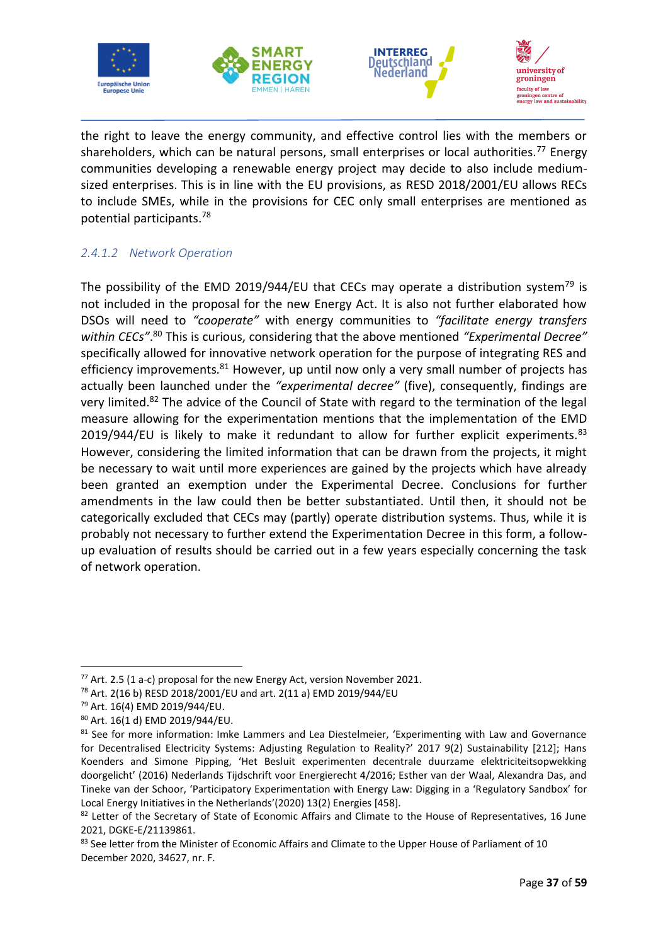







the right to leave the energy community, and effective control lies with the members or shareholders, which can be natural persons, small enterprises or local authorities.<sup>77</sup> Energy communities developing a renewable energy project may decide to also include mediumsized enterprises. This is in line with the EU provisions, as RESD 2018/2001/EU allows RECs to include SMEs, while in the provisions for CEC only small enterprises are mentioned as potential participants.<sup>78</sup>

# <span id="page-39-0"></span>*2.4.1.2 Network Operation*

The possibility of the EMD 2019/944/EU that CECs may operate a distribution system<sup>79</sup> is not included in the proposal for the new Energy Act. It is also not further elaborated how DSOs will need to *"cooperate"* with energy communities to *"facilitate energy transfers within CECs"*. <sup>80</sup> This is curious, considering that the above mentioned *"Experimental Decree"* specifically allowed for innovative network operation for the purpose of integrating RES and efficiency improvements. $81$  However, up until now only a very small number of projects has actually been launched under the *"experimental decree"* (five), consequently, findings are very limited.<sup>82</sup> The advice of the Council of State with regard to the termination of the legal measure allowing for the experimentation mentions that the implementation of the EMD 2019/944/EU is likely to make it redundant to allow for further explicit experiments. $83$ However, considering the limited information that can be drawn from the projects, it might be necessary to wait until more experiences are gained by the projects which have already been granted an exemption under the Experimental Decree. Conclusions for further amendments in the law could then be better substantiated. Until then, it should not be categorically excluded that CECs may (partly) operate distribution systems. Thus, while it is probably not necessary to further extend the Experimentation Decree in this form, a followup evaluation of results should be carried out in a few years especially concerning the task of network operation.

<sup>77</sup> Art. 2.5 (1 a-c) proposal for the new Energy Act, version November 2021.

<sup>78</sup> Art. 2(16 b) RESD 2018/2001/EU and art. 2(11 a) EMD 2019/944/EU

<sup>79</sup> Art. 16(4) EMD 2019/944/EU.

<sup>80</sup> Art. 16(1 d) EMD 2019/944/EU.

<sup>&</sup>lt;sup>81</sup> See for more information: Imke Lammers and Lea Diestelmeier, 'Experimenting with Law and Governance for Decentralised Electricity Systems: Adjusting Regulation to Reality?' 2017 9(2) Sustainability [212]; Hans Koenders and Simone Pipping, 'Het Besluit experimenten decentrale duurzame elektriciteitsopwekking doorgelicht' (2016) Nederlands Tijdschrift voor Energierecht 4/2016; Esther van der Waal, Alexandra Das, and Tineke van der Schoor, 'Participatory Experimentation with Energy Law: Digging in a 'Regulatory Sandbox' for Local Energy Initiatives in the Netherlands'(2020) 13(2) Energies [458].

<sup>&</sup>lt;sup>82</sup> Letter of the Secretary of State of Economic Affairs and Climate to the House of Representatives, 16 June 2021, DGKE-E/21139861.

<sup>&</sup>lt;sup>83</sup> See letter from the Minister of Economic Affairs and Climate to the Upper House of Parliament of 10 December 2020, 34627, nr. F.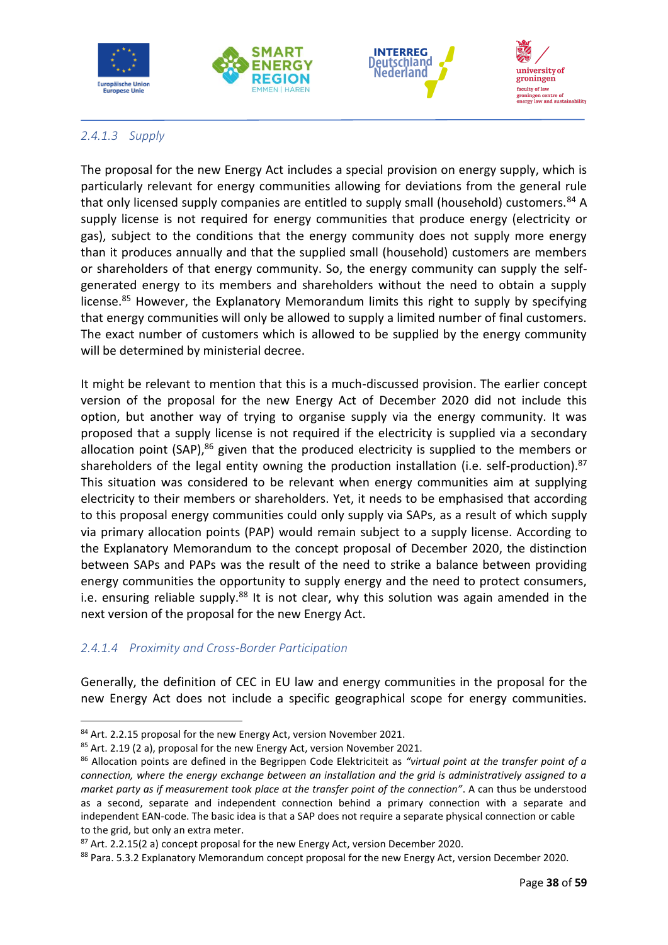







# <span id="page-40-0"></span>*2.4.1.3 Supply*

The proposal for the new Energy Act includes a special provision on energy supply, which is particularly relevant for energy communities allowing for deviations from the general rule that only licensed supply companies are entitled to supply small (household) customers.<sup>84</sup> A supply license is not required for energy communities that produce energy (electricity or gas), subject to the conditions that the energy community does not supply more energy than it produces annually and that the supplied small (household) customers are members or shareholders of that energy community. So, the energy community can supply the selfgenerated energy to its members and shareholders without the need to obtain a supply license.<sup>85</sup> However, the Explanatory Memorandum limits this right to supply by specifying that energy communities will only be allowed to supply a limited number of final customers. The exact number of customers which is allowed to be supplied by the energy community will be determined by ministerial decree.

It might be relevant to mention that this is a much-discussed provision. The earlier concept version of the proposal for the new Energy Act of December 2020 did not include this option, but another way of trying to organise supply via the energy community. It was proposed that a supply license is not required if the electricity is supplied via a secondary allocation point (SAP),<sup>86</sup> given that the produced electricity is supplied to the members or shareholders of the legal entity owning the production installation (i.e. self-production).<sup>87</sup> This situation was considered to be relevant when energy communities aim at supplying electricity to their members or shareholders. Yet, it needs to be emphasised that according to this proposal energy communities could only supply via SAPs, as a result of which supply via primary allocation points (PAP) would remain subject to a supply license. According to the Explanatory Memorandum to the concept proposal of December 2020, the distinction between SAPs and PAPs was the result of the need to strike a balance between providing energy communities the opportunity to supply energy and the need to protect consumers, i.e. ensuring reliable supply.<sup>88</sup> It is not clear, why this solution was again amended in the next version of the proposal for the new Energy Act.

# <span id="page-40-1"></span>*2.4.1.4 Proximity and Cross-Border Participation*

Generally, the definition of CEC in EU law and energy communities in the proposal for the new Energy Act does not include a specific geographical scope for energy communities.

<sup>84</sup> Art. 2.2.15 proposal for the new Energy Act, version November 2021.

 $85$  Art. 2.19 (2 a), proposal for the new Energy Act, version November 2021.

<sup>86</sup> Allocation points are defined in the Begrippen Code Elektriciteit as *"virtual point at the transfer point of a connection, where the energy exchange between an installation and the grid is administratively assigned to a market party as if measurement took place at the transfer point of the connection"*. A can thus be understood as a second, separate and independent connection behind a primary connection with a separate and independent EAN-code. The basic idea is that a SAP does not require a separate physical connection or cable to the grid, but only an extra meter.

 $87$  Art. 2.2.15(2 a) concept proposal for the new Energy Act, version December 2020.

<sup>88</sup> Para. 5.3.2 Explanatory Memorandum concept proposal for the new Energy Act, version December 2020.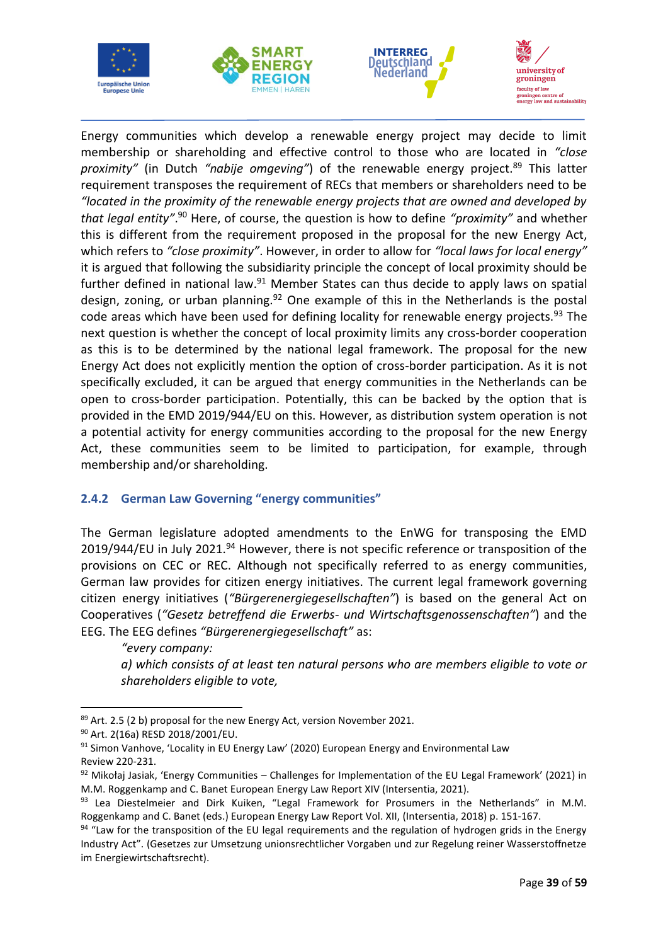







Energy communities which develop a renewable energy project may decide to limit membership or shareholding and effective control to those who are located in *"close proximity"* (in Dutch *"nabije omgeving"*) of the renewable energy project.<sup>89</sup> This latter requirement transposes the requirement of RECs that members or shareholders need to be *"located in the proximity of the renewable energy projects that are owned and developed by that legal entity"*. <sup>90</sup> Here, of course, the question is how to define *"proximity"* and whether this is different from the requirement proposed in the proposal for the new Energy Act, which refers to *"close proximity"*. However, in order to allow for *"local laws for local energy"* it is argued that following the subsidiarity principle the concept of local proximity should be further defined in national law.<sup>91</sup> Member States can thus decide to apply laws on spatial design, zoning, or urban planning.<sup>92</sup> One example of this in the Netherlands is the postal code areas which have been used for defining locality for renewable energy projects.<sup>93</sup> The next question is whether the concept of local proximity limits any cross-border cooperation as this is to be determined by the national legal framework. The proposal for the new Energy Act does not explicitly mention the option of cross-border participation. As it is not specifically excluded, it can be argued that energy communities in the Netherlands can be open to cross-border participation. Potentially, this can be backed by the option that is provided in the EMD 2019/944/EU on this. However, as distribution system operation is not a potential activity for energy communities according to the proposal for the new Energy Act, these communities seem to be limited to participation, for example, through membership and/or shareholding.

### <span id="page-41-0"></span>**2.4.2 German Law Governing "energy communities"**

The German legislature adopted amendments to the EnWG for transposing the EMD 2019/944/EU in July 2021.<sup>94</sup> However, there is not specific reference or transposition of the provisions on CEC or REC. Although not specifically referred to as energy communities, German law provides for citizen energy initiatives. The current legal framework governing citizen energy initiatives (*"Bürgerenergiegesellschaften"*) is based on the general Act on Cooperatives (*"Gesetz betreffend die Erwerbs- und Wirtschaftsgenossenschaften"*) and the EEG. The EEG defines *"Bürgerenergiegesellschaft"* as:

*"every company: a) which consists of at least ten natural persons who are members eligible to vote or shareholders eligible to vote,*

<sup>89</sup> Art. 2.5 (2 b) proposal for the new Energy Act, version November 2021.

<sup>90</sup> Art. 2(16a) RESD 2018/2001/EU.

 $91$  Simon Vanhove, 'Locality in EU Energy Law' (2020) European Energy and Environmental Law Review 220-231.

 $92$  Mikołaj Jasiak, 'Energy Communities – Challenges for Implementation of the EU Legal Framework' (2021) in M.M. Roggenkamp and C. Banet European Energy Law Report XIV (Intersentia, 2021).

<sup>93</sup> Lea Diestelmeier and Dirk Kuiken, "Legal Framework for Prosumers in the Netherlands" in M.M. Roggenkamp and C. Banet (eds.) European Energy Law Report Vol. XII, (Intersentia, 2018) p. 151-167.

<sup>94 &</sup>quot;Law for the transposition of the EU legal requirements and the regulation of hydrogen grids in the Energy Industry Act". (Gesetzes zur Umsetzung unionsrechtlicher Vorgaben und zur Regelung reiner Wasserstoffnetze im Energiewirtschaftsrecht).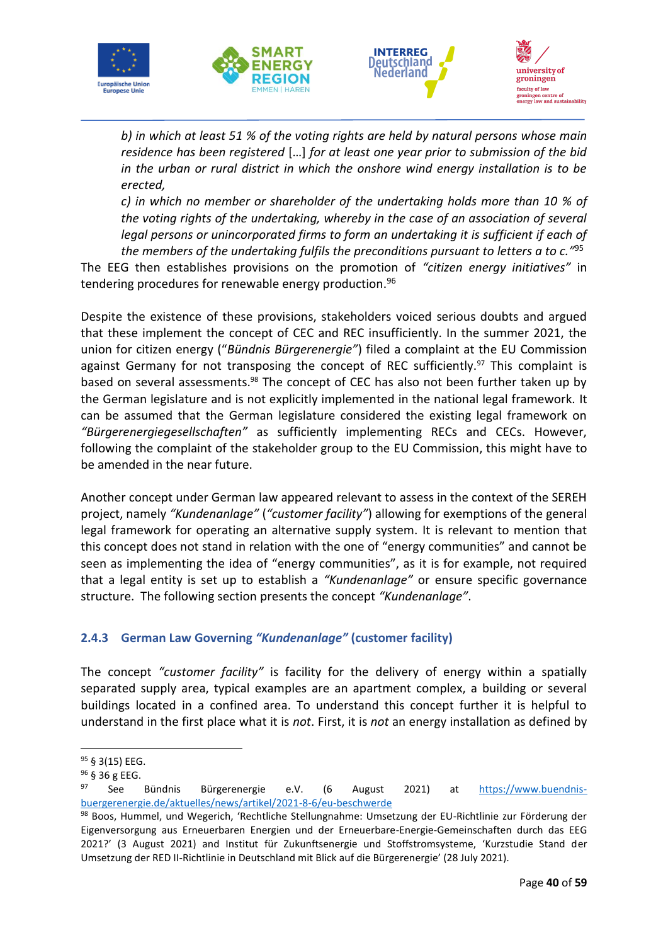







*b) in which at least 51 % of the voting rights are held by natural persons whose main residence has been registered* […] *for at least one year prior to submission of the bid in the urban or rural district in which the onshore wind energy installation is to be erected,*

*c) in which no member or shareholder of the undertaking holds more than 10 % of the voting rights of the undertaking, whereby in the case of an association of several legal persons or unincorporated firms to form an undertaking it is sufficient if each of the members of the undertaking fulfils the preconditions pursuant to letters a to c."* 95

The EEG then establishes provisions on the promotion of *"citizen energy initiatives"* in tendering procedures for renewable energy production.<sup>96</sup>

Despite the existence of these provisions, stakeholders voiced serious doubts and argued that these implement the concept of CEC and REC insufficiently. In the summer 2021, the union for citizen energy ("*Bündnis Bürgerenergie"*) filed a complaint at the EU Commission against Germany for not transposing the concept of REC sufficiently.<sup>97</sup> This complaint is based on several assessments.<sup>98</sup> The concept of CEC has also not been further taken up by the German legislature and is not explicitly implemented in the national legal framework. It can be assumed that the German legislature considered the existing legal framework on *"Bürgerenergiegesellschaften"* as sufficiently implementing RECs and CECs. However, following the complaint of the stakeholder group to the EU Commission, this might have to be amended in the near future.

Another concept under German law appeared relevant to assess in the context of the SEREH project, namely *"Kundenanlage"* (*"customer facility"*) allowing for exemptions of the general legal framework for operating an alternative supply system. It is relevant to mention that this concept does not stand in relation with the one of "energy communities" and cannot be seen as implementing the idea of "energy communities", as it is for example, not required that a legal entity is set up to establish a *"Kundenanlage"* or ensure specific governance structure. The following section presents the concept *"Kundenanlage"*.

# <span id="page-42-0"></span>**2.4.3 German Law Governing** *"Kundenanlage"* **(customer facility)**

The concept *"customer facility"* is facility for the delivery of energy within a spatially separated supply area, typical examples are an apartment complex, a building or several buildings located in a confined area. To understand this concept further it is helpful to understand in the first place what it is *not*. First, it is *not* an energy installation as defined by

<sup>95</sup> § 3(15) EEG.

<sup>96</sup> § 36 g EEG.

<sup>97</sup> See Bündnis Bürgerenergie e.V. (6 August 2021) at [https://www.buendnis](https://www.buendnis-buergerenergie.de/aktuelles/news/artikel/2021-8-6/eu-beschwerde)[buergerenergie.de/aktuelles/news/artikel/2021-8-6/eu-beschwerde](https://www.buendnis-buergerenergie.de/aktuelles/news/artikel/2021-8-6/eu-beschwerde)

<sup>98</sup> Boos, Hummel, und Wegerich, 'Rechtliche Stellungnahme: Umsetzung der EU-Richtlinie zur Förderung der Eigenversorgung aus Erneuerbaren Energien und der Erneuerbare-Energie-Gemeinschaften durch das EEG 2021?' (3 August 2021) and Institut für Zukunftsenergie und Stoffstromsysteme, 'Kurzstudie Stand der Umsetzung der RED II-Richtlinie in Deutschland mit Blick auf die Bürgerenergie' (28 July 2021).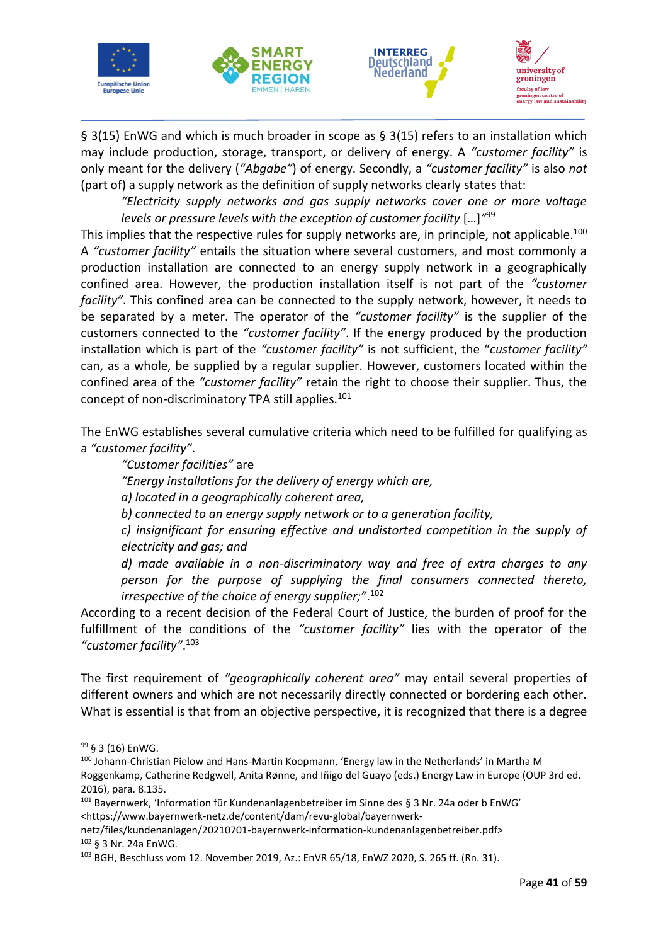







§ 3(15) EnWG and which is much broader in scope as § 3(15) refers to an installation which may include production, storage, transport, or delivery of energy. A *"customer facility"* is only meant for the delivery (*"Abgabe"*) of energy. Secondly, a *"customer facility"* is also *not* (part of) a supply network as the definition of supply networks clearly states that:

*"Electricity supply networks and gas supply networks cover one or more voltage levels or pressure levels with the exception of customer facility* […]*"* 99

This implies that the respective rules for supply networks are, in principle, not applicable.<sup>100</sup> A *"customer facility"* entails the situation where several customers, and most commonly a production installation are connected to an energy supply network in a geographically confined area. However, the production installation itself is not part of the *"customer facility"*. This confined area can be connected to the supply network, however, it needs to be separated by a meter. The operator of the *"customer facility"* is the supplier of the customers connected to the *"customer facility"*. If the energy produced by the production installation which is part of the *"customer facility"* is not sufficient, the "*customer facility"* can, as a whole, be supplied by a regular supplier. However, customers located within the confined area of the *"customer facility"* retain the right to choose their supplier. Thus, the concept of non-discriminatory TPA still applies.<sup>101</sup>

The EnWG establishes several cumulative criteria which need to be fulfilled for qualifying as a *"customer facility"*.

*"Customer facilities"* are

*"Energy installations for the delivery of energy which are,*

*a) located in a geographically coherent area,*

*b) connected to an energy supply network or to a generation facility,*

*c) insignificant for ensuring effective and undistorted competition in the supply of electricity and gas; and*

*d) made available in a non-discriminatory way and free of extra charges to any person for the purpose of supplying the final consumers connected thereto, irrespective of the choice of energy supplier;"*. 102

According to a recent decision of the Federal Court of Justice, the burden of proof for the fulfillment of the conditions of the *"customer facility"* lies with the operator of the *"customer facility"*. 103

The first requirement of *"geographically coherent area"* may entail several properties of different owners and which are not necessarily directly connected or bordering each other. What is essential is that from an objective perspective, it is recognized that there is a degree

<sup>99</sup> § 3 (16) EnWG.

<sup>100</sup> Johann-Christian Pielow and Hans-Martin Koopmann, 'Energy law in the Netherlands' in Martha M Roggenkamp, Catherine Redgwell, Anita Rønne, and Iñigo del Guayo (eds.) Energy Law in Europe (OUP 3rd ed. 2016), para. 8.135.

<sup>101</sup> Bayernwerk, 'Information für Kundenanlagenbetreiber im Sinne des § 3 Nr. 24a oder b EnWG' <https://www.bayernwerk-netz.de/content/dam/revu-global/bayernwerk-

netz/files/kundenanlagen/20210701-bayernwerk-information-kundenanlagenbetreiber.pdf> <sup>102</sup> § 3 Nr. 24a EnWG.

<sup>103</sup> BGH, Beschluss vom 12. November 2019, Az.: EnVR 65/18, EnWZ 2020, S. 265 ff. (Rn. 31).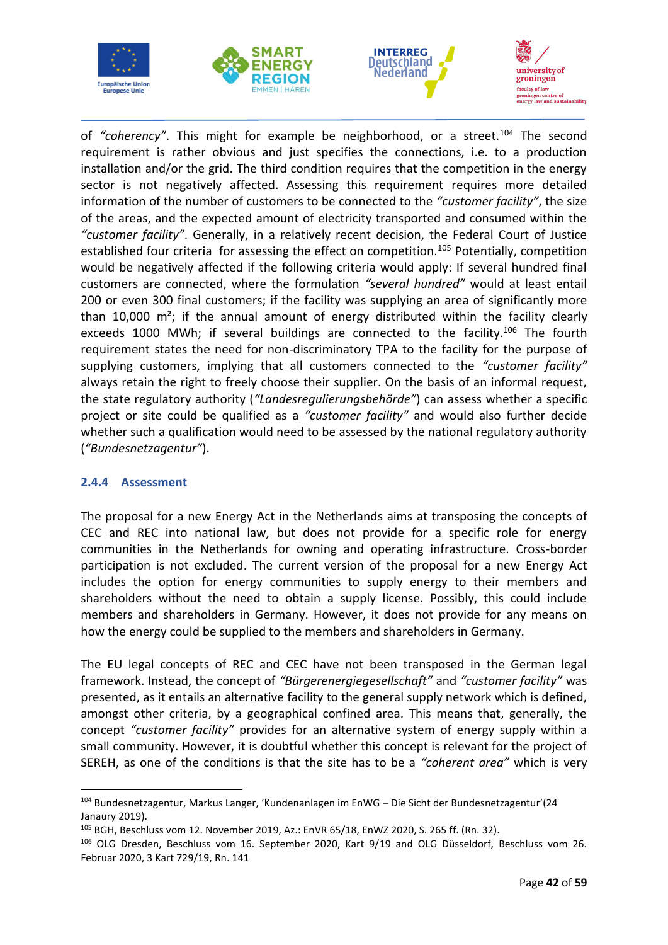







of "coherency". This might for example be neighborhood, or a street.<sup>104</sup> The second requirement is rather obvious and just specifies the connections, i.e. to a production installation and/or the grid. The third condition requires that the competition in the energy sector is not negatively affected. Assessing this requirement requires more detailed information of the number of customers to be connected to the *"customer facility"*, the size of the areas, and the expected amount of electricity transported and consumed within the *"customer facility"*. Generally, in a relatively recent decision, the Federal Court of Justice established four criteria for assessing the effect on competition.<sup>105</sup> Potentially, competition would be negatively affected if the following criteria would apply: If several hundred final customers are connected, where the formulation *"several hundred"* would at least entail 200 or even 300 final customers; if the facility was supplying an area of significantly more than 10,000  $m^2$ ; if the annual amount of energy distributed within the facility clearly exceeds 1000 MWh; if several buildings are connected to the facility.<sup>106</sup> The fourth requirement states the need for non-discriminatory TPA to the facility for the purpose of supplying customers, implying that all customers connected to the *"customer facility"* always retain the right to freely choose their supplier. On the basis of an informal request, the state regulatory authority (*"Landesregulierungsbehörde"*) can assess whether a specific project or site could be qualified as a *"customer facility"* and would also further decide whether such a qualification would need to be assessed by the national regulatory authority (*"Bundesnetzagentur"*).

### <span id="page-44-0"></span>**2.4.4 Assessment**

The proposal for a new Energy Act in the Netherlands aims at transposing the concepts of CEC and REC into national law, but does not provide for a specific role for energy communities in the Netherlands for owning and operating infrastructure. Cross-border participation is not excluded. The current version of the proposal for a new Energy Act includes the option for energy communities to supply energy to their members and shareholders without the need to obtain a supply license. Possibly, this could include members and shareholders in Germany. However, it does not provide for any means on how the energy could be supplied to the members and shareholders in Germany.

The EU legal concepts of REC and CEC have not been transposed in the German legal framework. Instead, the concept of *"Bürgerenergiegesellschaft"* and *"customer facility"* was presented, as it entails an alternative facility to the general supply network which is defined, amongst other criteria, by a geographical confined area. This means that, generally, the concept *"customer facility"* provides for an alternative system of energy supply within a small community. However, it is doubtful whether this concept is relevant for the project of SEREH, as one of the conditions is that the site has to be a *"coherent area"* which is very

<sup>104</sup> Bundesnetzagentur, Markus Langer, 'Kundenanlagen im EnWG – Die Sicht der Bundesnetzagentur'(24 Janaury 2019).

<sup>105</sup> BGH, Beschluss vom 12. November 2019, Az.: EnVR 65/18, EnWZ 2020, S. 265 ff. (Rn. 32).

<sup>106</sup> OLG Dresden, Beschluss vom 16. September 2020, Kart 9/19 and OLG Düsseldorf, Beschluss vom 26. Februar 2020, 3 Kart 729/19, Rn. 141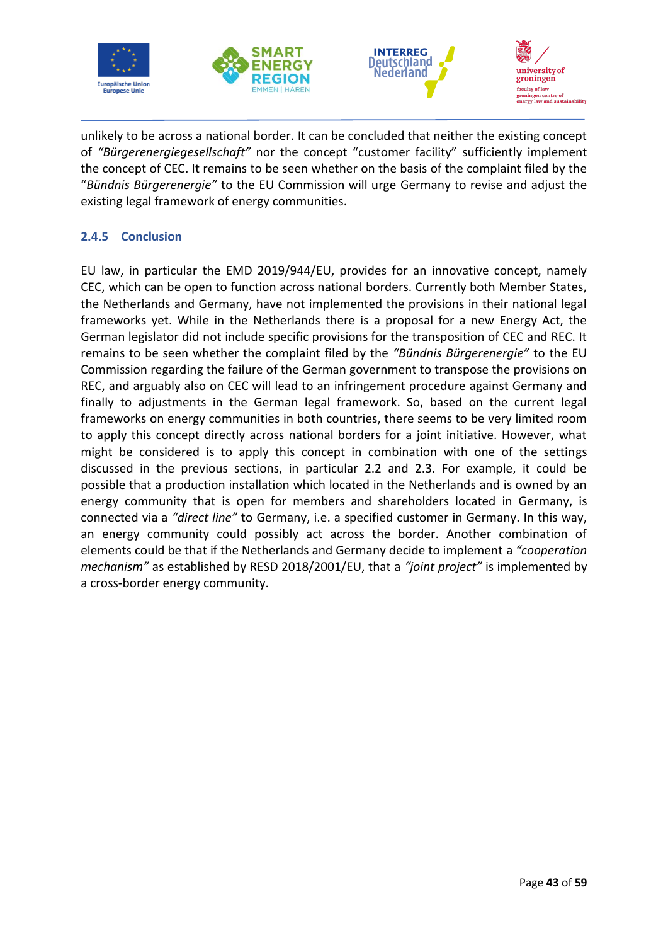







unlikely to be across a national border. It can be concluded that neither the existing concept of *"Bürgerenergiegesellschaft"* nor the concept "customer facility" sufficiently implement the concept of CEC. It remains to be seen whether on the basis of the complaint filed by the "*Bündnis Bürgerenergie"* to the EU Commission will urge Germany to revise and adjust the existing legal framework of energy communities.

# <span id="page-45-0"></span>**2.4.5 Conclusion**

EU law, in particular the EMD 2019/944/EU, provides for an innovative concept, namely CEC, which can be open to function across national borders. Currently both Member States, the Netherlands and Germany, have not implemented the provisions in their national legal frameworks yet. While in the Netherlands there is a proposal for a new Energy Act, the German legislator did not include specific provisions for the transposition of CEC and REC. It remains to be seen whether the complaint filed by the *"Bündnis Bürgerenergie"* to the EU Commission regarding the failure of the German government to transpose the provisions on REC, and arguably also on CEC will lead to an infringement procedure against Germany and finally to adjustments in the German legal framework. So, based on the current legal frameworks on energy communities in both countries, there seems to be very limited room to apply this concept directly across national borders for a joint initiative. However, what might be considered is to apply this concept in combination with one of the settings discussed in the previous sections, in particular 2.2 and 2.3. For example, it could be possible that a production installation which located in the Netherlands and is owned by an energy community that is open for members and shareholders located in Germany, is connected via a *"direct line"* to Germany, i.e. a specified customer in Germany. In this way, an energy community could possibly act across the border. Another combination of elements could be that if the Netherlands and Germany decide to implement a *"cooperation mechanism"* as established by RESD 2018/2001/EU, that a *"joint project"* is implemented by a cross-border energy community.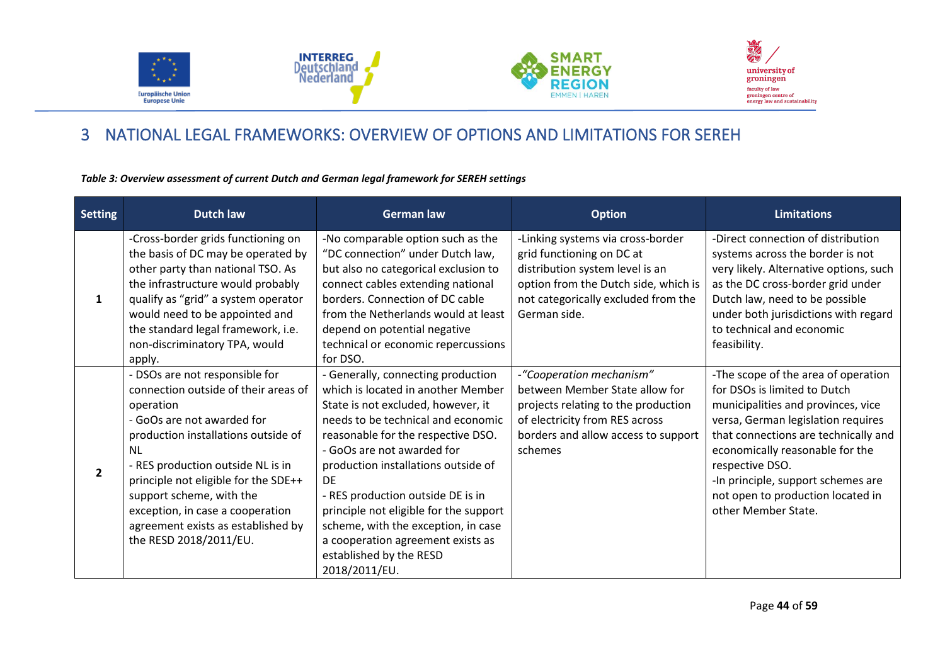







# 3 NATIONAL LEGAL FRAMEWORKS: OVERVIEW OF OPTIONS AND LIMITATIONS FOR SEREH

#### *Table 3: Overview assessment of current Dutch and German legal framework for SEREH settings*

<span id="page-46-1"></span><span id="page-46-0"></span>

| <b>Setting</b> | <b>Dutch law</b>                                                                                                                                                                                                                                                                                                                                                             | <b>German law</b>                                                                                                                                                                                                                                                                                                                                                                                                                                                            | <b>Option</b>                                                                                                                                                                                    | <b>Limitations</b>                                                                                                                                                                                                                                                                                                                              |
|----------------|------------------------------------------------------------------------------------------------------------------------------------------------------------------------------------------------------------------------------------------------------------------------------------------------------------------------------------------------------------------------------|------------------------------------------------------------------------------------------------------------------------------------------------------------------------------------------------------------------------------------------------------------------------------------------------------------------------------------------------------------------------------------------------------------------------------------------------------------------------------|--------------------------------------------------------------------------------------------------------------------------------------------------------------------------------------------------|-------------------------------------------------------------------------------------------------------------------------------------------------------------------------------------------------------------------------------------------------------------------------------------------------------------------------------------------------|
| $\mathbf{1}$   | -Cross-border grids functioning on<br>the basis of DC may be operated by<br>other party than national TSO. As<br>the infrastructure would probably<br>qualify as "grid" a system operator<br>would need to be appointed and<br>the standard legal framework, i.e.<br>non-discriminatory TPA, would<br>apply.                                                                 | -No comparable option such as the<br>"DC connection" under Dutch law,<br>but also no categorical exclusion to<br>connect cables extending national<br>borders. Connection of DC cable<br>from the Netherlands would at least<br>depend on potential negative<br>technical or economic repercussions<br>for DSO.                                                                                                                                                              | -Linking systems via cross-border<br>grid functioning on DC at<br>distribution system level is an<br>option from the Dutch side, which is<br>not categorically excluded from the<br>German side. | -Direct connection of distribution<br>systems across the border is not<br>very likely. Alternative options, such<br>as the DC cross-border grid under<br>Dutch law, need to be possible<br>under both jurisdictions with regard<br>to technical and economic<br>feasibility.                                                                    |
| $\overline{2}$ | - DSOs are not responsible for<br>connection outside of their areas of<br>operation<br>- GoOs are not awarded for<br>production installations outside of<br>NL.<br>- RES production outside NL is in<br>principle not eligible for the SDE++<br>support scheme, with the<br>exception, in case a cooperation<br>agreement exists as established by<br>the RESD 2018/2011/EU. | - Generally, connecting production<br>which is located in another Member<br>State is not excluded, however, it<br>needs to be technical and economic<br>reasonable for the respective DSO.<br>- GoOs are not awarded for<br>production installations outside of<br>DE<br>- RES production outside DE is in<br>principle not eligible for the support<br>scheme, with the exception, in case<br>a cooperation agreement exists as<br>established by the RESD<br>2018/2011/EU. | -"Cooperation mechanism"<br>between Member State allow for<br>projects relating to the production<br>of electricity from RES across<br>borders and allow access to support<br>schemes            | -The scope of the area of operation<br>for DSOs is limited to Dutch<br>municipalities and provinces, vice<br>versa, German legislation requires<br>that connections are technically and<br>economically reasonable for the<br>respective DSO.<br>-In principle, support schemes are<br>not open to production located in<br>other Member State. |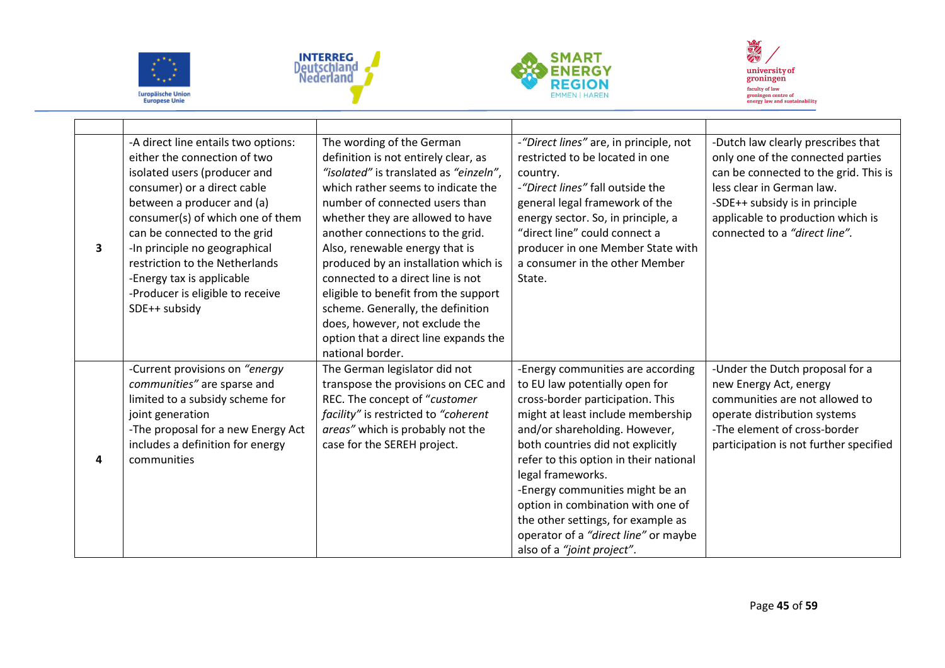







| 3 | -A direct line entails two options:<br>either the connection of two<br>isolated users (producer and<br>consumer) or a direct cable<br>between a producer and (a)<br>consumer(s) of which one of them<br>can be connected to the grid<br>-In principle no geographical<br>restriction to the Netherlands<br>-Energy tax is applicable<br>-Producer is eligible to receive<br>SDE++ subsidy | The wording of the German<br>definition is not entirely clear, as<br>"isolated" is translated as "einzeln",<br>which rather seems to indicate the<br>number of connected users than<br>whether they are allowed to have<br>another connections to the grid.<br>Also, renewable energy that is<br>produced by an installation which is<br>connected to a direct line is not<br>eligible to benefit from the support<br>scheme. Generally, the definition<br>does, however, not exclude the<br>option that a direct line expands the<br>national border. | -"Direct lines" are, in principle, not<br>restricted to be located in one<br>country.<br>-"Direct lines" fall outside the<br>general legal framework of the<br>energy sector. So, in principle, a<br>"direct line" could connect a<br>producer in one Member State with<br>a consumer in the other Member<br>State.                                                                                                                                                   | -Dutch law clearly prescribes that<br>only one of the connected parties<br>can be connected to the grid. This is<br>less clear in German law.<br>-SDE++ subsidy is in principle<br>applicable to production which is<br>connected to a "direct line". |
|---|-------------------------------------------------------------------------------------------------------------------------------------------------------------------------------------------------------------------------------------------------------------------------------------------------------------------------------------------------------------------------------------------|--------------------------------------------------------------------------------------------------------------------------------------------------------------------------------------------------------------------------------------------------------------------------------------------------------------------------------------------------------------------------------------------------------------------------------------------------------------------------------------------------------------------------------------------------------|-----------------------------------------------------------------------------------------------------------------------------------------------------------------------------------------------------------------------------------------------------------------------------------------------------------------------------------------------------------------------------------------------------------------------------------------------------------------------|-------------------------------------------------------------------------------------------------------------------------------------------------------------------------------------------------------------------------------------------------------|
| 4 | -Current provisions on "energy<br>communities" are sparse and<br>limited to a subsidy scheme for<br>joint generation<br>-The proposal for a new Energy Act<br>includes a definition for energy<br>communities                                                                                                                                                                             | The German legislator did not<br>transpose the provisions on CEC and<br>REC. The concept of "customer<br>facility" is restricted to "coherent"<br>areas" which is probably not the<br>case for the SEREH project.                                                                                                                                                                                                                                                                                                                                      | -Energy communities are according<br>to EU law potentially open for<br>cross-border participation. This<br>might at least include membership<br>and/or shareholding. However,<br>both countries did not explicitly<br>refer to this option in their national<br>legal frameworks.<br>-Energy communities might be an<br>option in combination with one of<br>the other settings, for example as<br>operator of a "direct line" or maybe<br>also of a "joint project". | -Under the Dutch proposal for a<br>new Energy Act, energy<br>communities are not allowed to<br>operate distribution systems<br>-The element of cross-border<br>participation is not further specified                                                 |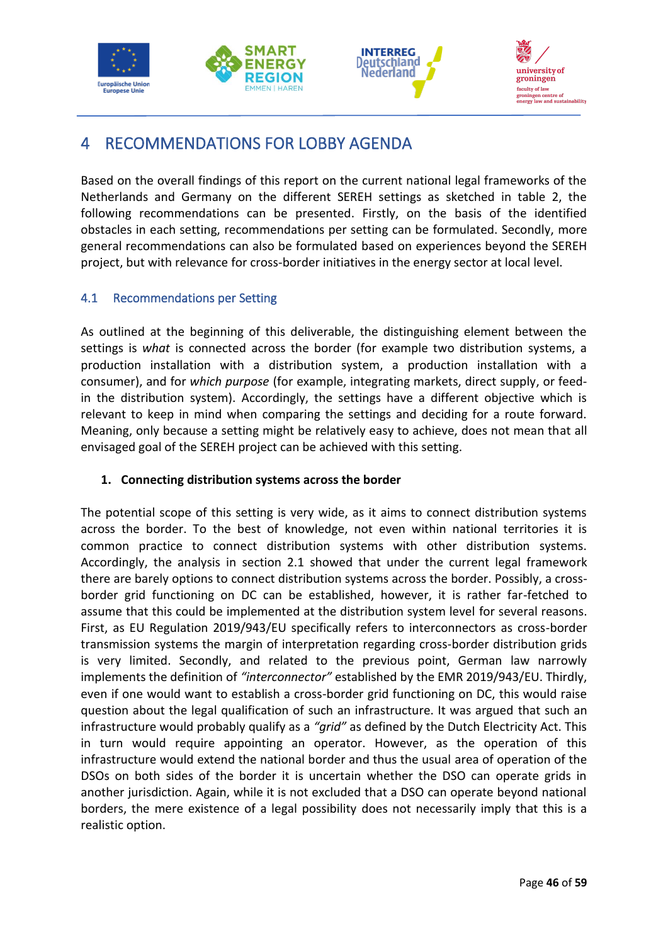







# <span id="page-48-0"></span>4 RECOMMENDATIONS FOR LOBBY AGENDA

Based on the overall findings of this report on the current national legal frameworks of the Netherlands and Germany on the different SEREH settings as sketched in table 2, the following recommendations can be presented. Firstly, on the basis of the identified obstacles in each setting, recommendations per setting can be formulated. Secondly, more general recommendations can also be formulated based on experiences beyond the SEREH project, but with relevance for cross-border initiatives in the energy sector at local level.

# <span id="page-48-1"></span>4.1 Recommendations per Setting

As outlined at the beginning of this deliverable, the distinguishing element between the settings is *what* is connected across the border (for example two distribution systems, a production installation with a distribution system, a production installation with a consumer), and for *which purpose* (for example, integrating markets, direct supply, or feedin the distribution system). Accordingly, the settings have a different objective which is relevant to keep in mind when comparing the settings and deciding for a route forward. Meaning, only because a setting might be relatively easy to achieve, does not mean that all envisaged goal of the SEREH project can be achieved with this setting.

### **1. Connecting distribution systems across the border**

The potential scope of this setting is very wide, as it aims to connect distribution systems across the border. To the best of knowledge, not even within national territories it is common practice to connect distribution systems with other distribution systems. Accordingly, the analysis in section 2.1 showed that under the current legal framework there are barely options to connect distribution systems across the border. Possibly, a crossborder grid functioning on DC can be established, however, it is rather far-fetched to assume that this could be implemented at the distribution system level for several reasons. First, as EU Regulation 2019/943/EU specifically refers to interconnectors as cross-border transmission systems the margin of interpretation regarding cross-border distribution grids is very limited. Secondly, and related to the previous point, German law narrowly implements the definition of *"interconnector"* established by the EMR 2019/943/EU. Thirdly, even if one would want to establish a cross-border grid functioning on DC, this would raise question about the legal qualification of such an infrastructure. It was argued that such an infrastructure would probably qualify as a *"grid"* as defined by the Dutch Electricity Act. This in turn would require appointing an operator. However, as the operation of this infrastructure would extend the national border and thus the usual area of operation of the DSOs on both sides of the border it is uncertain whether the DSO can operate grids in another jurisdiction. Again, while it is not excluded that a DSO can operate beyond national borders, the mere existence of a legal possibility does not necessarily imply that this is a realistic option.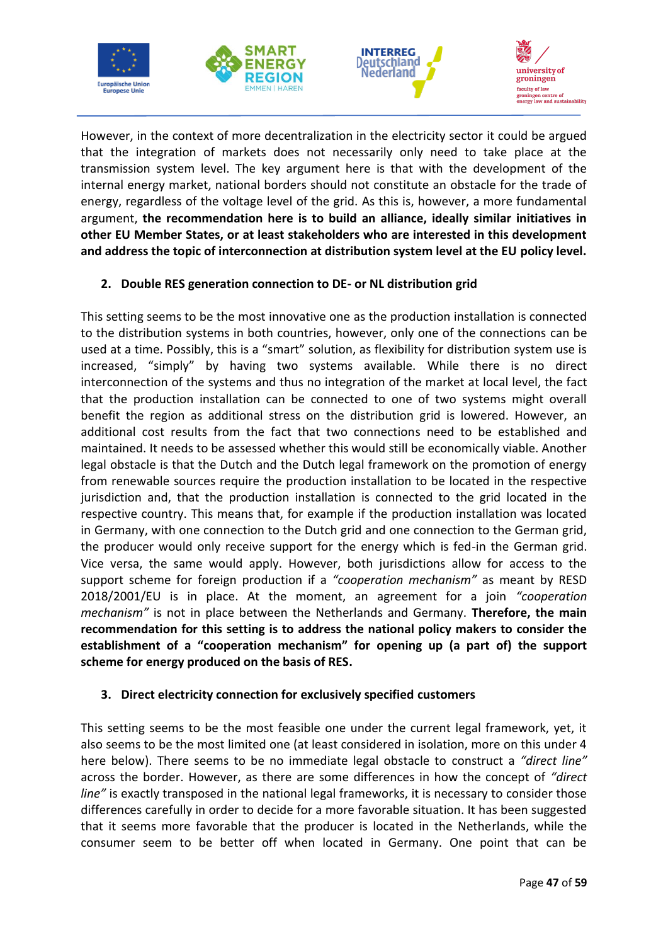







However, in the context of more decentralization in the electricity sector it could be argued that the integration of markets does not necessarily only need to take place at the transmission system level. The key argument here is that with the development of the internal energy market, national borders should not constitute an obstacle for the trade of energy, regardless of the voltage level of the grid. As this is, however, a more fundamental argument, **the recommendation here is to build an alliance, ideally similar initiatives in other EU Member States, or at least stakeholders who are interested in this development and address the topic of interconnection at distribution system level at the EU policy level.**

# **2. Double RES generation connection to DE- or NL distribution grid**

This setting seems to be the most innovative one as the production installation is connected to the distribution systems in both countries, however, only one of the connections can be used at a time. Possibly, this is a "smart" solution, as flexibility for distribution system use is increased, "simply" by having two systems available. While there is no direct interconnection of the systems and thus no integration of the market at local level, the fact that the production installation can be connected to one of two systems might overall benefit the region as additional stress on the distribution grid is lowered. However, an additional cost results from the fact that two connections need to be established and maintained. It needs to be assessed whether this would still be economically viable. Another legal obstacle is that the Dutch and the Dutch legal framework on the promotion of energy from renewable sources require the production installation to be located in the respective jurisdiction and, that the production installation is connected to the grid located in the respective country. This means that, for example if the production installation was located in Germany, with one connection to the Dutch grid and one connection to the German grid, the producer would only receive support for the energy which is fed-in the German grid. Vice versa, the same would apply. However, both jurisdictions allow for access to the support scheme for foreign production if a *"cooperation mechanism"* as meant by RESD 2018/2001/EU is in place. At the moment, an agreement for a join *"cooperation mechanism"* is not in place between the Netherlands and Germany. **Therefore, the main recommendation for this setting is to address the national policy makers to consider the establishment of a "cooperation mechanism" for opening up (a part of) the support scheme for energy produced on the basis of RES.**

### **3. Direct electricity connection for exclusively specified customers**

This setting seems to be the most feasible one under the current legal framework, yet, it also seems to be the most limited one (at least considered in isolation, more on this under 4 here below). There seems to be no immediate legal obstacle to construct a *"direct line"* across the border. However, as there are some differences in how the concept of *"direct line"* is exactly transposed in the national legal frameworks, it is necessary to consider those differences carefully in order to decide for a more favorable situation. It has been suggested that it seems more favorable that the producer is located in the Netherlands, while the consumer seem to be better off when located in Germany. One point that can be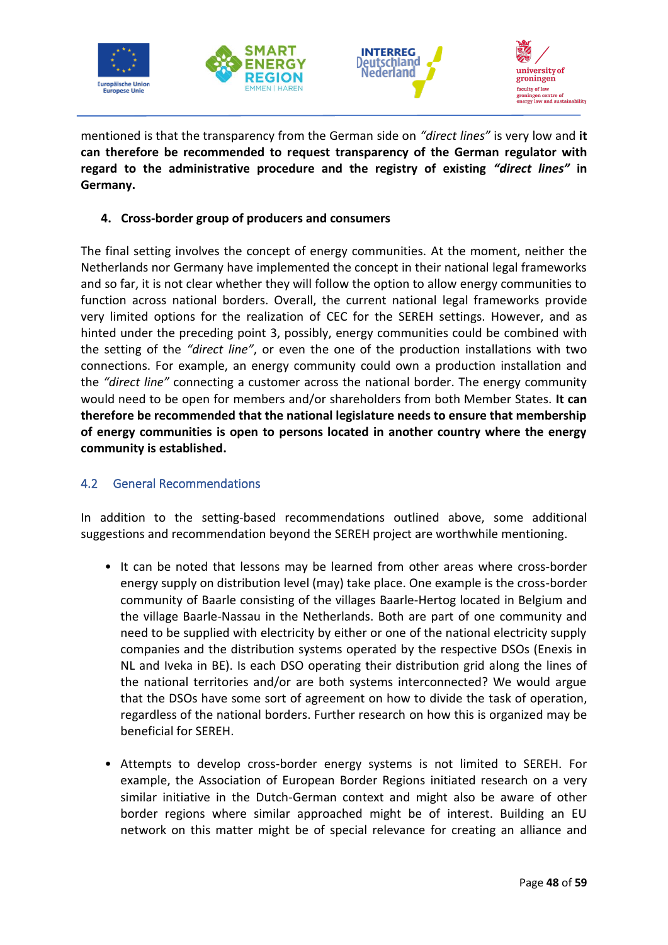







mentioned is that the transparency from the German side on *"direct lines"* is very low and **it can therefore be recommended to request transparency of the German regulator with regard to the administrative procedure and the registry of existing** *"direct lines"* **in Germany.**

### **4. Cross-border group of producers and consumers**

The final setting involves the concept of energy communities. At the moment, neither the Netherlands nor Germany have implemented the concept in their national legal frameworks and so far, it is not clear whether they will follow the option to allow energy communities to function across national borders. Overall, the current national legal frameworks provide very limited options for the realization of CEC for the SEREH settings. However, and as hinted under the preceding point 3, possibly, energy communities could be combined with the setting of the *"direct line"*, or even the one of the production installations with two connections. For example, an energy community could own a production installation and the *"direct line"* connecting a customer across the national border. The energy community would need to be open for members and/or shareholders from both Member States. **It can therefore be recommended that the national legislature needs to ensure that membership of energy communities is open to persons located in another country where the energy community is established.** 

### <span id="page-50-0"></span>4.2 General Recommendations

In addition to the setting-based recommendations outlined above, some additional suggestions and recommendation beyond the SEREH project are worthwhile mentioning.

- It can be noted that lessons may be learned from other areas where cross-border energy supply on distribution level (may) take place. One example is the cross-border community of Baarle consisting of the villages Baarle-Hertog located in Belgium and the village Baarle-Nassau in the Netherlands. Both are part of one community and need to be supplied with electricity by either or one of the national electricity supply companies and the distribution systems operated by the respective DSOs (Enexis in NL and Iveka in BE). Is each DSO operating their distribution grid along the lines of the national territories and/or are both systems interconnected? We would argue that the DSOs have some sort of agreement on how to divide the task of operation, regardless of the national borders. Further research on how this is organized may be beneficial for SEREH.
- Attempts to develop cross-border energy systems is not limited to SEREH. For example, the Association of European Border Regions initiated research on a very similar initiative in the Dutch-German context and might also be aware of other border regions where similar approached might be of interest. Building an EU network on this matter might be of special relevance for creating an alliance and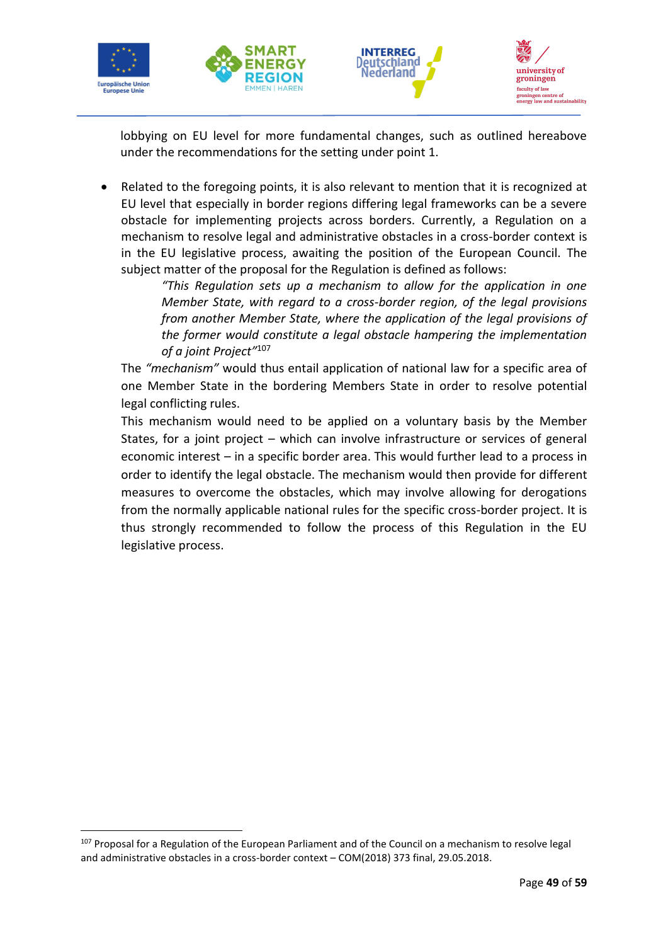







lobbying on EU level for more fundamental changes, such as outlined hereabove under the recommendations for the setting under point 1.

• Related to the foregoing points, it is also relevant to mention that it is recognized at EU level that especially in border regions differing legal frameworks can be a severe obstacle for implementing projects across borders. Currently, a Regulation on a mechanism to resolve legal and administrative obstacles in a cross-border context is in the EU legislative process, awaiting the position of the European Council. The subject matter of the proposal for the Regulation is defined as follows:

*"This Regulation sets up a mechanism to allow for the application in one Member State, with regard to a cross-border region, of the legal provisions from another Member State, where the application of the legal provisions of the former would constitute a legal obstacle hampering the implementation of a joint Project"*<sup>107</sup>

The *"mechanism"* would thus entail application of national law for a specific area of one Member State in the bordering Members State in order to resolve potential legal conflicting rules.

This mechanism would need to be applied on a voluntary basis by the Member States, for a joint project – which can involve infrastructure or services of general economic interest – in a specific border area. This would further lead to a process in order to identify the legal obstacle. The mechanism would then provide for different measures to overcome the obstacles, which may involve allowing for derogations from the normally applicable national rules for the specific cross-border project. It is thus strongly recommended to follow the process of this Regulation in the EU legislative process.

<sup>&</sup>lt;sup>107</sup> Proposal for a Regulation of the European Parliament and of the Council on a mechanism to resolve legal and administrative obstacles in a cross-border context – COM(2018) 373 final, 29.05.2018.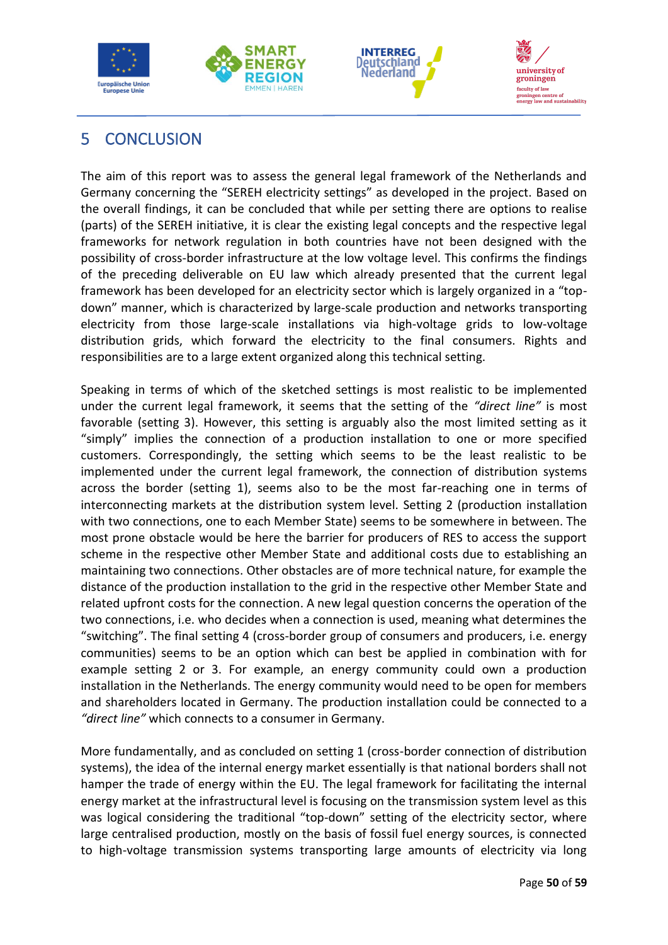





# <span id="page-52-0"></span>5 CONCLUSION

The aim of this report was to assess the general legal framework of the Netherlands and Germany concerning the "SEREH electricity settings" as developed in the project. Based on the overall findings, it can be concluded that while per setting there are options to realise (parts) of the SEREH initiative, it is clear the existing legal concepts and the respective legal frameworks for network regulation in both countries have not been designed with the possibility of cross-border infrastructure at the low voltage level. This confirms the findings of the preceding deliverable on EU law which already presented that the current legal framework has been developed for an electricity sector which is largely organized in a "topdown" manner, which is characterized by large-scale production and networks transporting electricity from those large-scale installations via high-voltage grids to low-voltage distribution grids, which forward the electricity to the final consumers. Rights and responsibilities are to a large extent organized along this technical setting.

Speaking in terms of which of the sketched settings is most realistic to be implemented under the current legal framework, it seems that the setting of the *"direct line"* is most favorable (setting 3). However, this setting is arguably also the most limited setting as it "simply" implies the connection of a production installation to one or more specified customers. Correspondingly, the setting which seems to be the least realistic to be implemented under the current legal framework, the connection of distribution systems across the border (setting 1), seems also to be the most far-reaching one in terms of interconnecting markets at the distribution system level. Setting 2 (production installation with two connections, one to each Member State) seems to be somewhere in between. The most prone obstacle would be here the barrier for producers of RES to access the support scheme in the respective other Member State and additional costs due to establishing an maintaining two connections. Other obstacles are of more technical nature, for example the distance of the production installation to the grid in the respective other Member State and related upfront costs for the connection. A new legal question concerns the operation of the two connections, i.e. who decides when a connection is used, meaning what determines the "switching". The final setting 4 (cross-border group of consumers and producers, i.e. energy communities) seems to be an option which can best be applied in combination with for example setting 2 or 3. For example, an energy community could own a production installation in the Netherlands. The energy community would need to be open for members and shareholders located in Germany. The production installation could be connected to a *"direct line"* which connects to a consumer in Germany.

More fundamentally, and as concluded on setting 1 (cross-border connection of distribution systems), the idea of the internal energy market essentially is that national borders shall not hamper the trade of energy within the EU. The legal framework for facilitating the internal energy market at the infrastructural level is focusing on the transmission system level as this was logical considering the traditional "top-down" setting of the electricity sector, where large centralised production, mostly on the basis of fossil fuel energy sources, is connected to high-voltage transmission systems transporting large amounts of electricity via long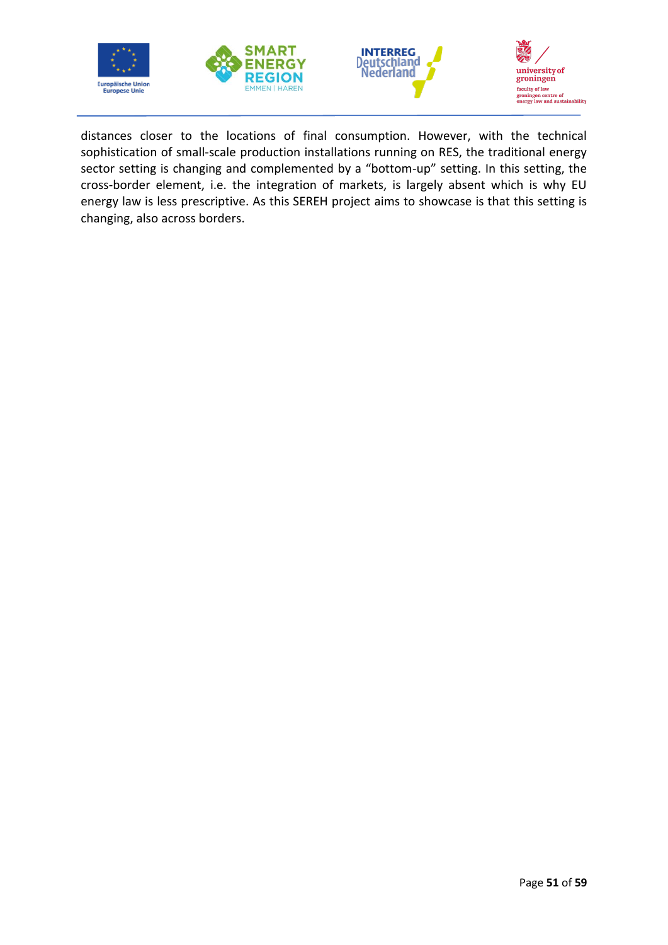







distances closer to the locations of final consumption. However, with the technical sophistication of small-scale production installations running on RES, the traditional energy sector setting is changing and complemented by a "bottom-up" setting. In this setting, the cross-border element, i.e. the integration of markets, is largely absent which is why EU energy law is less prescriptive. As this SEREH project aims to showcase is that this setting is changing, also across borders.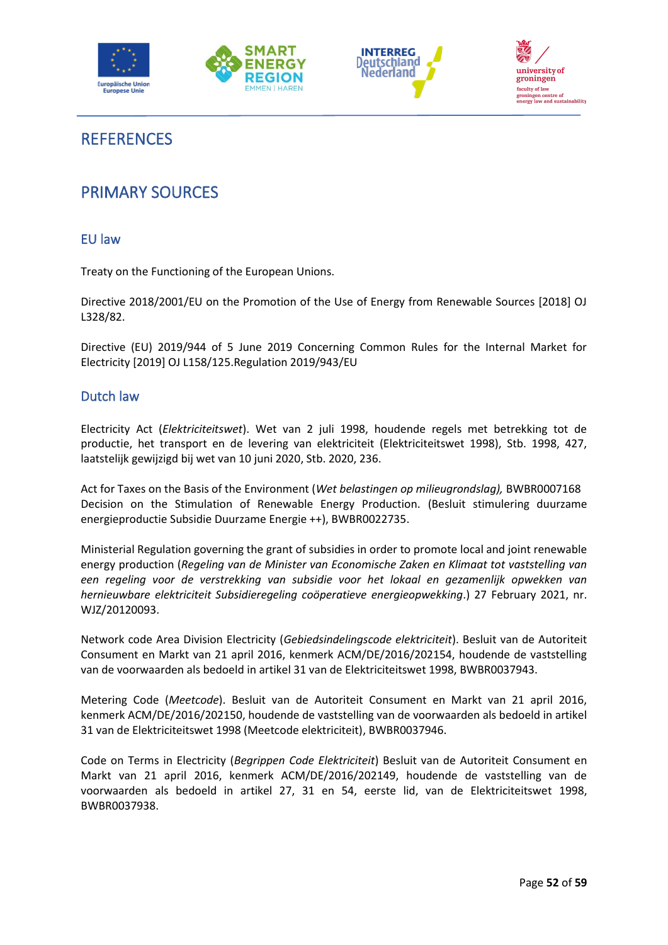





# <span id="page-54-0"></span>**REFERENCES**

# <span id="page-54-1"></span>PRIMARY SOURCES

### <span id="page-54-2"></span>EU law

Treaty on the Functioning of the European Unions.

Directive 2018/2001/EU on the Promotion of the Use of Energy from Renewable Sources [2018] OJ L328/82.

Directive (EU) 2019/944 of 5 June 2019 Concerning Common Rules for the Internal Market for Electricity [2019] OJ L158/125.Regulation 2019/943/EU

### <span id="page-54-3"></span>Dutch law

Electricity Act (*Elektriciteitswet*). Wet van 2 juli 1998, houdende regels met betrekking tot de productie, het transport en de levering van elektriciteit (Elektriciteitswet 1998), Stb. 1998, 427, laatstelijk gewijzigd bij wet van 10 juni 2020, Stb. 2020, 236.

Act for Taxes on the Basis of the Environment (*Wet belastingen op milieugrondslag),* BWBR0007168 Decision on the Stimulation of Renewable Energy Production. (Besluit stimulering duurzame energieproductie Subsidie Duurzame Energie ++), BWBR0022735.

Ministerial Regulation governing the grant of subsidies in order to promote local and joint renewable energy production (*Regeling van de Minister van Economische Zaken en Klimaat tot vaststelling van een regeling voor de verstrekking van subsidie voor het lokaal en gezamenlijk opwekken van hernieuwbare elektriciteit Subsidieregeling coöperatieve energieopwekking*.) 27 February 2021, nr. WJZ/20120093.

Network code Area Division Electricity (*Gebiedsindelingscode elektriciteit*). Besluit van de Autoriteit Consument en Markt van 21 april 2016, kenmerk ACM/DE/2016/202154, houdende de vaststelling van de voorwaarden als bedoeld in artikel 31 van de Elektriciteitswet 1998, BWBR0037943.

Metering Code (*Meetcode*). Besluit van de Autoriteit Consument en Markt van 21 april 2016, kenmerk ACM/DE/2016/202150, houdende de vaststelling van de voorwaarden als bedoeld in artikel 31 van de Elektriciteitswet 1998 (Meetcode elektriciteit), BWBR0037946.

Code on Terms in Electricity (*Begrippen Code Elektriciteit*) Besluit van de Autoriteit Consument en Markt van 21 april 2016, kenmerk ACM/DE/2016/202149, houdende de vaststelling van de voorwaarden als bedoeld in artikel 27, 31 en 54, eerste lid, van de Elektriciteitswet 1998, BWBR0037938.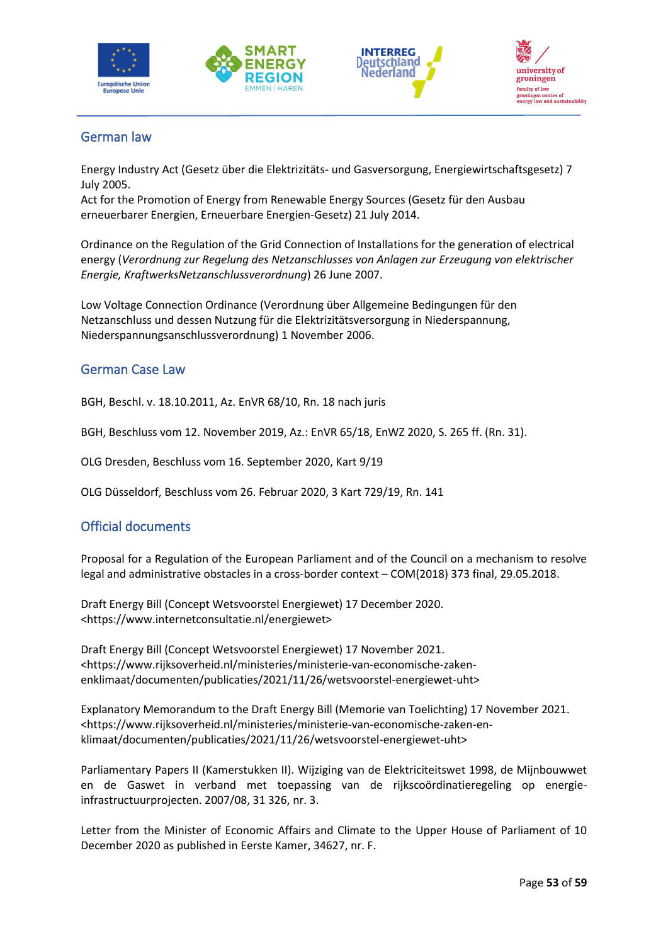







# <span id="page-55-0"></span>German law

Energy Industry Act (Gesetz über die Elektrizitäts- und Gasversorgung, Energiewirtschaftsgesetz) 7 July 2005.

Act for the Promotion of Energy from Renewable Energy Sources (Gesetz für den Ausbau erneuerbarer Energien, Erneuerbare Energien-Gesetz) 21 July 2014.

Ordinance on the Regulation of the Grid Connection of Installations for the generation of electrical energy (*Verordnung zur Regelung des Netzanschlusses von Anlagen zur Erzeugung von elektrischer Energie, KraftwerksNetzanschlussverordnung*) 26 June 2007.

Low Voltage Connection Ordinance (Verordnung über Allgemeine Bedingungen für den Netzanschluss und dessen Nutzung für die Elektrizitätsversorgung in Niederspannung, Niederspannungsanschlussverordnung) 1 November 2006.

# <span id="page-55-1"></span>German Case Law

BGH, Beschl. v. 18.10.2011, Az. EnVR 68/10, Rn. 18 nach juris

BGH, Beschluss vom 12. November 2019, Az.: EnVR 65/18, EnWZ 2020, S. 265 ff. (Rn. 31).

OLG Dresden, Beschluss vom 16. September 2020, Kart 9/19

OLG Düsseldorf, Beschluss vom 26. Februar 2020, 3 Kart 729/19, Rn. 141

# <span id="page-55-2"></span>Official documents

Proposal for a Regulation of the European Parliament and of the Council on a mechanism to resolve legal and administrative obstacles in a cross-border context – COM(2018) 373 final, 29.05.2018.

Draft Energy Bill (Concept Wetsvoorstel Energiewet) 17 December 2020. <https://www.internetconsultatie.nl/energiewet>

Draft Energy Bill (Concept Wetsvoorstel Energiewet) 17 November 2021. <https://www.rijksoverheid.nl/ministeries/ministerie-van-economische-zakenenklimaat/documenten/publicaties/2021/11/26/wetsvoorstel-energiewet-uht>

Explanatory Memorandum to the Draft Energy Bill (Memorie van Toelichting) 17 November 2021. <https://www.rijksoverheid.nl/ministeries/ministerie-van-economische-zaken-enklimaat/documenten/publicaties/2021/11/26/wetsvoorstel-energiewet-uht>

Parliamentary Papers II (Kamerstukken II). Wijziging van de Elektriciteitswet 1998, de Mijnbouwwet en de Gaswet in verband met toepassing van de rijkscoördinatieregeling op energieinfrastructuurprojecten. 2007/08, 31 326, nr. 3.

Letter from the Minister of Economic Affairs and Climate to the Upper House of Parliament of 10 December 2020 as published in Eerste Kamer, 34627, nr. F.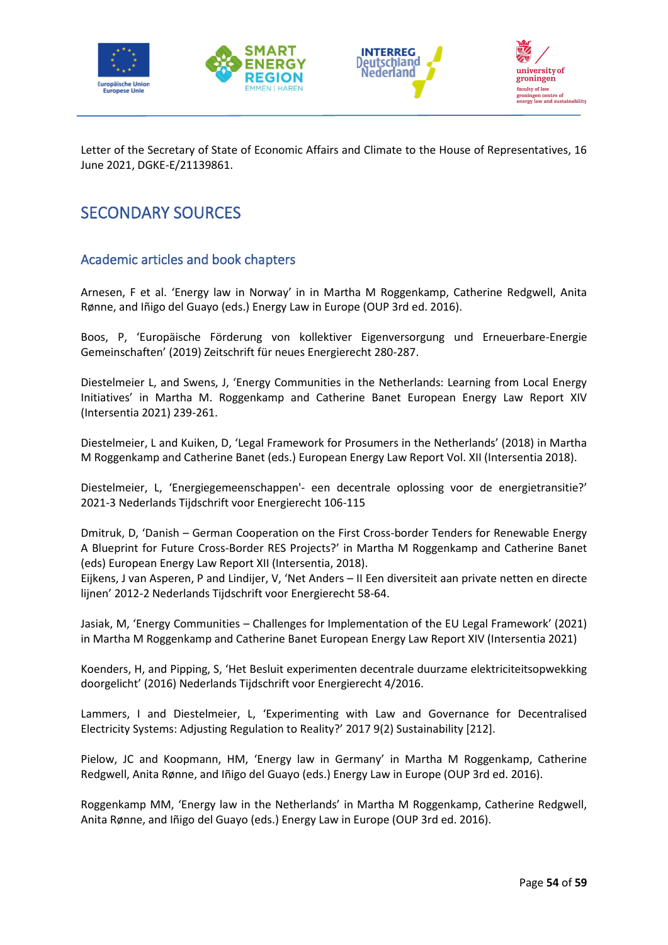







Letter of the Secretary of State of Economic Affairs and Climate to the House of Representatives, 16 June 2021, DGKE-E/21139861.

# <span id="page-56-0"></span>SECONDARY SOURCES

# <span id="page-56-1"></span>Academic articles and book chapters

Arnesen, F et al. 'Energy law in Norway' in in Martha M Roggenkamp, Catherine Redgwell, Anita Rønne, and Iñigo del Guayo (eds.) Energy Law in Europe (OUP 3rd ed. 2016).

Boos, P, 'Europäische Förderung von kollektiver Eigenversorgung und Erneuerbare-Energie Gemeinschaften' (2019) Zeitschrift für neues Energierecht 280-287.

Diestelmeier L, and Swens, J, 'Energy Communities in the Netherlands: Learning from Local Energy Initiatives' in Martha M. Roggenkamp and Catherine Banet European Energy Law Report XIV (Intersentia 2021) 239-261.

Diestelmeier, L and Kuiken, D, 'Legal Framework for Prosumers in the Netherlands' (2018) in Martha M Roggenkamp and Catherine Banet (eds.) European Energy Law Report Vol. XII (Intersentia 2018).

Diestelmeier, L, 'Energiegemeenschappen'- een decentrale oplossing voor de energietransitie?' 2021-3 Nederlands Tijdschrift voor Energierecht 106-115

Dmitruk, D, 'Danish – German Cooperation on the First Cross-border Tenders for Renewable Energy A Blueprint for Future Cross-Border RES Projects?' in Martha M Roggenkamp and Catherine Banet (eds) European Energy Law Report XII (Intersentia, 2018).

Eijkens, J van Asperen, P and Lindijer, V, 'Net Anders – II Een diversiteit aan private netten en directe lijnen' 2012-2 Nederlands Tijdschrift voor Energierecht 58-64.

Jasiak, M, 'Energy Communities – Challenges for Implementation of the EU Legal Framework' (2021) in Martha M Roggenkamp and Catherine Banet European Energy Law Report XIV (Intersentia 2021)

Koenders, H, and Pipping, S, 'Het Besluit experimenten decentrale duurzame elektriciteitsopwekking doorgelicht' (2016) Nederlands Tijdschrift voor Energierecht 4/2016.

Lammers, I and Diestelmeier, L, 'Experimenting with Law and Governance for Decentralised Electricity Systems: Adjusting Regulation to Reality?' 2017 9(2) Sustainability [212].

Pielow, JC and Koopmann, HM, 'Energy law in Germany' in Martha M Roggenkamp, Catherine Redgwell, Anita Rønne, and Iñigo del Guayo (eds.) Energy Law in Europe (OUP 3rd ed. 2016).

Roggenkamp MM, 'Energy law in the Netherlands' in Martha M Roggenkamp, Catherine Redgwell, Anita Rønne, and Iñigo del Guayo (eds.) Energy Law in Europe (OUP 3rd ed. 2016).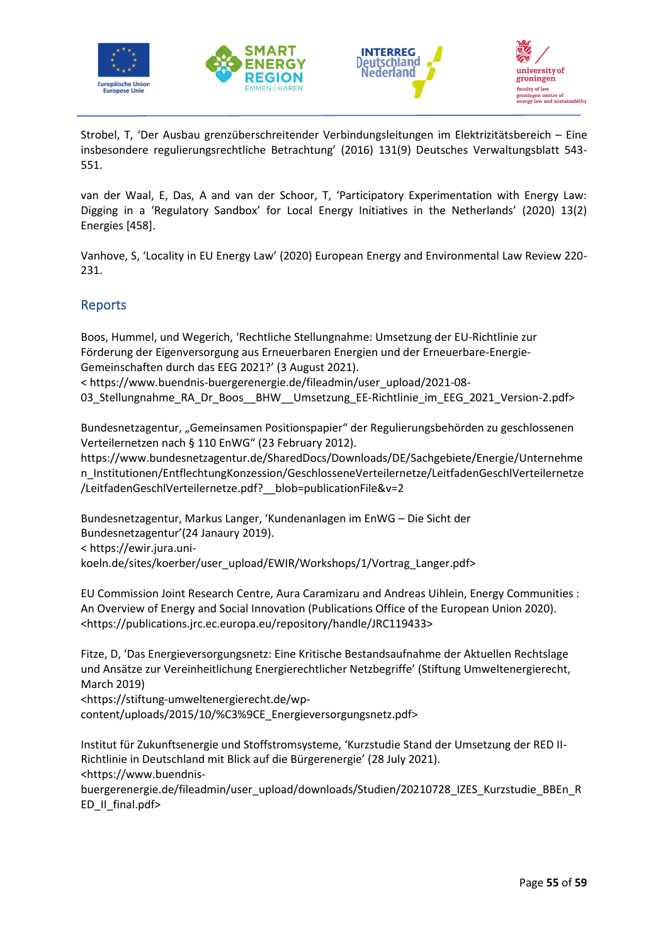







Strobel, T, 'Der Ausbau grenzüberschreitender Verbindungsleitungen im Elektrizitätsbereich – Eine insbesondere regulierungsrechtliche Betrachtung' (2016) 131(9) Deutsches Verwaltungsblatt 543- 551.

van der Waal, E, Das, A and van der Schoor, T, 'Participatory Experimentation with Energy Law: Digging in a 'Regulatory Sandbox' for Local Energy Initiatives in the Netherlands' (2020) 13(2) Energies [458].

Vanhove, S, 'Locality in EU Energy Law' (2020) European Energy and Environmental Law Review 220- 231.

# <span id="page-57-0"></span>Reports

Boos, Hummel, und Wegerich, 'Rechtliche Stellungnahme: Umsetzung der EU-Richtlinie zur Förderung der Eigenversorgung aus Erneuerbaren Energien und der Erneuerbare-Energie-Gemeinschaften durch das EEG 2021?' (3 August 2021).

< https://www.buendnis-buergerenergie.de/fileadmin/user\_upload/2021-08- 03\_Stellungnahme\_RA\_Dr\_Boos\_\_BHW\_\_Umsetzung\_EE-Richtlinie\_im\_EEG\_2021\_Version-2.pdf>

Bundesnetzagentur, "Gemeinsamen Positionspapier" der Regulierungsbehörden zu geschlossenen Verteilernetzen nach § 110 EnWG" (23 February 2012).

https://www.bundesnetzagentur.de/SharedDocs/Downloads/DE/Sachgebiete/Energie/Unternehme n\_Institutionen/EntflechtungKonzession/GeschlosseneVerteilernetze/LeitfadenGeschlVerteilernetze /LeitfadenGeschlVerteilernetze.pdf?\_\_blob=publicationFile&v=2

Bundesnetzagentur, Markus Langer, 'Kundenanlagen im EnWG – Die Sicht der Bundesnetzagentur'(24 Janaury 2019). < https://ewir.jura.unikoeln.de/sites/koerber/user\_upload/EWIR/Workshops/1/Vortrag\_Langer.pdf>

EU Commission Joint Research Centre, Aura Caramizaru and Andreas Uihlein, Energy Communities : An Overview of Energy and Social Innovation (Publications Office of the European Union 2020). <https://publications.jrc.ec.europa.eu/repository/handle/JRC119433>

Fitze, D, 'Das Energieversorgungsnetz: Eine Kritische Bestandsaufnahme der Aktuellen Rechtslage und Ansätze zur Vereinheitlichung Energierechtlicher Netzbegriffe' (Stiftung Umweltenergierecht, March 2019)

<https://stiftung-umweltenergierecht.de/wpcontent/uploads/2015/10/%C3%9CE\_Energieversorgungsnetz.pdf>

Institut für Zukunftsenergie und Stoffstromsysteme, 'Kurzstudie Stand der Umsetzung der RED II-Richtlinie in Deutschland mit Blick auf die Bürgerenergie' (28 July 2021). <https://www.buendnis-

buergerenergie.de/fileadmin/user\_upload/downloads/Studien/20210728\_IZES\_Kurzstudie\_BBEn\_R ED II final.pdf>